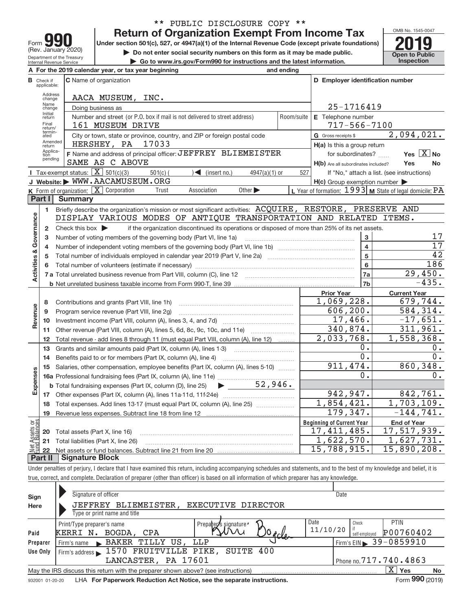| Form                                                          |
|---------------------------------------------------------------|
| (Rev. January 2020)                                           |
| Department of the Treasury<br><b>Internal Revenue Service</b> |

# \*\* PUBLIC DISCLOSURE COPY \*\*

**Under section 501(c), 527, or 4947(a)(1) of the Internal Revenue Code (except private foundations) Return of Organization Exempt From Income Tax**<br>r section 501(c). 527. or 4947(a)(1) of the Internal Revenue Code (except private foundations)

**but the Do not enter social security numbers on this form as it may be made public. Open to Public**<br> **1** Go to www.irs.gov/Form990 for instructions and the latest information. Inspection

**| Go to www.irs.gov/Form990 for instructions and the latest information. Inspection**



|                         |                                  | A For the 2019 calendar year, or tax year beginning                                                                                     | and ending                                                        |                                                     |                                                           |  |  |  |  |  |  |  |
|-------------------------|----------------------------------|-----------------------------------------------------------------------------------------------------------------------------------------|-------------------------------------------------------------------|-----------------------------------------------------|-----------------------------------------------------------|--|--|--|--|--|--|--|
|                         | <b>B</b> Check if<br>applicable: | <b>C</b> Name of organization                                                                                                           |                                                                   | D Employer identification number                    |                                                           |  |  |  |  |  |  |  |
|                         | Address<br>change                | AACA MUSEUM, INC.                                                                                                                       |                                                                   |                                                     |                                                           |  |  |  |  |  |  |  |
|                         | Name<br>change                   | Doing business as                                                                                                                       | 25-1716419                                                        |                                                     |                                                           |  |  |  |  |  |  |  |
|                         | Initial<br>return                | Number and street (or P.O. box if mail is not delivered to street address)<br>Room/suite                                                | E Telephone number                                                |                                                     |                                                           |  |  |  |  |  |  |  |
|                         | Final<br>return/                 | 161 MUSEUM DRIVE                                                                                                                        |                                                                   | $717 - 566 - 7100$                                  |                                                           |  |  |  |  |  |  |  |
|                         | termin-<br>ated                  | G Gross receipts \$                                                                                                                     | 2,094,021.                                                        |                                                     |                                                           |  |  |  |  |  |  |  |
|                         | Amended<br>return                | HERSHEY, PA<br>17033                                                                                                                    |                                                                   | $H(a)$ is this a group return                       |                                                           |  |  |  |  |  |  |  |
|                         | Applica-<br>tion<br>pending      | F Name and address of principal officer: JEFFREY BLIEMEISTER                                                                            |                                                                   | for subordinates?                                   | Yes $X$ No                                                |  |  |  |  |  |  |  |
|                         |                                  | SAME AS C ABOVE                                                                                                                         |                                                                   | H(b) Are all subordinates included?                 | Yes<br>No                                                 |  |  |  |  |  |  |  |
|                         |                                  | <b>I</b> Tax-exempt status: $\boxed{\mathbf{X}}$ 501(c)(3)<br>$\leq$ (insert no.)<br>$501(c)$ (<br>$4947(a)(1)$ or                      | 527                                                               |                                                     | If "No," attach a list. (see instructions)                |  |  |  |  |  |  |  |
|                         |                                  | J Website: WWW.AACAMUSEUM.ORG                                                                                                           |                                                                   | $H(c)$ Group exemption number $\blacktriangleright$ |                                                           |  |  |  |  |  |  |  |
|                         |                                  | K Form of organization: X Corporation<br>Association<br>Other $\blacktriangleright$<br>Trust                                            |                                                                   |                                                     | L Year of formation: $1993$ M State of legal domicile: PA |  |  |  |  |  |  |  |
|                         | Part I                           | <b>Summary</b>                                                                                                                          |                                                                   |                                                     |                                                           |  |  |  |  |  |  |  |
|                         | 1                                | Briefly describe the organization's mission or most significant activities: ACQUIRE, RESTORE, PRESERVE AND                              |                                                                   |                                                     |                                                           |  |  |  |  |  |  |  |
| Governance              |                                  | DISPLAY VARIOUS MODES OF ANTIQUE TRANSPORTATION AND RELATED ITEMS.                                                                      |                                                                   |                                                     |                                                           |  |  |  |  |  |  |  |
|                         | $\overline{2}$                   | Check this box $\blacktriangleright$<br>if the organization discontinued its operations or disposed of more than 25% of its net assets. |                                                                   | 3                                                   | 17                                                        |  |  |  |  |  |  |  |
|                         | 3<br>4                           |                                                                                                                                         | Number of voting members of the governing body (Part VI, line 1a) |                                                     |                                                           |  |  |  |  |  |  |  |
|                         | 5                                |                                                                                                                                         |                                                                   |                                                     |                                                           |  |  |  |  |  |  |  |
|                         | 6                                |                                                                                                                                         |                                                                   | $5\phantom{a}$<br>6                                 | 42<br>186                                                 |  |  |  |  |  |  |  |
| <b>Activities &amp;</b> |                                  |                                                                                                                                         |                                                                   | 7a                                                  | 29,450.                                                   |  |  |  |  |  |  |  |
|                         |                                  |                                                                                                                                         |                                                                   | 7b                                                  | $-435.$                                                   |  |  |  |  |  |  |  |
|                         |                                  |                                                                                                                                         |                                                                   | <b>Prior Year</b>                                   | <b>Current Year</b>                                       |  |  |  |  |  |  |  |
|                         | 8                                | Contributions and grants (Part VIII, line 1h)                                                                                           |                                                                   | 1,069,228.                                          | 679,744.                                                  |  |  |  |  |  |  |  |
| Revenue                 | 9                                | Program service revenue (Part VIII, line 2g)                                                                                            |                                                                   | 606, 200.                                           | 584,314.                                                  |  |  |  |  |  |  |  |
|                         | 10                               |                                                                                                                                         |                                                                   | 17,466.                                             | $-17,651.$                                                |  |  |  |  |  |  |  |
|                         | 11                               | Other revenue (Part VIII, column (A), lines 5, 6d, 8c, 9c, 10c, and 11e)                                                                |                                                                   | 340,874.                                            | 311,961.                                                  |  |  |  |  |  |  |  |
|                         | 12                               | Total revenue - add lines 8 through 11 (must equal Part VIII, column (A), line 12)                                                      |                                                                   | 2,033,768.                                          | 1,558,368.                                                |  |  |  |  |  |  |  |
|                         | 13                               | Grants and similar amounts paid (Part IX, column (A), lines 1-3)                                                                        |                                                                   | 0.                                                  | 0.                                                        |  |  |  |  |  |  |  |
|                         | 14                               | Benefits paid to or for members (Part IX, column (A), line 4)                                                                           |                                                                   | $\overline{0}$ .                                    | $\overline{0}$ .                                          |  |  |  |  |  |  |  |
|                         | 15                               | Salaries, other compensation, employee benefits (Part IX, column (A), lines 5-10)                                                       |                                                                   | 911, 474.                                           | 860, 348.                                                 |  |  |  |  |  |  |  |
| Expenses                |                                  |                                                                                                                                         |                                                                   | 0.                                                  | 0.                                                        |  |  |  |  |  |  |  |
|                         |                                  | $\blacktriangleright$ 52,946.<br><b>b</b> Total fundraising expenses (Part IX, column (D), line 25)                                     |                                                                   |                                                     |                                                           |  |  |  |  |  |  |  |
|                         | 17                               |                                                                                                                                         |                                                                   | 942, 947.                                           | 842,761.                                                  |  |  |  |  |  |  |  |
|                         | 18                               | Total expenses. Add lines 13-17 (must equal Part IX, column (A), line 25)                                                               |                                                                   | 1,854,421.                                          | 1,703,109.                                                |  |  |  |  |  |  |  |
|                         | 19                               |                                                                                                                                         |                                                                   | 179,347.                                            | $-144, 741.$                                              |  |  |  |  |  |  |  |
| កន្ល                    |                                  |                                                                                                                                         |                                                                   | <b>Beginning of Current Year</b>                    | <b>End of Year</b>                                        |  |  |  |  |  |  |  |
| Assets<br>1 Balanc      | 20                               | Total assets (Part X, line 16)                                                                                                          |                                                                   | 17,411,485.<br>1,622,570.                           | 17,517,939.<br>1,627,731.                                 |  |  |  |  |  |  |  |
| Net                     | 21                               | Total liabilities (Part X, line 26)                                                                                                     |                                                                   | 15,788,915.                                         | 15,890,208.                                               |  |  |  |  |  |  |  |
|                         | 22<br>Part II                    | Signature Block                                                                                                                         |                                                                   |                                                     |                                                           |  |  |  |  |  |  |  |
|                         |                                  |                                                                                                                                         |                                                                   |                                                     |                                                           |  |  |  |  |  |  |  |

Under penalties of perjury, I declare that I have examined this return, including accompanying schedules and statements, and to the best of my knowledge and belief, it is true, correct, and complete. Declaration of preparer (other than officer) is based on all information of which preparer has any knowledge.

| Sign     | Signature of officer                                                                                         | Date                                          |  |  |  |  |  |  |  |  |  |
|----------|--------------------------------------------------------------------------------------------------------------|-----------------------------------------------|--|--|--|--|--|--|--|--|--|
| Here     | JEFFREY BLIEMEISTER,<br>EXECUTIVE DIRECTOR                                                                   |                                               |  |  |  |  |  |  |  |  |  |
|          | Type or print name and title                                                                                 |                                               |  |  |  |  |  |  |  |  |  |
|          | Print/Type preparer's name<br>Prepare S signature'                                                           | Date<br>PTIN<br>Check                         |  |  |  |  |  |  |  |  |  |
| Paid     | BOGDA, CPA<br>KERRI N.<br>$v_{\alpha}$                                                                       | 11/10/20<br>P00760402<br>self-emploved        |  |  |  |  |  |  |  |  |  |
| Preparer | BAKER TILLY US, LLP<br>Firm's name<br>$\mathbf{K}$                                                           | $^1$ Firm's EIN $\triangleright$ 39 - 0859910 |  |  |  |  |  |  |  |  |  |
| Use Only | Firm's address > 1570 FRUITVILLE PIKE, SUITE 400                                                             |                                               |  |  |  |  |  |  |  |  |  |
|          | LANCASTER, PA 17601                                                                                          | Phone no. $717.740.4863$                      |  |  |  |  |  |  |  |  |  |
|          | X.<br><b>Yes</b><br>No<br>May the IRS discuss this return with the preparer shown above? (see instructions)  |                                               |  |  |  |  |  |  |  |  |  |
|          | Form 990 (2019)<br>LHA For Paperwork Reduction Act Notice, see the separate instructions.<br>932001 01-20-20 |                                               |  |  |  |  |  |  |  |  |  |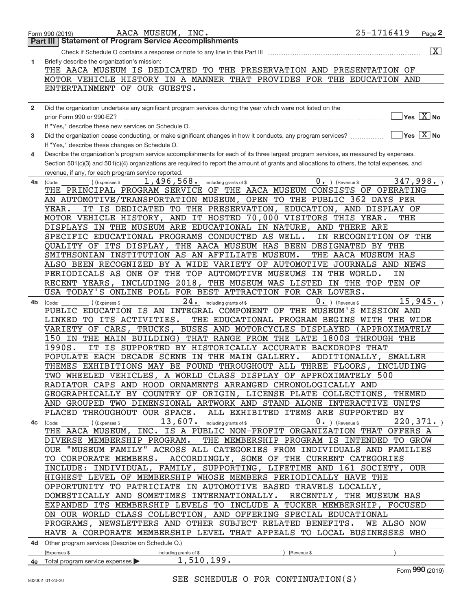|              | AACA MUSEUM, INC.<br>Form 990 (2019)                                                                                                         | 25-1716419            | Page 2                                          |
|--------------|----------------------------------------------------------------------------------------------------------------------------------------------|-----------------------|-------------------------------------------------|
|              | <b>Statement of Program Service Accomplishments</b><br>Part III                                                                              |                       |                                                 |
|              |                                                                                                                                              |                       | $\overline{\mathbf{X}}$                         |
| 1            | Briefly describe the organization's mission:                                                                                                 |                       |                                                 |
|              | THE AACA MUSEUM IS DEDICATED TO THE PRESERVATION AND PRESENTATION OF                                                                         |                       |                                                 |
|              |                                                                                                                                              |                       |                                                 |
|              | MOTOR VEHICLE HISTORY IN A MANNER THAT PROVIDES FOR THE EDUCATION AND                                                                        |                       |                                                 |
|              | ENTERTAINMENT OF OUR GUESTS.                                                                                                                 |                       |                                                 |
|              |                                                                                                                                              |                       |                                                 |
| $\mathbf{2}$ | Did the organization undertake any significant program services during the year which were not listed on the                                 |                       |                                                 |
|              | prior Form 990 or 990-EZ?                                                                                                                    |                       | $\overline{Y}$ es $\overline{X}$ No             |
|              | If "Yes," describe these new services on Schedule O.                                                                                         |                       |                                                 |
| 3            | Did the organization cease conducting, or make significant changes in how it conducts, any program services?                                 |                       | $\overline{\ }$ Yes $\overline{\phantom{X}}$ No |
|              | If "Yes," describe these changes on Schedule O.                                                                                              |                       |                                                 |
| 4            | Describe the organization's program service accomplishments for each of its three largest program services, as measured by expenses.         |                       |                                                 |
|              | Section 501(c)(3) and 501(c)(4) organizations are required to report the amount of grants and allocations to others, the total expenses, and |                       |                                                 |
|              | revenue, if any, for each program service reported.                                                                                          |                       |                                                 |
| 4a           | 1,496,568. including grants of \$<br>$0 \cdot$ ) (Revenue \$<br>(Expenses \$<br>(Code:                                                       |                       | 347,998.                                        |
|              | THE PRINCIPAL PROGRAM SERVICE OF THE AACA MUSEUM CONSISTS OF OPERATING                                                                       |                       |                                                 |
|              | AN AUTOMOTIVE/TRANSPORTATION MUSEUM, OPEN TO THE PUBLIC 362 DAYS PER                                                                         |                       |                                                 |
|              | IT IS DEDICATED TO THE PRESERVATION, EDUCATION, AND DISPLAY OF<br>YEAR.                                                                      |                       |                                                 |
|              |                                                                                                                                              |                       |                                                 |
|              | MOTOR VEHICLE HISTORY, AND IT HOSTED 70,000 VISITORS THIS YEAR.                                                                              | THE                   |                                                 |
|              | DISPLAYS IN THE MUSEUM ARE EDUCATIONAL IN NATURE, AND THERE ARE                                                                              |                       |                                                 |
|              | SPECIFIC EDUCATIONAL PROGRAMS CONDUCTED AS WELL.                                                                                             | IN RECOGNITION OF THE |                                                 |
|              | QUALITY OF ITS DISPLAY, THE AACA MUSEUM HAS BEEN DESIGNATED BY THE                                                                           |                       |                                                 |
|              | SMITHSONIAN INSTITUTION AS AN AFFILIATE MUSEUM.                                                                                              | THE AACA MUSEUM HAS   |                                                 |
|              | ALSO BEEN RECOGNIZED BY A WIDE VARIETY OF AUTOMOTIVE JOURNALS AND NEWS                                                                       |                       |                                                 |
|              | PERIODICALS AS ONE OF THE TOP AUTOMOTIVE MUSEUMS IN THE WORLD.                                                                               | ΙN                    |                                                 |
|              | RECENT YEARS, INCLUDING 2018, THE MUSEUM WAS LISTED IN THE TOP TEN OF                                                                        |                       |                                                 |
|              | USA TODAY'S ONLINE POLL FOR BEST ATTRACTION FOR CAR LOVERS.                                                                                  |                       |                                                 |
| 4b.          | $24.$ including grants of \$<br>$0 \cdot$ ) (Revenue \$<br>(Expenses \$<br>(Code:                                                            |                       | 15,945.                                         |
|              | PUBLIC EDUCATION IS AN INTEGRAL COMPONENT OF THE MUSEUM'S MISSION AND                                                                        |                       |                                                 |
|              | LINKED TO ITS ACTIVITIES.<br>THE EDUCATIONAL PROGRAM BEGINS WITH THE WIDE                                                                    |                       |                                                 |
|              | VARIETY OF CARS, TRUCKS, BUSES AND MOTORCYCLES DISPLAYED (APPROXIMATELY                                                                      |                       |                                                 |
|              | 150 IN THE MAIN BUILDING) THAT RANGE FROM THE LATE 1800S THROUGH THE                                                                         |                       |                                                 |
|              | 1990S.<br>IT IS SUPPORTED BY HISTORICALLY ACCURATE BACKDROPS THAT                                                                            |                       |                                                 |
|              | POPULATE EACH DECADE SCENE IN THE MAIN GALLERY.                                                                                              | ADDITIONALLY, SMALLER |                                                 |
|              | THEMES EXHIBITIONS MAY BE FOUND THROUGHOUT ALL THREE FLOORS, INCLUDING                                                                       |                       |                                                 |
|              |                                                                                                                                              |                       |                                                 |
|              | TWO WHEELED VEHICLES, A WORLD CLASS DISPLAY OF APPROXIMATELY 500                                                                             |                       |                                                 |
|              | RADIATOR CAPS AND HOOD ORNAMENTS ARRANGED CHRONOLOGICALLY AND                                                                                |                       |                                                 |
|              | GEOGRAPHICALLY BY COUNTRY OF ORIGIN, LICENSE PLATE COLLECTIONS, THEMED                                                                       |                       |                                                 |
|              | AND GROUPED TWO DIMENSIONAL ARTWORK AND STAND ALONE INTERACTIVE UNITS                                                                        |                       |                                                 |
|              | PLACED THROUGHOUT OUR SPACE. ALL EXHIBITED ITEMS ARE SUPPORTED BY                                                                            |                       |                                                 |
|              | $13$ , $607$ . including grants of \$<br>$0 \cdot$ ) (Revenue \$<br>) (Expenses \$<br>4c (Code:                                              |                       | 220, 371.                                       |
|              | THE AACA MUSEUM, INC. IS A PUBLIC NON-PROFIT ORGANIZATION THAT OFFERS A                                                                      |                       |                                                 |
|              | DIVERSE MEMBERSHIP PROGRAM. THE MEMBERSHIP PROGRAM IS INTENDED TO GROW                                                                       |                       |                                                 |
|              | OUR "MUSEUM FAMILY" ACROSS ALL CATEGORIES FROM INDIVIDUALS AND FAMILIES                                                                      |                       |                                                 |
|              | TO CORPORATE MEMBERS. ACCORDINGLY, SOME OF THE CURRENT CATEGORIES                                                                            |                       |                                                 |
|              | INCLUDE: INDIVIDUAL, FAMILY, SUPPORTING, LIFETIME AND 161 SOCIETY, OUR                                                                       |                       |                                                 |
|              | HIGHEST LEVEL OF MEMBERSHIP WHOSE MEMBERS PERIODICALLY HAVE THE                                                                              |                       |                                                 |
|              | OPPORTUNITY TO PATRICIATE IN AUTOMOTIVE BASED TRAVELS LOCALLY,                                                                               |                       |                                                 |
|              | DOMESTICALLY AND SOMETIMES INTERNATIONALLY. RECENTLY, THE MUSEUM HAS                                                                         |                       |                                                 |
|              | EXPANDED ITS MEMBERSHIP LEVELS TO INCLUDE A TUCKER MEMBERSHIP, FOCUSED                                                                       |                       |                                                 |
|              | ON OUR WORLD CLASS COLLECTION, AND OFFERING SPECIAL EDUCATIONAL                                                                              |                       |                                                 |
|              | PROGRAMS, NEWSLETTERS AND OTHER SUBJECT RELATED BENEFITS. WE ALSO NOW                                                                        |                       |                                                 |
|              |                                                                                                                                              |                       |                                                 |
|              | HAVE A CORPORATE MEMBERSHIP LEVEL THAT APPEALS TO LOCAL BUSINESSES WHO                                                                       |                       |                                                 |
|              | 4d Other program services (Describe on Schedule O.)                                                                                          |                       |                                                 |
|              | (Expenses \$<br>(Revenue \$<br>including grants of \$                                                                                        |                       |                                                 |
|              | $\frac{1,510,199.}{$<br>4e Total program service expenses                                                                                    |                       |                                                 |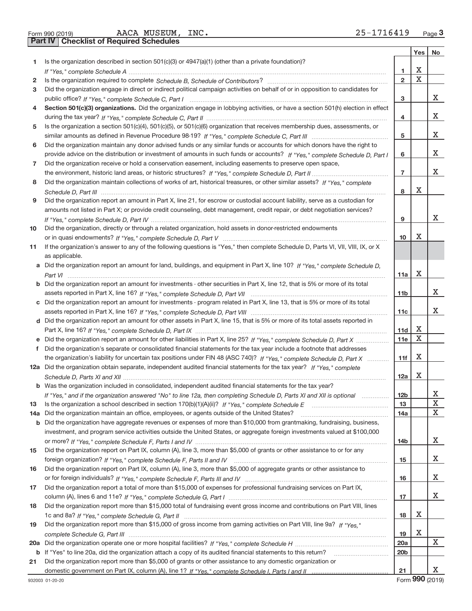Form 990 (2019) AACA MUSEUM , INC 2 5-I / I 6 4 I 9 Page **Part IV Checklist of Required Schedules** AACA MUSEUM, INC. 25‐1716419

|     |                                                                                                                                       |                 | Yes         | No          |
|-----|---------------------------------------------------------------------------------------------------------------------------------------|-----------------|-------------|-------------|
| 1   | Is the organization described in section $501(c)(3)$ or $4947(a)(1)$ (other than a private foundation)?                               |                 |             |             |
|     |                                                                                                                                       | 1               | х           |             |
| 2   |                                                                                                                                       | $\overline{2}$  | $\mathbf X$ |             |
| 3   | Did the organization engage in direct or indirect political campaign activities on behalf of or in opposition to candidates for       |                 |             |             |
|     |                                                                                                                                       | 3               |             | x           |
| 4   | Section 501(c)(3) organizations. Did the organization engage in lobbying activities, or have a section 501(h) election in effect      |                 |             |             |
|     |                                                                                                                                       | 4               |             | х           |
| 5   | Is the organization a section 501(c)(4), 501(c)(5), or 501(c)(6) organization that receives membership dues, assessments, or          |                 |             |             |
|     |                                                                                                                                       | 5               |             | х           |
| 6   | Did the organization maintain any donor advised funds or any similar funds or accounts for which donors have the right to             |                 |             |             |
|     | provide advice on the distribution or investment of amounts in such funds or accounts? If "Yes," complete Schedule D, Part I          | 6               |             | х           |
| 7   | Did the organization receive or hold a conservation easement, including easements to preserve open space,                             |                 |             |             |
|     |                                                                                                                                       | $\overline{7}$  |             | х           |
| 8   | Did the organization maintain collections of works of art, historical treasures, or other similar assets? If "Yes," complete          |                 |             |             |
|     |                                                                                                                                       | 8               | х           |             |
| 9   | Did the organization report an amount in Part X, line 21, for escrow or custodial account liability, serve as a custodian for         |                 |             |             |
|     | amounts not listed in Part X; or provide credit counseling, debt management, credit repair, or debt negotiation services?             |                 |             |             |
|     |                                                                                                                                       | 9               |             | x           |
| 10  | Did the organization, directly or through a related organization, hold assets in donor-restricted endowments                          |                 |             |             |
|     |                                                                                                                                       | 10              | х           |             |
| 11  | If the organization's answer to any of the following questions is "Yes," then complete Schedule D, Parts VI, VII, VIII, IX, or X      |                 |             |             |
|     | as applicable.                                                                                                                        |                 |             |             |
|     | a Did the organization report an amount for land, buildings, and equipment in Part X, line 10? If "Yes." complete Schedule D.         |                 |             |             |
|     |                                                                                                                                       | 11a             | х           |             |
|     | <b>b</b> Did the organization report an amount for investments - other securities in Part X, line 12, that is 5% or more of its total |                 |             |             |
|     |                                                                                                                                       | 11 <sub>b</sub> |             | х           |
|     | c Did the organization report an amount for investments - program related in Part X, line 13, that is 5% or more of its total         |                 |             |             |
|     |                                                                                                                                       | 11c             |             | х           |
|     | d Did the organization report an amount for other assets in Part X, line 15, that is 5% or more of its total assets reported in       |                 |             |             |
|     |                                                                                                                                       | 11d             | Х           |             |
| е   | Did the organization report an amount for other liabilities in Part X, line 25? If "Yes," complete Schedule D, Part X                 | 11e             | X           |             |
|     | f Did the organization's separate or consolidated financial statements for the tax year include a footnote that addresses             |                 |             |             |
|     | the organization's liability for uncertain tax positions under FIN 48 (ASC 740)? If "Yes," complete Schedule D, Part X                | 11f             | Х           |             |
|     | 12a Did the organization obtain separate, independent audited financial statements for the tax year? If "Yes," complete               |                 |             |             |
|     |                                                                                                                                       | 12a             | Х           |             |
|     | <b>b</b> Was the organization included in consolidated, independent audited financial statements for the tax year?                    |                 |             |             |
|     | If "Yes," and if the organization answered "No" to line 12a, then completing Schedule D, Parts XI and XII is optional                 | 12 <sub>b</sub> |             | х           |
| 13  |                                                                                                                                       | 13              |             | $\mathbf X$ |
|     | 14a Did the organization maintain an office, employees, or agents outside of the United States?                                       | 14a             |             | х           |
|     | <b>b</b> Did the organization have aggregate revenues or expenses of more than \$10,000 from grantmaking, fundraising, business,      |                 |             |             |
|     | investment, and program service activities outside the United States, or aggregate foreign investments valued at \$100,000            |                 |             |             |
|     |                                                                                                                                       | 14b             |             | X           |
| 15  | Did the organization report on Part IX, column (A), line 3, more than \$5,000 of grants or other assistance to or for any             |                 |             |             |
|     |                                                                                                                                       | 15              |             | Х           |
| 16  | Did the organization report on Part IX, column (A), line 3, more than \$5,000 of aggregate grants or other assistance to              |                 |             |             |
|     |                                                                                                                                       | 16              |             | x           |
| 17  | Did the organization report a total of more than \$15,000 of expenses for professional fundraising services on Part IX,               |                 |             |             |
|     |                                                                                                                                       | 17              |             | X           |
| 18  | Did the organization report more than \$15,000 total of fundraising event gross income and contributions on Part VIII, lines          |                 |             |             |
|     |                                                                                                                                       | 18              | Х           |             |
| 19  | Did the organization report more than \$15,000 of gross income from gaming activities on Part VIII, line 9a? If "Yes."                |                 |             |             |
|     |                                                                                                                                       | 19              | X           |             |
| 20a |                                                                                                                                       | 20a             |             | Χ           |
|     | b If "Yes" to line 20a, did the organization attach a copy of its audited financial statements to this return?                        | 20 <sub>b</sub> |             |             |
| 21  | Did the organization report more than \$5,000 of grants or other assistance to any domestic organization or                           |                 |             |             |
|     |                                                                                                                                       | 21              |             | X           |

Form **990** (2019)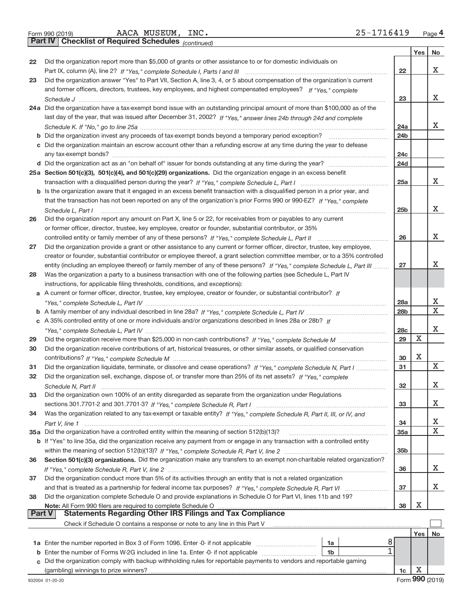|  | Form 990 (2019) |  |
|--|-----------------|--|
|  |                 |  |

AACA MUSEUM, INC. 25‐1716419

**Part IV Checklist of Required Schedules**

*(continued)*

|               |                                                                                                                              |                 | Yes | No |
|---------------|------------------------------------------------------------------------------------------------------------------------------|-----------------|-----|----|
| 22            | Did the organization report more than \$5,000 of grants or other assistance to or for domestic individuals on                |                 |     |    |
|               |                                                                                                                              | 22              |     | x  |
| 23            | Did the organization answer "Yes" to Part VII, Section A, line 3, 4, or 5 about compensation of the organization's current   |                 |     |    |
|               | and former officers, directors, trustees, key employees, and highest compensated employees? If "Yes," complete               |                 |     |    |
|               |                                                                                                                              | 23              |     | X. |
|               | 24a Did the organization have a tax-exempt bond issue with an outstanding principal amount of more than \$100,000 as of the  |                 |     |    |
|               | last day of the year, that was issued after December 31, 2002? If "Yes," answer lines 24b through 24d and complete           |                 |     |    |
|               |                                                                                                                              | 24a             |     | X. |
| b             |                                                                                                                              | 24 <sub>b</sub> |     |    |
|               | c Did the organization maintain an escrow account other than a refunding escrow at any time during the year to defease       | 24c             |     |    |
|               |                                                                                                                              | 24d             |     |    |
|               | 25a Section 501(c)(3), 501(c)(4), and 501(c)(29) organizations. Did the organization engage in an excess benefit             |                 |     |    |
|               |                                                                                                                              | 25a             |     | X. |
|               | b Is the organization aware that it engaged in an excess benefit transaction with a disqualified person in a prior year, and |                 |     |    |
|               | that the transaction has not been reported on any of the organization's prior Forms 990 or 990-EZ? If "Yes," complete        |                 |     |    |
|               | Schedule L. Part I                                                                                                           | 25 <sub>b</sub> |     | X. |
| 26            | Did the organization report any amount on Part X, line 5 or 22, for receivables from or payables to any current              |                 |     |    |
|               | or former officer, director, trustee, key employee, creator or founder, substantial contributor, or 35%                      |                 |     |    |
|               | controlled entity or family member of any of these persons? If "Yes," complete Schedule L, Part II                           | 26              |     | x  |
| 27            | Did the organization provide a grant or other assistance to any current or former officer, director, trustee, key employee,  |                 |     |    |
|               | creator or founder, substantial contributor or employee thereof, a grant selection committee member, or to a 35% controlled  |                 |     |    |
|               | entity (including an employee thereof) or family member of any of these persons? If "Yes," complete Schedule L, Part III     | 27              |     | x  |
| 28            | Was the organization a party to a business transaction with one of the following parties (see Schedule L, Part IV            |                 |     |    |
|               | instructions, for applicable filing thresholds, conditions, and exceptions):                                                 |                 |     |    |
|               | a A current or former officer, director, trustee, key employee, creator or founder, or substantial contributor? If           |                 |     |    |
|               |                                                                                                                              | 28a             |     | x  |
|               |                                                                                                                              | 28 <sub>b</sub> |     | х  |
|               | c A 35% controlled entity of one or more individuals and/or organizations described in lines 28a or 28b? If                  |                 |     |    |
|               |                                                                                                                              | 28c             |     | X. |
| 29            |                                                                                                                              | 29              | x   |    |
| 30            | Did the organization receive contributions of art, historical treasures, or other similar assets, or qualified conservation  |                 |     |    |
|               |                                                                                                                              | 30              | х   |    |
| 31            | Did the organization liquidate, terminate, or dissolve and cease operations? If "Yes," complete Schedule N, Part I           | 31              |     | х  |
| 32            | Did the organization sell, exchange, dispose of, or transfer more than 25% of its net assets? If "Yes," complete             |                 |     |    |
|               |                                                                                                                              | 32              |     | x  |
| 33            | Did the organization own 100% of an entity disregarded as separate from the organization under Regulations                   |                 |     | x  |
|               |                                                                                                                              | 33              |     |    |
| 34            | Was the organization related to any tax-exempt or taxable entity? If "Yes," complete Schedule R, Part II, III, or IV, and    | 34              |     | x  |
|               | 35a Did the organization have a controlled entity within the meaning of section 512(b)(13)?                                  | 35a             |     | X. |
|               | b If "Yes" to line 35a, did the organization receive any payment from or engage in any transaction with a controlled entity  |                 |     |    |
|               |                                                                                                                              | 35b             |     |    |
| 36            | Section 501(c)(3) organizations. Did the organization make any transfers to an exempt non-charitable related organization?   |                 |     |    |
|               |                                                                                                                              | 36              |     | X. |
| 37            | Did the organization conduct more than 5% of its activities through an entity that is not a related organization             |                 |     |    |
|               |                                                                                                                              | 37              |     | X. |
| 38            | Did the organization complete Schedule O and provide explanations in Schedule O for Part VI, lines 11b and 19?               |                 |     |    |
|               | Note: All Form 990 filers are required to complete Schedule O                                                                | 38              | Х   |    |
| <b>Part V</b> | <b>Statements Regarding Other IRS Filings and Tax Compliance</b>                                                             |                 |     |    |
|               | Check if Schedule O contains a response or note to any line in this Part V                                                   |                 |     |    |
|               |                                                                                                                              |                 | Yes | No |
|               | 8<br>1a                                                                                                                      |                 |     |    |
| b             | 1<br>Enter the number of Forms W-2G included in line 1a. Enter -0- if not applicable<br>1b                                   |                 |     |    |
| c             | Did the organization comply with backup withholding rules for reportable payments to vendors and reportable gaming           |                 |     |    |
|               | (gambling) winnings to prize winners?                                                                                        | 1c              | Х   |    |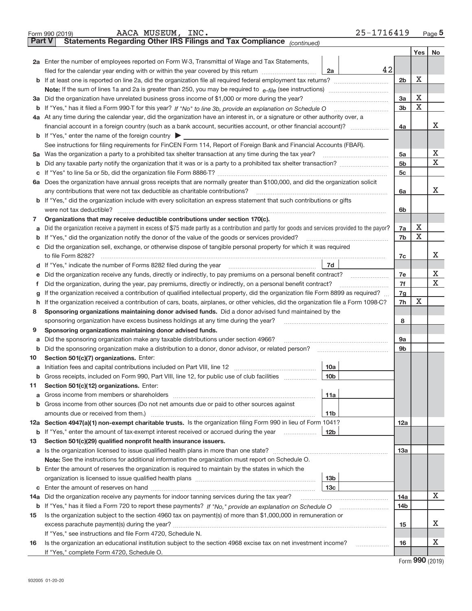|               | 25-1716419<br>AACA MUSEUM, INC.<br>Form 990 (2019)                                                                                              |                |         | Page 5 |  |  |  |  |  |
|---------------|-------------------------------------------------------------------------------------------------------------------------------------------------|----------------|---------|--------|--|--|--|--|--|
| <b>Part V</b> | Statements Regarding Other IRS Filings and Tax Compliance (continued)                                                                           |                |         |        |  |  |  |  |  |
|               |                                                                                                                                                 |                | Yes $ $ | No     |  |  |  |  |  |
|               | 2a Enter the number of employees reported on Form W-3, Transmittal of Wage and Tax Statements,                                                  |                |         |        |  |  |  |  |  |
|               | 42<br>filed for the calendar year ending with or within the year covered by this return<br>2a                                                   |                |         |        |  |  |  |  |  |
|               |                                                                                                                                                 | 2 <sub>b</sub> | X       |        |  |  |  |  |  |
|               |                                                                                                                                                 |                |         |        |  |  |  |  |  |
|               | 3a Did the organization have unrelated business gross income of \$1,000 or more during the year?                                                | 3a             | X       |        |  |  |  |  |  |
|               |                                                                                                                                                 | 3 <sub>b</sub> | Х       |        |  |  |  |  |  |
|               | 4a At any time during the calendar year, did the organization have an interest in, or a signature or other authority over, a                    |                |         |        |  |  |  |  |  |
|               | financial account in a foreign country (such as a bank account, securities account, or other financial account)?                                | 4a             |         | X      |  |  |  |  |  |
|               | <b>b</b> If "Yes," enter the name of the foreign country $\triangleright$                                                                       |                |         |        |  |  |  |  |  |
|               | See instructions for filing requirements for FinCEN Form 114, Report of Foreign Bank and Financial Accounts (FBAR).                             |                |         |        |  |  |  |  |  |
|               | 5a Was the organization a party to a prohibited tax shelter transaction at any time during the tax year?                                        | 5a             |         | х      |  |  |  |  |  |
| b             |                                                                                                                                                 | 5 <sub>b</sub> |         | х      |  |  |  |  |  |
| с             |                                                                                                                                                 | 5c             |         |        |  |  |  |  |  |
|               | 6a Does the organization have annual gross receipts that are normally greater than \$100,000, and did the organization solicit                  |                |         |        |  |  |  |  |  |
|               | any contributions that were not tax deductible as charitable contributions?                                                                     | 6a             |         | x      |  |  |  |  |  |
|               | <b>b</b> If "Yes," did the organization include with every solicitation an express statement that such contributions or gifts                   |                |         |        |  |  |  |  |  |
|               | were not tax deductible?                                                                                                                        | 6b             |         |        |  |  |  |  |  |
| 7             | Organizations that may receive deductible contributions under section 170(c).                                                                   |                |         |        |  |  |  |  |  |
| a             | Did the organization receive a payment in excess of \$75 made partly as a contribution and partly for goods and services provided to the payor? | 7a             | х       |        |  |  |  |  |  |
| b             | If "Yes," did the organization notify the donor of the value of the goods or services provided?                                                 | 7b             | Х       |        |  |  |  |  |  |
| c             | Did the organization sell, exchange, or otherwise dispose of tangible personal property for which it was required                               |                |         |        |  |  |  |  |  |
|               | to file Form 8282?                                                                                                                              | 7c             |         | х      |  |  |  |  |  |
|               | 7d                                                                                                                                              |                |         |        |  |  |  |  |  |
| е             | Did the organization receive any funds, directly or indirectly, to pay premiums on a personal benefit contract?                                 | 7e             |         | х      |  |  |  |  |  |
| 1             | Did the organization, during the year, pay premiums, directly or indirectly, on a personal benefit contract?                                    | 7f             |         | X      |  |  |  |  |  |
| g             | 7g<br>If the organization received a contribution of qualified intellectual property, did the organization file Form 8899 as required?          |                |         |        |  |  |  |  |  |
| h.            | If the organization received a contribution of cars, boats, airplanes, or other vehicles, did the organization file a Form 1098-C?              | 7h             | х       |        |  |  |  |  |  |
| 8             | Sponsoring organizations maintaining donor advised funds. Did a donor advised fund maintained by the                                            |                |         |        |  |  |  |  |  |
|               | sponsoring organization have excess business holdings at any time during the year?                                                              | 8              |         |        |  |  |  |  |  |
| 9             | Sponsoring organizations maintaining donor advised funds.                                                                                       |                |         |        |  |  |  |  |  |
| а             | Did the sponsoring organization make any taxable distributions under section 4966?                                                              | <b>9a</b>      |         |        |  |  |  |  |  |
| b             | Did the sponsoring organization make a distribution to a donor, donor advisor, or related person?                                               | 9 <sub>b</sub> |         |        |  |  |  |  |  |
| 10            | Section 501(c)(7) organizations. Enter:                                                                                                         |                |         |        |  |  |  |  |  |
|               | 10a                                                                                                                                             |                |         |        |  |  |  |  |  |
| b             | Gross receipts, included on Form 990, Part VIII, line 12, for public use of club facilities<br>10b                                              |                |         |        |  |  |  |  |  |
| 11            | Section 501(c)(12) organizations. Enter:                                                                                                        |                |         |        |  |  |  |  |  |
| а             | 11a                                                                                                                                             |                |         |        |  |  |  |  |  |
| b             | Gross income from other sources (Do not net amounts due or paid to other sources against                                                        |                |         |        |  |  |  |  |  |
|               | 11 <sub>b</sub>                                                                                                                                 |                |         |        |  |  |  |  |  |
|               | 12a Section 4947(a)(1) non-exempt charitable trusts. Is the organization filing Form 990 in lieu of Form 1041?                                  | 12a            |         |        |  |  |  |  |  |
| b             | If "Yes," enter the amount of tax-exempt interest received or accrued during the year<br>12 <sub>b</sub>                                        |                |         |        |  |  |  |  |  |
| 13            | Section 501(c)(29) qualified nonprofit health insurance issuers.                                                                                |                |         |        |  |  |  |  |  |
|               |                                                                                                                                                 | 13a            |         |        |  |  |  |  |  |
|               | Note: See the instructions for additional information the organization must report on Schedule O.                                               |                |         |        |  |  |  |  |  |
|               | <b>b</b> Enter the amount of reserves the organization is required to maintain by the states in which the                                       |                |         |        |  |  |  |  |  |
|               | 13 <sub>b</sub>                                                                                                                                 |                |         |        |  |  |  |  |  |
| С             | 13 <sub>c</sub>                                                                                                                                 |                |         |        |  |  |  |  |  |
|               | <b>14a</b> Did the organization receive any payments for indoor tanning services during the tax year?                                           | 14a            |         | х      |  |  |  |  |  |
| b             |                                                                                                                                                 | 14b            |         |        |  |  |  |  |  |
| 15            | Is the organization subject to the section 4960 tax on payment(s) of more than \$1,000,000 in remuneration or                                   |                |         |        |  |  |  |  |  |
|               |                                                                                                                                                 | 15             |         | х      |  |  |  |  |  |
|               | If "Yes," see instructions and file Form 4720, Schedule N.                                                                                      |                |         |        |  |  |  |  |  |
| 16            | Is the organization an educational institution subject to the section 4968 excise tax on net investment income?<br>.                            | 16             |         | Х      |  |  |  |  |  |
|               | If "Yes," complete Form 4720, Schedule O.                                                                                                       |                |         |        |  |  |  |  |  |

Form (2019) **990**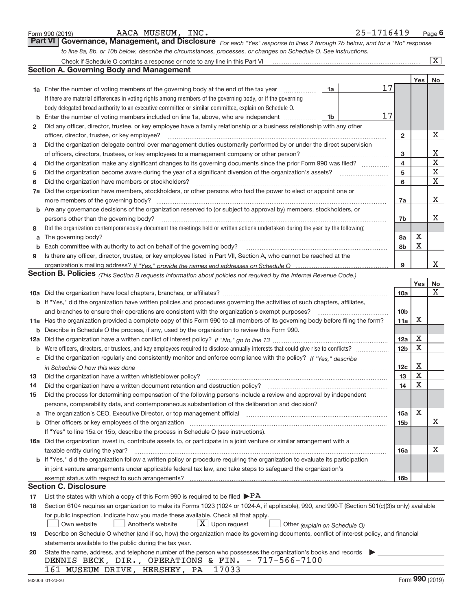|     | AACA MUSEUM, INC.<br>Form 990 (2019)                                                                                                                                                                                          |    | 25-1716419 |                        |                       | Page $6$                |
|-----|-------------------------------------------------------------------------------------------------------------------------------------------------------------------------------------------------------------------------------|----|------------|------------------------|-----------------------|-------------------------|
|     | Governance, Management, and Disclosure For each "Yes" response to lines 2 through 7b below, and for a "No" response<br><b>Part VI</b>                                                                                         |    |            |                        |                       |                         |
|     | to line 8a, 8b, or 10b below, describe the circumstances, processes, or changes on Schedule O. See instructions.                                                                                                              |    |            |                        |                       |                         |
|     |                                                                                                                                                                                                                               |    |            |                        |                       | $\overline{\mathbf{X}}$ |
|     | <b>Section A. Governing Body and Management</b>                                                                                                                                                                               |    |            |                        |                       |                         |
|     |                                                                                                                                                                                                                               |    |            |                        | Yes                   | No                      |
|     | 1a Enter the number of voting members of the governing body at the end of the tax year <i>manument</i>                                                                                                                        | 1a | 17         |                        |                       |                         |
|     | If there are material differences in voting rights among members of the governing body, or if the governing                                                                                                                   |    |            |                        |                       |                         |
|     | body delegated broad authority to an executive committee or similar committee, explain on Schedule O.                                                                                                                         |    |            |                        |                       |                         |
| b   | Enter the number of voting members included on line 1a, above, who are independent                                                                                                                                            | 1b | 17         |                        |                       |                         |
| 2   | Did any officer, director, trustee, or key employee have a family relationship or a business relationship with any other                                                                                                      |    |            |                        |                       |                         |
|     | officer, director, trustee, or key employee?                                                                                                                                                                                  |    |            | $\overline{2}$         |                       | х                       |
| 3   | Did the organization delegate control over management duties customarily performed by or under the direct supervision                                                                                                         |    |            |                        |                       |                         |
|     |                                                                                                                                                                                                                               |    |            | 3                      |                       | х                       |
| 4   | Did the organization make any significant changes to its governing documents since the prior Form 990 was filed?                                                                                                              |    |            | 4                      |                       | X                       |
| 5   |                                                                                                                                                                                                                               |    |            | 5                      |                       | $\mathbf X$             |
| 6   | Did the organization have members or stockholders?                                                                                                                                                                            |    |            | 6                      |                       | X                       |
|     | Did the organization have members, stockholders, or other persons who had the power to elect or appoint one or                                                                                                                |    |            |                        |                       |                         |
| 7a  |                                                                                                                                                                                                                               |    |            |                        |                       | х                       |
|     | more members of the governing body?<br><b>b</b> Are any governance decisions of the organization reserved to (or subject to approval by) members, stockholders, or                                                            |    |            | 7a                     |                       |                         |
|     |                                                                                                                                                                                                                               |    |            |                        |                       | x                       |
|     | persons other than the governing body?                                                                                                                                                                                        |    |            | 7b                     |                       |                         |
| 8   | Did the organization contemporaneously document the meetings held or written actions undertaken during the year by the following:                                                                                             |    |            |                        | х                     |                         |
| a   | The governing body? [11] matter is a construction of the state of the state of the state of the state of the state of the state of the state of the state of the state of the state of the state of the state of the state of |    |            | 8a                     | $\mathbf X$           |                         |
| b   |                                                                                                                                                                                                                               |    |            | 8b                     |                       |                         |
| 9   | Is there any officer, director, trustee, or key employee listed in Part VII, Section A, who cannot be reached at the                                                                                                          |    |            | 9                      |                       | x                       |
|     |                                                                                                                                                                                                                               |    |            |                        |                       |                         |
|     | Section B. Policies (This Section B requests information about policies not required by the Internal Revenue Code.)                                                                                                           |    |            |                        | Yes                   |                         |
|     |                                                                                                                                                                                                                               |    |            |                        |                       | No<br>Χ                 |
|     |                                                                                                                                                                                                                               |    |            | 10a                    |                       |                         |
|     | b If "Yes," did the organization have written policies and procedures governing the activities of such chapters, affiliates,                                                                                                  |    |            |                        |                       |                         |
|     | and branches to ensure their operations are consistent with the organization's exempt purposes?                                                                                                                               |    |            | 10 <sub>b</sub><br>11a | х                     |                         |
|     | 11a Has the organization provided a complete copy of this Form 990 to all members of its governing body before filing the form?                                                                                               |    |            |                        |                       |                         |
| b   | Describe in Schedule O the process, if any, used by the organization to review this Form 990.                                                                                                                                 |    |            |                        | Х                     |                         |
| 12a |                                                                                                                                                                                                                               |    |            | 12a<br>12 <sub>b</sub> | $\mathbf X$           |                         |
| b   |                                                                                                                                                                                                                               |    |            |                        |                       |                         |
| С   | Did the organization regularly and consistently monitor and enforce compliance with the policy? If "Yes," describe                                                                                                            |    |            |                        | Х                     |                         |
|     |                                                                                                                                                                                                                               |    |            | 12c                    | $\overline{\text{X}}$ |                         |
| 13  | Did the organization have a written whistleblower policy?                                                                                                                                                                     |    |            | 13                     | X                     |                         |
| 14  | Did the organization have a written document retention and destruction policy?                                                                                                                                                |    |            | 14                     |                       |                         |
| 15  | Did the process for determining compensation of the following persons include a review and approval by independent                                                                                                            |    |            |                        |                       |                         |
|     | persons, comparability data, and contemporaneous substantiation of the deliberation and decision?                                                                                                                             |    |            |                        |                       |                         |
| а   | The organization's CEO, Executive Director, or top management official manufactured contains and contained a support of the organization's CEO, Executive Director, or top management official                                |    |            | 15a                    | Х                     |                         |
| b   | Other officers or key employees of the organization                                                                                                                                                                           |    |            | 15b                    |                       | x                       |
|     | If "Yes" to line 15a or 15b, describe the process in Schedule O (see instructions).                                                                                                                                           |    |            |                        |                       |                         |
|     | 16a Did the organization invest in, contribute assets to, or participate in a joint venture or similar arrangement with a                                                                                                     |    |            |                        |                       |                         |
|     | taxable entity during the year?                                                                                                                                                                                               |    |            | 16a                    |                       | x                       |
|     | b If "Yes," did the organization follow a written policy or procedure requiring the organization to evaluate its participation                                                                                                |    |            |                        |                       |                         |
|     | in joint venture arrangements under applicable federal tax law, and take steps to safeguard the organization's                                                                                                                |    |            |                        |                       |                         |
|     |                                                                                                                                                                                                                               |    |            | <b>16b</b>             |                       |                         |
|     | <b>Section C. Disclosure</b>                                                                                                                                                                                                  |    |            |                        |                       |                         |
| 17  | List the states with which a copy of this Form 990 is required to be filed $\blacktriangleright$ PA                                                                                                                           |    |            |                        |                       |                         |
| 18  | Section 6104 requires an organization to make its Forms 1023 (1024 or 1024-A, if applicable), 990, and 990-T (Section 501(c)(3)s only) available                                                                              |    |            |                        |                       |                         |
|     | for public inspection. Indicate how you made these available. Check all that apply.                                                                                                                                           |    |            |                        |                       |                         |
|     | $X$ Upon request<br>Own website<br>Another's website<br>Other (explain on Schedule O)                                                                                                                                         |    |            |                        |                       |                         |
| 19  | Describe on Schedule O whether (and if so, how) the organization made its governing documents, conflict of interest policy, and financial                                                                                     |    |            |                        |                       |                         |
|     | statements available to the public during the tax year.                                                                                                                                                                       |    |            |                        |                       |                         |
| 20  | State the name, address, and telephone number of the person who possesses the organization's books and records                                                                                                                |    |            |                        |                       |                         |
|     | DENNIS BECK, DIR., OPERATIONS & FIN. - 717-566-7100                                                                                                                                                                           |    |            |                        |                       |                         |
|     | 17033<br>161 MUSEUM DRIVE, HERSHEY, PA                                                                                                                                                                                        |    |            |                        |                       |                         |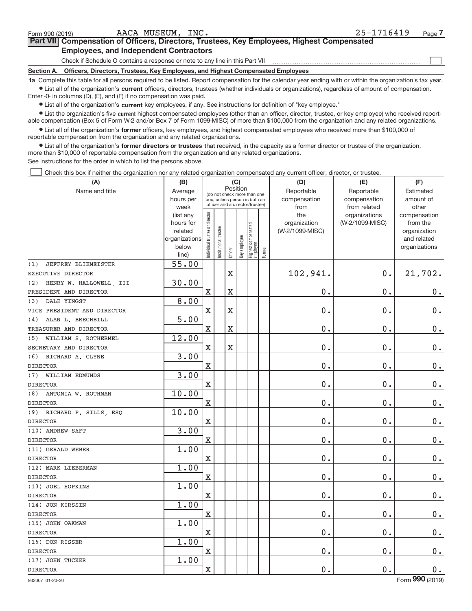$\begin{array}{c} \boxed{1} \\ \boxed{1} \\ \end{array}$ 

#### **Part VII Compensation of Officers, Directors, Trustees, Key Employees, Highest Compensated Employees, and Independent Contractors**

Check if Schedule O contains a response or note to any line in this Part VII

**Section A. Officers, Directors, Trustees, Key Employees, and Highest Compensated Employees**

**1a**  Complete this table for all persons required to be listed. Report compensation for the calendar year ending with or within the organization's tax year. **•** List all of the organization's current officers, directors, trustees (whether individuals or organizations), regardless of amount of compensation.

Enter ‐0‐ in columns (D), (E), and (F) if no compensation was paid.

**•** List all of the organization's current key employees, if any. See instructions for definition of "key employee."

● List the organization's five current highest compensated employees (other than an officer, director, trustee, or key employee) who received report‐ able compensation (Box 5 of Form W‐2 and/or Box 7 of Form 1099‐MISC) of more than \$100,000 from the organization and any related organizations.

 $\bullet$  List all of the organization's former officers, key employees, and highest compensated employees who received more than \$100,000 of reportable compensation from the organization and any related organizations.

**•** List all of the organization's former directors or trustees that received, in the capacity as a former director or trustee of the organization, more than \$10,000 of reportable compensation from the organization and any related organizations.

See instructions for the order in which to list the persons above.

Check this box if neither the organization nor any related organization compensated any current officer, director, or trustee.  $\Box$ 

| (A)                            | (B)                    |                               |                                                              | (C)                   |              |                                  |        | (D)                        | (E)                        | (F)                          |
|--------------------------------|------------------------|-------------------------------|--------------------------------------------------------------|-----------------------|--------------|----------------------------------|--------|----------------------------|----------------------------|------------------------------|
| Name and title                 | Average<br>hours per   |                               | (do not check more than one<br>box, unless person is both an | Position              |              |                                  |        | Reportable<br>compensation | Reportable<br>compensation | Estimated<br>amount of       |
|                                | week                   |                               | officer and a director/trustee)                              |                       |              |                                  |        | from                       | from related               | other                        |
|                                | (list any              |                               |                                                              |                       |              |                                  |        | the                        | organizations              | compensation                 |
|                                | hours for              |                               |                                                              |                       |              |                                  |        | organization               | (W-2/1099-MISC)            | from the                     |
|                                | related                |                               |                                                              |                       |              |                                  |        | (W-2/1099-MISC)            |                            | organization                 |
|                                | organizations<br>below |                               |                                                              |                       |              |                                  |        |                            |                            | and related<br>organizations |
|                                | line)                  | ndividual trustee or director | nstitutional trustee                                         | Officer               | Key employee | Highest compensated<br> employee | Former |                            |                            |                              |
| (1)<br>JEFFREY BLIEMEISTER     | 55.00                  |                               |                                                              |                       |              |                                  |        |                            |                            |                              |
| EXECUTIVE DIRECTOR             |                        |                               |                                                              | $\overline{\text{X}}$ |              |                                  |        | 102,941.                   | 0.                         | 21,702.                      |
| HENRY W. HALLOWELL, III<br>(2) | 30.00                  |                               |                                                              |                       |              |                                  |        |                            |                            |                              |
| PRESIDENT AND DIRECTOR         |                        | $\overline{\text{X}}$         |                                                              | $\overline{\text{X}}$ |              |                                  |        | 0.                         | 0.                         | $0_{.}$                      |
| (3)<br>DALE YINGST             | 8.00                   |                               |                                                              |                       |              |                                  |        |                            |                            |                              |
| VICE PRESIDENT AND DIRECTOR    |                        | $\rm X$                       |                                                              | $\overline{\text{X}}$ |              |                                  |        | 0.                         | 0.                         | $\mathbf 0$ .                |
| ALAN L. BRECHBILL<br>(4)       | 5.00                   |                               |                                                              |                       |              |                                  |        |                            |                            |                              |
| TREASURER AND DIRECTOR         |                        | $\overline{\text{X}}$         |                                                              | $\overline{\text{X}}$ |              |                                  |        | 0.                         | 0.                         | $0$ .                        |
| (5) WILLIAM S. ROTHERMEL       | 12.00                  |                               |                                                              |                       |              |                                  |        |                            |                            |                              |
| SECRETARY AND DIRECTOR         |                        | $\rm X$                       |                                                              | $\overline{\text{X}}$ |              |                                  |        | 0.                         | 0.                         | $0$ .                        |
| (6) RICHARD A. CLYNE           | 3.00                   |                               |                                                              |                       |              |                                  |        |                            |                            |                              |
| <b>DIRECTOR</b>                |                        | $\overline{\text{X}}$         |                                                              |                       |              |                                  |        | 0.                         | 0.                         | $0 \cdot$                    |
| (7) WILLIAM EDMUNDS            | 3.00                   |                               |                                                              |                       |              |                                  |        |                            |                            |                              |
| <b>DIRECTOR</b>                |                        | $\rm X$                       |                                                              |                       |              |                                  |        | 0.                         | 0.                         | $0$ .                        |
| ANTONIA W. ROTHMAN<br>(8)      | 10.00                  |                               |                                                              |                       |              |                                  |        |                            |                            |                              |
| <b>DIRECTOR</b>                |                        | X                             |                                                              |                       |              |                                  |        | $0$ .                      | 0.                         | $0$ .                        |
| (9) RICHARD P. SILLS, ESQ      | 10.00                  |                               |                                                              |                       |              |                                  |        |                            |                            |                              |
| <b>DIRECTOR</b>                |                        | $\rm X$                       |                                                              |                       |              |                                  |        | 0.                         | 0.                         | $0_{.}$                      |
| (10) ANDREW SAFT               | 3.00                   |                               |                                                              |                       |              |                                  |        |                            |                            |                              |
| <b>DIRECTOR</b>                |                        | X                             |                                                              |                       |              |                                  |        | 0.                         | 0.                         | $0 \cdot$                    |
| (11) GERALD WEBER              | 1.00                   |                               |                                                              |                       |              |                                  |        |                            |                            |                              |
| <b>DIRECTOR</b>                |                        | $\rm X$                       |                                                              |                       |              |                                  |        | 0.                         | 0.                         | $\mathbf 0$ .                |
| (12) MARK LIEBERMAN            | 1.00                   |                               |                                                              |                       |              |                                  |        |                            |                            |                              |
| <b>DIRECTOR</b>                |                        | X                             |                                                              |                       |              |                                  |        | 0.                         | 0.                         | $0$ .                        |
| (13) JOEL HOPKINS              | 1.00                   |                               |                                                              |                       |              |                                  |        |                            |                            |                              |
| <b>DIRECTOR</b>                |                        | $\rm X$                       |                                                              |                       |              |                                  |        | $0$ .                      | 0.                         | $\mathbf 0$ .                |
| (14) JON KIRSSIN               | 1.00                   |                               |                                                              |                       |              |                                  |        |                            |                            |                              |
| <b>DIRECTOR</b>                |                        | X                             |                                                              |                       |              |                                  |        | 0.                         | 0.                         | $0 \cdot$                    |
| (15) JOHN OAKMAN               | 1.00                   |                               |                                                              |                       |              |                                  |        |                            |                            |                              |
| <b>DIRECTOR</b>                |                        | $\mathbf X$                   |                                                              |                       |              |                                  |        | 0.                         | 0.                         | $\mathbf 0$ .                |
| (16) DON RISSER                | 1.00                   |                               |                                                              |                       |              |                                  |        |                            |                            |                              |
| <b>DIRECTOR</b>                |                        | $\overline{\text{X}}$         |                                                              |                       |              |                                  |        | 0.                         | 0.                         | $\mathbf 0$ .                |
| (17) JOHN TUCKER               | 1.00                   |                               |                                                              |                       |              |                                  |        |                            |                            |                              |
| <b>DIRECTOR</b>                |                        | $\rm X$                       |                                                              |                       |              |                                  |        | 0.                         | 0.                         | $\mathbf 0$ .                |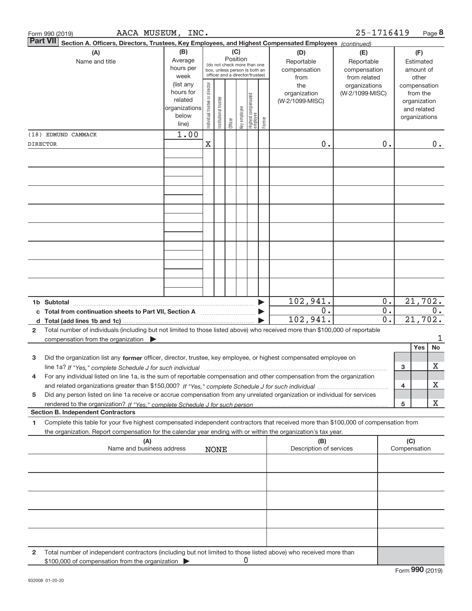| Form 990 (2019)     | AACA MUSEUM, INC.                                                                                                                                                                                                                            |               |                                |                      |         |              |                                                                                                 |        |                                                                                                | 25-1716419                       |                  |                     | Page 8                                                                   |
|---------------------|----------------------------------------------------------------------------------------------------------------------------------------------------------------------------------------------------------------------------------------------|---------------|--------------------------------|----------------------|---------|--------------|-------------------------------------------------------------------------------------------------|--------|------------------------------------------------------------------------------------------------|----------------------------------|------------------|---------------------|--------------------------------------------------------------------------|
| <b>Part VII</b>     | Section A. Officers, Directors, Trustees, Key Employees, and Highest Compensated Employees (continued)                                                                                                                                       |               |                                |                      |         |              |                                                                                                 |        |                                                                                                |                                  |                  |                     |                                                                          |
|                     | (B)<br>(A)<br>Average<br>Name and title<br>hours per<br>week<br>(list any<br>hours for<br>related<br>organizations<br>below                                                                                                                  |               |                                |                      | (C)     | Position     | (do not check more than one<br>box, unless person is both an<br>officer and a director/trustee) |        | (D)<br>(E)<br>Reportable<br>Reportable<br>compensation<br>compensation<br>from related<br>from |                                  |                  |                     | (F)<br>Estimated<br>amount of<br>other                                   |
|                     |                                                                                                                                                                                                                                              |               |                                | nstitutional trustee | Officer | key employee | Highest compensated<br>employee                                                                 | Former | the<br>organization<br>(W-2/1099-MISC)                                                         | organizations<br>(W-2/1099-MISC) |                  |                     | compensation<br>from the<br>organization<br>and related<br>organizations |
| (18) EDMUND CAMMACK |                                                                                                                                                                                                                                              | line)<br>1.00 | Individual trustee or director |                      |         |              |                                                                                                 |        |                                                                                                |                                  |                  |                     |                                                                          |
| DIRECTOR            |                                                                                                                                                                                                                                              |               | $\mathbf X$                    |                      |         |              |                                                                                                 |        | 0.                                                                                             |                                  | 0.               |                     | $0$ .                                                                    |
|                     |                                                                                                                                                                                                                                              |               |                                |                      |         |              |                                                                                                 |        |                                                                                                |                                  |                  |                     |                                                                          |
|                     |                                                                                                                                                                                                                                              |               |                                |                      |         |              |                                                                                                 |        |                                                                                                |                                  |                  |                     |                                                                          |
|                     |                                                                                                                                                                                                                                              |               |                                |                      |         |              |                                                                                                 |        |                                                                                                |                                  |                  |                     |                                                                          |
|                     |                                                                                                                                                                                                                                              |               |                                |                      |         |              |                                                                                                 |        |                                                                                                |                                  |                  |                     |                                                                          |
|                     |                                                                                                                                                                                                                                              |               |                                |                      |         |              |                                                                                                 |        |                                                                                                |                                  |                  |                     |                                                                          |
|                     |                                                                                                                                                                                                                                              |               |                                |                      |         |              |                                                                                                 |        |                                                                                                |                                  |                  |                     |                                                                          |
|                     |                                                                                                                                                                                                                                              |               |                                |                      |         |              |                                                                                                 |        |                                                                                                |                                  |                  |                     |                                                                          |
|                     |                                                                                                                                                                                                                                              |               |                                |                      |         |              |                                                                                                 |        |                                                                                                |                                  |                  |                     |                                                                          |
|                     |                                                                                                                                                                                                                                              |               |                                |                      |         |              |                                                                                                 |        |                                                                                                |                                  |                  |                     |                                                                          |
|                     |                                                                                                                                                                                                                                              |               |                                |                      |         |              |                                                                                                 |        |                                                                                                |                                  |                  |                     |                                                                          |
| 1b Subtotal         |                                                                                                                                                                                                                                              |               |                                |                      |         |              |                                                                                                 |        | 102,941.                                                                                       |                                  | 0.               |                     | 21,702.                                                                  |
| c                   |                                                                                                                                                                                                                                              |               |                                |                      |         |              |                                                                                                 |        | 0.                                                                                             |                                  | $0$ .            |                     | 0.                                                                       |
|                     |                                                                                                                                                                                                                                              |               |                                |                      |         |              |                                                                                                 |        | 102,941.                                                                                       |                                  | $\overline{0}$ . |                     | 21,702.                                                                  |
| 2                   | Total number of individuals (including but not limited to those listed above) who received more than \$100,000 of reportable<br>compensation from the organization $\blacktriangleright$                                                     |               |                                |                      |         |              |                                                                                                 |        |                                                                                                |                                  |                  |                     | ı                                                                        |
|                     |                                                                                                                                                                                                                                              |               |                                |                      |         |              |                                                                                                 |        |                                                                                                |                                  |                  |                     | <b>Yes</b><br>No                                                         |
| 3                   | Did the organization list any former officer, director, trustee, key employee, or highest compensated employee on                                                                                                                            |               |                                |                      |         |              |                                                                                                 |        |                                                                                                |                                  |                  |                     | X                                                                        |
| 4                   | line 1a? If "Yes," complete Schedule J for such individual manufactured contained and the New York Communication<br>For any individual listed on line 1a, is the sum of reportable compensation and other compensation from the organization |               |                                |                      |         |              |                                                                                                 |        |                                                                                                |                                  |                  | 3                   |                                                                          |
|                     |                                                                                                                                                                                                                                              |               |                                |                      |         |              |                                                                                                 |        |                                                                                                |                                  |                  | 4                   | х                                                                        |
| 5                   | Did any person listed on line 1a receive or accrue compensation from any unrelated organization or individual for services                                                                                                                   |               |                                |                      |         |              |                                                                                                 |        |                                                                                                |                                  |                  |                     |                                                                          |
|                     | <b>Section B. Independent Contractors</b>                                                                                                                                                                                                    |               |                                |                      |         |              |                                                                                                 |        |                                                                                                |                                  |                  | 5                   | x                                                                        |
| 1                   | Complete this table for your five highest compensated independent contractors that received more than \$100,000 of compensation from                                                                                                         |               |                                |                      |         |              |                                                                                                 |        |                                                                                                |                                  |                  |                     |                                                                          |
|                     | the organization. Report compensation for the calendar year ending with or within the organization's tax year.                                                                                                                               |               |                                |                      |         |              |                                                                                                 |        |                                                                                                |                                  |                  |                     |                                                                          |
|                     | (A)<br>Name and business address                                                                                                                                                                                                             |               |                                | <b>NONE</b>          |         |              |                                                                                                 |        | (B)<br>Description of services                                                                 |                                  |                  | (C)<br>Compensation |                                                                          |
|                     |                                                                                                                                                                                                                                              |               |                                |                      |         |              |                                                                                                 |        |                                                                                                |                                  |                  |                     |                                                                          |
|                     |                                                                                                                                                                                                                                              |               |                                |                      |         |              |                                                                                                 |        |                                                                                                |                                  |                  |                     |                                                                          |
|                     |                                                                                                                                                                                                                                              |               |                                |                      |         |              |                                                                                                 |        |                                                                                                |                                  |                  |                     |                                                                          |
|                     |                                                                                                                                                                                                                                              |               |                                |                      |         |              |                                                                                                 |        |                                                                                                |                                  |                  |                     |                                                                          |
|                     |                                                                                                                                                                                                                                              |               |                                |                      |         |              |                                                                                                 |        |                                                                                                |                                  |                  |                     |                                                                          |
|                     |                                                                                                                                                                                                                                              |               |                                |                      |         |              |                                                                                                 |        |                                                                                                |                                  |                  |                     |                                                                          |
| 2                   | Total number of independent contractors (including but not limited to those listed above) who received more than<br>\$100,000 of compensation from the organization                                                                          |               |                                |                      |         | 0            |                                                                                                 |        |                                                                                                |                                  |                  |                     |                                                                          |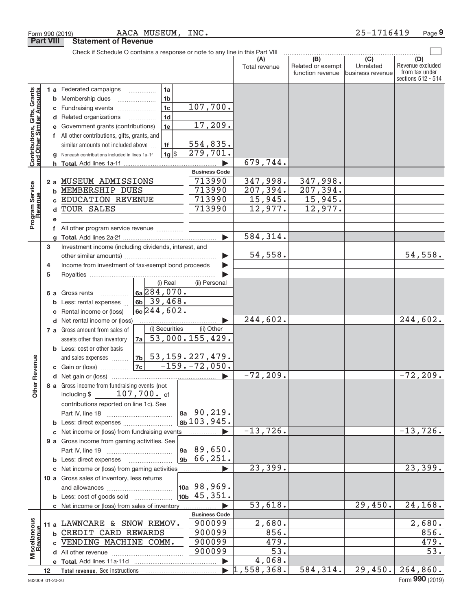|                                                           |                 |                                                                                            | Check if Schedule O contains a response or note to any line in this Part VIII |             |                |                         |                                  |                                              |                                      |                                                                 |
|-----------------------------------------------------------|-----------------|--------------------------------------------------------------------------------------------|-------------------------------------------------------------------------------|-------------|----------------|-------------------------|----------------------------------|----------------------------------------------|--------------------------------------|-----------------------------------------------------------------|
|                                                           |                 |                                                                                            |                                                                               |             |                |                         | Total revenue                    | (B)<br>Related or exempt<br>function revenue | (C)<br>Unrelated<br>business revenue | (D)<br>Revenue excluded<br>from tax under<br>sections 512 - 514 |
|                                                           |                 |                                                                                            | 1 a Federated campaigns                                                       | .           | 1a             |                         |                                  |                                              |                                      |                                                                 |
| Contributions, Gifts, Grants<br>and Other Similar Amounts |                 | b                                                                                          | Membership dues                                                               |             | 1 <sub>b</sub> |                         |                                  |                                              |                                      |                                                                 |
|                                                           |                 | С                                                                                          | Fundraising events                                                            |             | 1 <sub>c</sub> | 107,700.                |                                  |                                              |                                      |                                                                 |
|                                                           |                 |                                                                                            | d Related organizations                                                       |             | 1 <sub>d</sub> |                         |                                  |                                              |                                      |                                                                 |
|                                                           |                 |                                                                                            | Government grants (contributions)                                             |             | 1e             | 17,209.                 |                                  |                                              |                                      |                                                                 |
|                                                           |                 | е                                                                                          |                                                                               |             |                |                         |                                  |                                              |                                      |                                                                 |
|                                                           |                 |                                                                                            | f All other contributions, gifts, grants, and                                 |             |                | 554,835.                |                                  |                                              |                                      |                                                                 |
|                                                           |                 |                                                                                            | similar amounts not included above                                            |             | 1f             | 279,701.                |                                  |                                              |                                      |                                                                 |
|                                                           |                 |                                                                                            | Noncash contributions included in lines 1a-1f                                 |             | $1g$ \$        |                         | 679,744.                         |                                              |                                      |                                                                 |
|                                                           |                 | h.                                                                                         | <b>Total.</b> Add lines 1a-1f                                                 |             |                |                         |                                  |                                              |                                      |                                                                 |
|                                                           |                 |                                                                                            |                                                                               |             |                | <b>Business Code</b>    |                                  |                                              |                                      |                                                                 |
|                                                           |                 | 2a                                                                                         | MUSEUM ADMISSIONS                                                             |             |                | 713990                  | 347,998.                         | 347,998.                                     |                                      |                                                                 |
|                                                           |                 | b                                                                                          | MEMBERSHIP DUES                                                               |             |                | 713990                  | 207, 394.                        | 207, 394.                                    |                                      |                                                                 |
|                                                           |                 |                                                                                            | EDUCATION REVENUE                                                             |             |                | 713990                  | 15,945.                          | 15,945.                                      |                                      |                                                                 |
|                                                           |                 | d                                                                                          | <b>TOUR SALES</b>                                                             |             |                | 713990                  | 12,977.                          | 12,977.                                      |                                      |                                                                 |
| Program Service<br>Revenue                                |                 | е                                                                                          |                                                                               |             |                |                         |                                  |                                              |                                      |                                                                 |
|                                                           |                 | f                                                                                          | All other program service revenue                                             |             |                |                         |                                  |                                              |                                      |                                                                 |
|                                                           |                 | a                                                                                          |                                                                               |             |                |                         | 584, 314.                        |                                              |                                      |                                                                 |
|                                                           | 3               |                                                                                            | Investment income (including dividends, interest, and                         |             |                |                         |                                  |                                              |                                      |                                                                 |
|                                                           |                 |                                                                                            |                                                                               |             |                |                         | 54,558.                          |                                              |                                      | 54,558.                                                         |
|                                                           | 4               |                                                                                            | Income from investment of tax-exempt bond proceeds                            |             |                |                         |                                  |                                              |                                      |                                                                 |
|                                                           | 5               |                                                                                            |                                                                               |             |                |                         |                                  |                                              |                                      |                                                                 |
|                                                           |                 |                                                                                            |                                                                               |             | (i) Real       | (ii) Personal           |                                  |                                              |                                      |                                                                 |
|                                                           |                 | 6а                                                                                         | Gross rents                                                                   | 6a 284,070. |                |                         |                                  |                                              |                                      |                                                                 |
|                                                           |                 | 6b 39, 468.<br>Less: rental expenses<br>b<br>$6c$ 244,602.<br>Rental income or (loss)<br>c |                                                                               |             |                |                         |                                  |                                              |                                      |                                                                 |
|                                                           |                 |                                                                                            |                                                                               |             |                |                         |                                  |                                              |                                      |                                                                 |
|                                                           |                 |                                                                                            | d Net rental income or (loss)                                                 |             |                |                         | 244,602.                         |                                              |                                      | 244,602.                                                        |
|                                                           |                 |                                                                                            | 7 a Gross amount from sales of                                                |             | (i) Securities | (ii) Other              |                                  |                                              |                                      |                                                                 |
|                                                           |                 |                                                                                            | assets other than inventory                                                   | 7al         |                | 53,000.155,429.         |                                  |                                              |                                      |                                                                 |
|                                                           |                 |                                                                                            | <b>b</b> Less: cost or other basis                                            |             |                |                         |                                  |                                              |                                      |                                                                 |
|                                                           |                 |                                                                                            | and sales expenses                                                            |             |                | $7b$ 53, 159. 227, 479. |                                  |                                              |                                      |                                                                 |
| ther Revenue                                              |                 |                                                                                            | <b>c</b> Gain or (loss) $\ldots$                                              | 7c          |                | $-159. -72,050.$        |                                  |                                              |                                      |                                                                 |
|                                                           |                 |                                                                                            |                                                                               |             |                |                         | $-72, 209.$                      |                                              |                                      | $-72, 209.$                                                     |
|                                                           |                 |                                                                                            | 8 a Gross income from fundraising events (not                                 |             |                |                         |                                  |                                              |                                      |                                                                 |
|                                                           |                 |                                                                                            | including \$ 107, 700. of                                                     |             |                |                         |                                  |                                              |                                      |                                                                 |
|                                                           |                 |                                                                                            | contributions reported on line 1c). See                                       |             |                |                         |                                  |                                              |                                      |                                                                 |
|                                                           |                 |                                                                                            |                                                                               |             |                | $ 8a $ 90, 219.         |                                  |                                              |                                      |                                                                 |
|                                                           |                 |                                                                                            | <b>b</b> Less: direct expenses <i>manually contained</i>                      |             |                | 8b <sup>103,945.</sup>  |                                  |                                              |                                      |                                                                 |
|                                                           |                 |                                                                                            | c Net income or (loss) from fundraising events                                |             |                |                         | $-13, 726.$                      |                                              |                                      | $-13,726.$                                                      |
|                                                           |                 |                                                                                            | 9 a Gross income from gaming activities. See                                  |             |                |                         |                                  |                                              |                                      |                                                                 |
|                                                           |                 |                                                                                            |                                                                               |             |                | 9a  89,650.             |                                  |                                              |                                      |                                                                 |
|                                                           |                 |                                                                                            | <b>b</b> Less: direct expenses                                                |             |                | $9b \mid 66, 251.$      |                                  |                                              |                                      |                                                                 |
|                                                           |                 |                                                                                            | c Net income or (loss) from gaming activities                                 |             |                | .                       | 23,399.                          |                                              |                                      | 23,399.                                                         |
|                                                           |                 |                                                                                            | 10 a Gross sales of inventory, less returns                                   |             |                |                         |                                  |                                              |                                      |                                                                 |
|                                                           |                 |                                                                                            |                                                                               |             |                | $\vert$ 10a 98,969.     |                                  |                                              |                                      |                                                                 |
|                                                           |                 |                                                                                            | <b>b</b> Less: cost of goods sold                                             |             |                | $10b$ 45, 351.          |                                  |                                              |                                      |                                                                 |
|                                                           |                 |                                                                                            | c Net income or (loss) from sales of inventory                                |             |                |                         | 53,618.                          |                                              | 29,450.                              | 24,168.                                                         |
|                                                           |                 |                                                                                            |                                                                               |             |                | <b>Business Code</b>    |                                  |                                              |                                      |                                                                 |
|                                                           |                 |                                                                                            | 11 a LAWNCARE & SNOW REMOV.                                                   |             |                | 900099                  | 2,680.                           |                                              |                                      | 2,680.                                                          |
|                                                           |                 |                                                                                            | <b>b CREDIT CARD REWARDS</b>                                                  |             |                | 900099                  | 856.                             |                                              |                                      | 856.                                                            |
| Revenue                                                   |                 |                                                                                            | c VENDING MACHINE COMM.                                                       |             |                | 900099                  | 479.                             |                                              |                                      | 479.                                                            |
| Miscellaneous                                             |                 |                                                                                            |                                                                               |             |                | 900099                  | 53.                              |                                              |                                      | 53.                                                             |
|                                                           |                 |                                                                                            |                                                                               |             |                |                         | 4,068.                           |                                              |                                      |                                                                 |
|                                                           | 12 <sup>2</sup> |                                                                                            | Total revenue. See instructions                                               |             |                |                         | $\blacktriangleright$ 1,558,368. | 584, 314.                                    | 29,450.                              | 264,860.                                                        |

Form 990 (2019) Page AACA MUSEUM, INC. 25‐1716419

**Part VIII Statement of Revenue**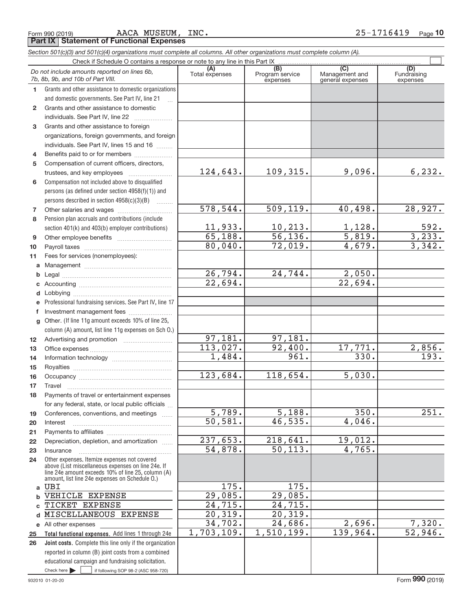**Part IX Statement of Functional Expenses** AACA MUSEUM, INC.

|                 | Section 501(c)(3) and 501(c)(4) organizations must complete all columns. All other organizations must complete column (A).                                                                                 |                           |                                    |                                           |                                |  |  |  |  |  |
|-----------------|------------------------------------------------------------------------------------------------------------------------------------------------------------------------------------------------------------|---------------------------|------------------------------------|-------------------------------------------|--------------------------------|--|--|--|--|--|
|                 | Check if Schedule O contains a response or note to any line in this Part IX                                                                                                                                |                           |                                    |                                           |                                |  |  |  |  |  |
|                 | Do not include amounts reported on lines 6b,<br>7b, 8b, 9b, and 10b of Part VIII.                                                                                                                          | (A)<br>Total expenses     | (B)<br>Program service<br>expenses | (C)<br>Management and<br>general expenses | (D)<br>Fundraising<br>expenses |  |  |  |  |  |
| 1.              | Grants and other assistance to domestic organizations                                                                                                                                                      |                           |                                    |                                           |                                |  |  |  |  |  |
|                 | and domestic governments. See Part IV, line 21                                                                                                                                                             |                           |                                    |                                           |                                |  |  |  |  |  |
| $\mathbf{2}$    | Grants and other assistance to domestic                                                                                                                                                                    |                           |                                    |                                           |                                |  |  |  |  |  |
|                 | individuals. See Part IV, line 22                                                                                                                                                                          |                           |                                    |                                           |                                |  |  |  |  |  |
| 3               | Grants and other assistance to foreign                                                                                                                                                                     |                           |                                    |                                           |                                |  |  |  |  |  |
|                 | organizations, foreign governments, and foreign                                                                                                                                                            |                           |                                    |                                           |                                |  |  |  |  |  |
|                 | individuals. See Part IV, lines 15 and 16                                                                                                                                                                  |                           |                                    |                                           |                                |  |  |  |  |  |
| 4               | Benefits paid to or for members                                                                                                                                                                            |                           |                                    |                                           |                                |  |  |  |  |  |
| 5               | Compensation of current officers, directors,                                                                                                                                                               |                           |                                    |                                           |                                |  |  |  |  |  |
|                 | trustees, and key employees                                                                                                                                                                                | 124,643.                  | 109,315.                           | 9,096.                                    | 6, 232.                        |  |  |  |  |  |
| 6               | Compensation not included above to disqualified                                                                                                                                                            |                           |                                    |                                           |                                |  |  |  |  |  |
|                 | persons (as defined under section 4958(f)(1)) and                                                                                                                                                          |                           |                                    |                                           |                                |  |  |  |  |  |
|                 | persons described in section 4958(c)(3)(B)                                                                                                                                                                 |                           |                                    |                                           |                                |  |  |  |  |  |
| 7               |                                                                                                                                                                                                            | 578, 544.                 | 509, 119.                          | 40,498.                                   | 28,927.                        |  |  |  |  |  |
| 8               | Pension plan accruals and contributions (include                                                                                                                                                           |                           |                                    |                                           |                                |  |  |  |  |  |
|                 | section 401(k) and 403(b) employer contributions)                                                                                                                                                          | $\frac{11,933.}{65,188.}$ | $\frac{10,213.}{56,136.}$          | $\frac{1,128}{5,819}$ .                   | $\frac{592}{3,233}$            |  |  |  |  |  |
| 9               |                                                                                                                                                                                                            |                           |                                    |                                           | 3,342.                         |  |  |  |  |  |
| 10              |                                                                                                                                                                                                            | 80,040.                   | 72,019.                            | 4,679.                                    |                                |  |  |  |  |  |
| 11              | Fees for services (nonemployees):                                                                                                                                                                          |                           |                                    |                                           |                                |  |  |  |  |  |
| a               |                                                                                                                                                                                                            |                           | 24,744.                            | 2,050.                                    |                                |  |  |  |  |  |
| b               |                                                                                                                                                                                                            | 26,794.<br>22,694.        |                                    | 22,694.                                   |                                |  |  |  |  |  |
| С               |                                                                                                                                                                                                            |                           |                                    |                                           |                                |  |  |  |  |  |
| d               |                                                                                                                                                                                                            |                           |                                    |                                           |                                |  |  |  |  |  |
| е               | Professional fundraising services. See Part IV, line 17                                                                                                                                                    |                           |                                    |                                           |                                |  |  |  |  |  |
| f<br>g          | Investment management fees<br>Other. (If line 11g amount exceeds 10% of line 25,                                                                                                                           |                           |                                    |                                           |                                |  |  |  |  |  |
|                 | column (A) amount, list line 11g expenses on Sch O.)                                                                                                                                                       |                           |                                    |                                           |                                |  |  |  |  |  |
| 12 <sup>2</sup> |                                                                                                                                                                                                            | 97,181.                   | 97,181.                            |                                           |                                |  |  |  |  |  |
| 13              |                                                                                                                                                                                                            | 113,027.                  | 92,400.                            | 17,771.                                   |                                |  |  |  |  |  |
| 14              |                                                                                                                                                                                                            | 1,484.                    | 961.                               | $\overline{330}$ .                        | $\frac{2,856.}{193.}$          |  |  |  |  |  |
| 15              |                                                                                                                                                                                                            |                           |                                    |                                           |                                |  |  |  |  |  |
| 16              |                                                                                                                                                                                                            | 123,684.                  | 118,654.                           | 5,030.                                    |                                |  |  |  |  |  |
| 17              |                                                                                                                                                                                                            |                           |                                    |                                           |                                |  |  |  |  |  |
| 18              | Payments of travel or entertainment expenses                                                                                                                                                               |                           |                                    |                                           |                                |  |  |  |  |  |
|                 | for any federal, state, or local public officials                                                                                                                                                          |                           |                                    |                                           |                                |  |  |  |  |  |
| 19              | Conferences, conventions, and meetings                                                                                                                                                                     | 5,789.                    | 5,188.                             | 350.                                      | 251.                           |  |  |  |  |  |
| 20              | Interest                                                                                                                                                                                                   | 50, 581.                  | 46,535.                            | 4,046.                                    |                                |  |  |  |  |  |
| 21              |                                                                                                                                                                                                            |                           |                                    |                                           |                                |  |  |  |  |  |
| 22              | Depreciation, depletion, and amortization                                                                                                                                                                  | 237,653.                  | 218,641.                           | 19,012.                                   |                                |  |  |  |  |  |
| 23              | Insurance                                                                                                                                                                                                  | 54,878.                   | 50, 113.                           | 4,765.                                    |                                |  |  |  |  |  |
| 24              | Other expenses. Itemize expenses not covered<br>above (List miscellaneous expenses on line 24e. If<br>line 24e amount exceeds 10% of line 25, column (A)<br>amount, list line 24e expenses on Schedule O.) |                           |                                    |                                           |                                |  |  |  |  |  |
| a               | UBI                                                                                                                                                                                                        | $\overline{175}$ .        | 175.                               |                                           |                                |  |  |  |  |  |
| b               | VEHICLE EXPENSE                                                                                                                                                                                            | 29,085.                   | 29,085.                            |                                           |                                |  |  |  |  |  |
| C               | TICKET EXPENSE                                                                                                                                                                                             | 24,715.                   | 24,715.                            |                                           |                                |  |  |  |  |  |
| d               | MISCELLANEOUS EXPENSE                                                                                                                                                                                      | 20, 319.                  | 20, 319.                           |                                           |                                |  |  |  |  |  |
|                 | e All other expenses                                                                                                                                                                                       | 34,702.                   | 24,686.                            | 2,696.                                    | 7,320.                         |  |  |  |  |  |
| 25              | Total functional expenses. Add lines 1 through 24e                                                                                                                                                         | 1,703,109.                | 1,510,199.                         | 139,964.                                  | 52,946.                        |  |  |  |  |  |
| 26              | Joint costs. Complete this line only if the organization                                                                                                                                                   |                           |                                    |                                           |                                |  |  |  |  |  |
|                 | reported in column (B) joint costs from a combined                                                                                                                                                         |                           |                                    |                                           |                                |  |  |  |  |  |
|                 | educational campaign and fundraising solicitation.                                                                                                                                                         |                           |                                    |                                           |                                |  |  |  |  |  |
|                 | Check here $\blacktriangleright$<br>if following SOP 98-2 (ASC 958-720)                                                                                                                                    |                           |                                    |                                           |                                |  |  |  |  |  |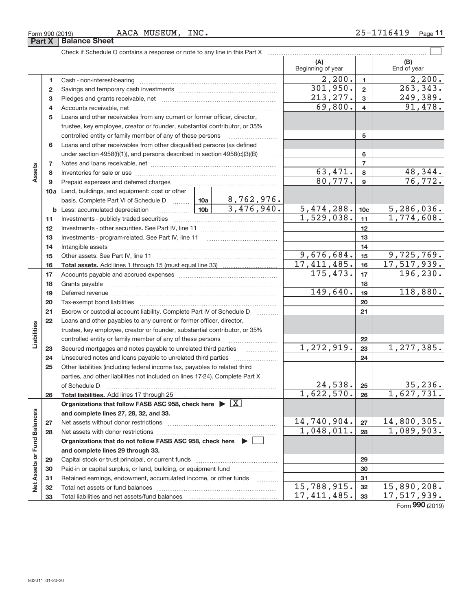|  | $25 - 2$ |  |
|--|----------|--|

|                             |        | AACA MUSEUM, INC.<br>Form 990 (2019)                                                                                                     |                          |                 | 25-1716419<br>$_{\text{Page}}$ 11 |
|-----------------------------|--------|------------------------------------------------------------------------------------------------------------------------------------------|--------------------------|-----------------|-----------------------------------|
|                             | Part X | <b>Balance Sheet</b>                                                                                                                     |                          |                 |                                   |
|                             |        |                                                                                                                                          |                          |                 |                                   |
|                             |        |                                                                                                                                          | (A)<br>Beginning of year |                 | (B)<br>End of year                |
|                             | 1      |                                                                                                                                          | 2,200.                   | $\mathbf{1}$    | 2,200.                            |
|                             | 2      |                                                                                                                                          | 301,950.                 | $\mathbf{2}$    | 263,343.                          |
|                             | 3      |                                                                                                                                          | 213, 277.                | 3               | 249,389.                          |
|                             | 4      |                                                                                                                                          | 69,800.                  | 4               | 91,478.                           |
|                             | 5      | Loans and other receivables from any current or former officer, director,                                                                |                          |                 |                                   |
|                             |        | trustee, key employee, creator or founder, substantial contributor, or 35%                                                               |                          |                 |                                   |
|                             |        | controlled entity or family member of any of these persons <i>manufolder in the controlled</i>                                           |                          | 5               |                                   |
|                             | 6      | Loans and other receivables from other disqualified persons (as defined                                                                  |                          |                 |                                   |
|                             |        | under section $4958(f)(1)$ , and persons described in section $4958(c)(3)(B)$<br>1.1.1.1                                                 |                          | 6               |                                   |
|                             | 7      |                                                                                                                                          |                          | $\overline{7}$  |                                   |
| Assets                      | 8      |                                                                                                                                          | 63, 471.                 | 8               | 48,344.                           |
|                             | 9      | Prepaid expenses and deferred charges [11] [11] [11] [12] [12] [12] [12] [13] [13] [13] [13] [13] [13] [13] [1                           | 80,777.                  | 9               | 76,772.                           |
|                             |        | <b>10a</b> Land, buildings, and equipment: cost or other                                                                                 |                          |                 |                                   |
|                             |        | basis. Complete Part VI of Schedule D $\frac{10a}{\cdots}$ 10a   8,762,976.                                                              |                          |                 |                                   |
|                             |        | 3,476,940.                                                                                                                               | 5,474,288.               | 10 <sub>c</sub> | 5,286,036.                        |
|                             | 11     |                                                                                                                                          | 1,529,038.               | 11              | 1,774,608.                        |
|                             | 12     |                                                                                                                                          |                          | 12              |                                   |
|                             | 13     |                                                                                                                                          |                          | 13              |                                   |
|                             | 14     |                                                                                                                                          |                          | 14              |                                   |
|                             | 15     |                                                                                                                                          | 9,676,684.               | 15              | 9,725,769.                        |
|                             | 16     |                                                                                                                                          | 17, 411, 485.            | 16              | 17, 517, 939.                     |
|                             | 17     |                                                                                                                                          | 175,473.                 | 17              | 196, 230.                         |
|                             | 18     |                                                                                                                                          | 149,640.                 | 18              |                                   |
|                             | 19     |                                                                                                                                          |                          | 19              | 118,880.                          |
|                             | 20     |                                                                                                                                          |                          | 20              |                                   |
|                             | 21     | Escrow or custodial account liability. Complete Part IV of Schedule D                                                                    |                          | 21              |                                   |
|                             | 22     | Loans and other payables to any current or former officer, director,                                                                     |                          |                 |                                   |
| Liabilities                 |        | trustee, key employee, creator or founder, substantial contributor, or 35%<br>controlled entity or family member of any of these persons |                          | 22              |                                   |
|                             | 23     |                                                                                                                                          | 1,272,919.               | 23              | 1,277,385.                        |
|                             | 24     |                                                                                                                                          |                          | 24              |                                   |
|                             | 25     | Other liabilities (including federal income tax, payables to related third                                                               |                          |                 |                                   |
|                             |        | parties, and other liabilities not included on lines 17-24). Complete Part X                                                             |                          |                 |                                   |
|                             |        | of Schedule D                                                                                                                            | 24,538.                  | 25              | 35, 236.                          |
|                             | 26     | Total liabilities. Add lines 17 through 25                                                                                               | 1,622,570.               | 26              | 1,627,731.                        |
|                             |        | Organizations that follow FASB ASC 958, check here $\blacktriangleright \boxed{X}$                                                       |                          |                 |                                   |
|                             |        | and complete lines 27, 28, 32, and 33.                                                                                                   |                          |                 |                                   |
|                             | 27     |                                                                                                                                          | 14,740,904.              | 27              | 14,800,305.                       |
|                             | 28     |                                                                                                                                          | 1,048,011.               | 28              | 1,089,903.                        |
|                             |        | Organizations that do not follow FASB ASC 958, check here $\triangleright$                                                               |                          |                 |                                   |
|                             |        | and complete lines 29 through 33.                                                                                                        |                          |                 |                                   |
|                             | 29     |                                                                                                                                          |                          | 29              |                                   |
|                             | 30     | Paid-in or capital surplus, or land, building, or equipment fund                                                                         |                          | 30              |                                   |
| Net Assets or Fund Balances | 31     | Retained earnings, endowment, accumulated income, or other funds                                                                         |                          | 31              |                                   |
|                             | 32     |                                                                                                                                          | 15,788,915.              | 32              | 15,890,208.                       |
|                             | 33     |                                                                                                                                          | 17, 411, 485.            | 33              | 17,517,939.                       |
|                             |        |                                                                                                                                          |                          |                 | Form 990 (2019)                   |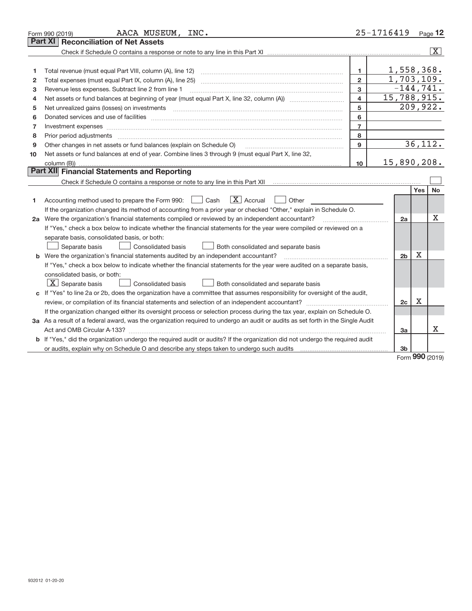|    | AACA MUSEUM, INC.<br>Form 990 (2019)                                                                                                                                                                                                                                                                                                                                                                                                                                       | 25-1716419              |                |     | Page $12$      |
|----|----------------------------------------------------------------------------------------------------------------------------------------------------------------------------------------------------------------------------------------------------------------------------------------------------------------------------------------------------------------------------------------------------------------------------------------------------------------------------|-------------------------|----------------|-----|----------------|
|    | <b>Reconciliation of Net Assets</b><br><b>Part XI</b>                                                                                                                                                                                                                                                                                                                                                                                                                      |                         |                |     |                |
|    |                                                                                                                                                                                                                                                                                                                                                                                                                                                                            |                         |                |     | $ \mathbf{X} $ |
|    |                                                                                                                                                                                                                                                                                                                                                                                                                                                                            |                         |                |     |                |
| 1  | Total revenue (must equal Part VIII, column (A), line 12)                                                                                                                                                                                                                                                                                                                                                                                                                  | $\mathbf{1}$            | 1,558,368.     |     |                |
| 2  | Total expenses (must equal Part IX, column (A), line 25)                                                                                                                                                                                                                                                                                                                                                                                                                   | $\overline{2}$          | 1,703,109.     |     |                |
| з  | Revenue less expenses. Subtract line 2 from line 1                                                                                                                                                                                                                                                                                                                                                                                                                         | 3                       | $-144, 741.$   |     |                |
| 4  |                                                                                                                                                                                                                                                                                                                                                                                                                                                                            | $\overline{\mathbf{4}}$ | 15,788,915.    |     |                |
| 5  | Net unrealized gains (losses) on investments<br>$\overline{a_1, \ldots, a_n, \ldots, a_n, \ldots, a_n, \ldots, a_n, \ldots, a_n, \ldots, a_n, \ldots, a_n, \ldots, a_n, \ldots, a_n, \ldots, a_n, \ldots, a_n, \ldots, a_n, \ldots, a_n, \ldots, a_n, \ldots, a_n, \ldots, a_n, \ldots, a_n, \ldots, a_n, \ldots, a_n, \ldots, a_n, \ldots, a_n, \ldots, a_n, \ldots, a_n, \ldots, a_n, \ldots, a_n, \ldots, a_n, \ldots, a_n, \ldots, a_n, \ldots, a_n, \ldots, a_n, \ld$ | 5                       |                |     | 209,922.       |
| 6  |                                                                                                                                                                                                                                                                                                                                                                                                                                                                            | 6                       |                |     |                |
| 7  | Investment expenses www.communication.com/www.communication.com/www.communication.com/www.com                                                                                                                                                                                                                                                                                                                                                                              | $\overline{7}$          |                |     |                |
| 8  | Prior period adjustments                                                                                                                                                                                                                                                                                                                                                                                                                                                   | 8                       |                |     |                |
| 9  | Other changes in net assets or fund balances (explain on Schedule O)                                                                                                                                                                                                                                                                                                                                                                                                       | $\mathbf{Q}$            |                |     | 36, 112.       |
| 10 | Net assets or fund balances at end of year. Combine lines 3 through 9 (must equal Part X, line 32,                                                                                                                                                                                                                                                                                                                                                                         |                         |                |     |                |
|    |                                                                                                                                                                                                                                                                                                                                                                                                                                                                            | 10                      | 15,890,208.    |     |                |
|    | Part XII Financial Statements and Reporting                                                                                                                                                                                                                                                                                                                                                                                                                                |                         |                |     |                |
|    |                                                                                                                                                                                                                                                                                                                                                                                                                                                                            |                         |                |     |                |
|    |                                                                                                                                                                                                                                                                                                                                                                                                                                                                            |                         |                | Yes | No             |
| 1  | $\boxed{\text{X}}$ Accrual<br>Accounting method used to prepare the Form 990: <u>II</u> Cash<br>Other                                                                                                                                                                                                                                                                                                                                                                      |                         |                |     |                |
|    | If the organization changed its method of accounting from a prior year or checked "Other," explain in Schedule O.                                                                                                                                                                                                                                                                                                                                                          |                         |                |     |                |
|    | 2a Were the organization's financial statements compiled or reviewed by an independent accountant?                                                                                                                                                                                                                                                                                                                                                                         |                         | 2a             |     | Χ              |
|    | If "Yes," check a box below to indicate whether the financial statements for the year were compiled or reviewed on a                                                                                                                                                                                                                                                                                                                                                       |                         |                |     |                |
|    | separate basis, consolidated basis, or both:                                                                                                                                                                                                                                                                                                                                                                                                                               |                         |                |     |                |
|    | Separate basis<br><b>Consolidated basis</b><br>Both consolidated and separate basis                                                                                                                                                                                                                                                                                                                                                                                        |                         |                |     |                |
|    | <b>b</b> Were the organization's financial statements audited by an independent accountant?                                                                                                                                                                                                                                                                                                                                                                                |                         | 2 <sub>b</sub> | Χ   |                |
|    | If "Yes," check a box below to indicate whether the financial statements for the year were audited on a separate basis,                                                                                                                                                                                                                                                                                                                                                    |                         |                |     |                |
|    | consolidated basis, or both:                                                                                                                                                                                                                                                                                                                                                                                                                                               |                         |                |     |                |
|    | $X$ Separate basis<br><b>Consolidated basis</b><br>Both consolidated and separate basis                                                                                                                                                                                                                                                                                                                                                                                    |                         |                |     |                |
|    | c If "Yes" to line 2a or 2b, does the organization have a committee that assumes responsibility for oversight of the audit,                                                                                                                                                                                                                                                                                                                                                |                         |                |     |                |
|    |                                                                                                                                                                                                                                                                                                                                                                                                                                                                            |                         | 2c             | Χ   |                |
|    | If the organization changed either its oversight process or selection process during the tax year, explain on Schedule O.                                                                                                                                                                                                                                                                                                                                                  |                         |                |     |                |
|    | 3a As a result of a federal award, was the organization required to undergo an audit or audits as set forth in the Single Audit                                                                                                                                                                                                                                                                                                                                            |                         |                |     |                |
|    |                                                                                                                                                                                                                                                                                                                                                                                                                                                                            |                         | За             |     | x              |
|    | b If "Yes," did the organization undergo the required audit or audits? If the organization did not undergo the required audit                                                                                                                                                                                                                                                                                                                                              |                         |                |     |                |
|    |                                                                                                                                                                                                                                                                                                                                                                                                                                                                            |                         | 3 <sub>b</sub> |     |                |

Form (2019) **990**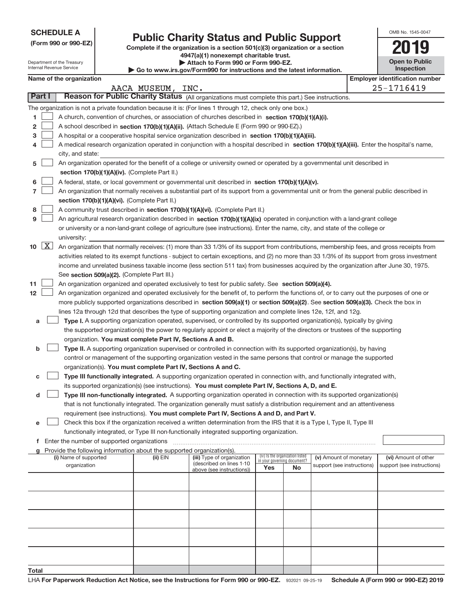| <b>SCHEDULE A</b> |  |
|-------------------|--|
|-------------------|--|

Department of the Treasury Internal Revenue Service

## **Public Charity Status and Public Support**

**(Form 990 or 990‐EZ) Complete if the organization is a section 501(c)(3) organization or a section 4947(a)(1) nonexempt charitable trust.**

| Attach to Form 990 or Form 990-EZ.                                       |  |
|--------------------------------------------------------------------------|--|
| ▶ Go to www.irs.gov/Form990 for instructions and the latest information. |  |

| OMB No. 1545-0047                   |
|-------------------------------------|
| I 19                                |
| <b>Open to Public</b><br>Inspection |

|  | Name of the organization |
|--|--------------------------|
|--|--------------------------|

|                             | Name of the organization                                                                                                                      |              |                            |                                    |                                 |                            | <b>Employer identification number</b> |
|-----------------------------|-----------------------------------------------------------------------------------------------------------------------------------------------|--------------|----------------------------|------------------------------------|---------------------------------|----------------------------|---------------------------------------|
|                             |                                                                                                                                               | AACA MUSEUM, | INC.                       |                                    |                                 |                            | 25-1716419                            |
| Part I                      | Reason for Public Charity Status (All organizations must complete this part.) See instructions.                                               |              |                            |                                    |                                 |                            |                                       |
|                             | The organization is not a private foundation because it is: (For lines 1 through 12, check only one box.)                                     |              |                            |                                    |                                 |                            |                                       |
| 1.                          | A church, convention of churches, or association of churches described in section 170(b)(1)(A)(i).                                            |              |                            |                                    |                                 |                            |                                       |
| 2                           | A school described in section 170(b)(1)(A)(ii). (Attach Schedule E (Form 990 or 990-EZ).)                                                     |              |                            |                                    |                                 |                            |                                       |
| З                           | A hospital or a cooperative hospital service organization described in section 170(b)(1)(A)(iii).                                             |              |                            |                                    |                                 |                            |                                       |
|                             | A medical research organization operated in conjunction with a hospital described in section 170(b)(1)(A)(iii). Enter the hospital's name,    |              |                            |                                    |                                 |                            |                                       |
|                             | city, and state:                                                                                                                              |              |                            |                                    |                                 |                            |                                       |
| 5                           | An organization operated for the benefit of a college or university owned or operated by a governmental unit described in                     |              |                            |                                    |                                 |                            |                                       |
|                             | section 170(b)(1)(A)(iv). (Complete Part II.)                                                                                                 |              |                            |                                    |                                 |                            |                                       |
| 6                           | A federal, state, or local government or governmental unit described in section 170(b)(1)(A)(v).                                              |              |                            |                                    |                                 |                            |                                       |
| 7                           | An organization that normally receives a substantial part of its support from a governmental unit or from the general public described in     |              |                            |                                    |                                 |                            |                                       |
|                             | section 170(b)(1)(A)(vi). (Complete Part II.)                                                                                                 |              |                            |                                    |                                 |                            |                                       |
| 8                           | A community trust described in section 170(b)(1)(A)(vi). (Complete Part II.)                                                                  |              |                            |                                    |                                 |                            |                                       |
| 9                           | An agricultural research organization described in section 170(b)(1)(A)(ix) operated in conjunction with a land-grant college                 |              |                            |                                    |                                 |                            |                                       |
|                             | or university or a non-land-grant college of agriculture (see instructions). Enter the name, city, and state of the college or                |              |                            |                                    |                                 |                            |                                       |
|                             | university:                                                                                                                                   |              |                            |                                    |                                 |                            |                                       |
| $10 \quad \boxed{\text{X}}$ | An organization that normally receives: (1) more than 33 1/3% of its support from contributions, membership fees, and gross receipts from     |              |                            |                                    |                                 |                            |                                       |
|                             | activities related to its exempt functions - subject to certain exceptions, and (2) no more than 33 1/3% of its support from gross investment |              |                            |                                    |                                 |                            |                                       |
|                             | income and unrelated business taxable income (less section 511 tax) from businesses acquired by the organization after June 30, 1975.         |              |                            |                                    |                                 |                            |                                       |
|                             | See section 509(a)(2). (Complete Part III.)                                                                                                   |              |                            |                                    |                                 |                            |                                       |
| 11                          | An organization organized and operated exclusively to test for public safety. See section 509(a)(4).                                          |              |                            |                                    |                                 |                            |                                       |
| 12                          | An organization organized and operated exclusively for the benefit of, to perform the functions of, or to carry out the purposes of one or    |              |                            |                                    |                                 |                            |                                       |
|                             | more publicly supported organizations described in section 509(a)(1) or section 509(a)(2). See section 509(a)(3). Check the box in            |              |                            |                                    |                                 |                            |                                       |
|                             | lines 12a through 12d that describes the type of supporting organization and complete lines 12e, 12f, and 12g.                                |              |                            |                                    |                                 |                            |                                       |
| а                           | Type I. A supporting organization operated, supervised, or controlled by its supported organization(s), typically by giving                   |              |                            |                                    |                                 |                            |                                       |
|                             | the supported organization(s) the power to regularly appoint or elect a majority of the directors or trustees of the supporting               |              |                            |                                    |                                 |                            |                                       |
|                             | organization. You must complete Part IV, Sections A and B.                                                                                    |              |                            |                                    |                                 |                            |                                       |
| b                           | Type II. A supporting organization supervised or controlled in connection with its supported organization(s), by having                       |              |                            |                                    |                                 |                            |                                       |
|                             | control or management of the supporting organization vested in the same persons that control or manage the supported                          |              |                            |                                    |                                 |                            |                                       |
|                             | organization(s). You must complete Part IV, Sections A and C.                                                                                 |              |                            |                                    |                                 |                            |                                       |
| с                           | Type III functionally integrated. A supporting organization operated in connection with, and functionally integrated with,                    |              |                            |                                    |                                 |                            |                                       |
|                             | its supported organization(s) (see instructions). You must complete Part IV, Sections A, D, and E.                                            |              |                            |                                    |                                 |                            |                                       |
| d                           | Type III non-functionally integrated. A supporting organization operated in connection with its supported organization(s)                     |              |                            |                                    |                                 |                            |                                       |
|                             | that is not functionally integrated. The organization generally must satisfy a distribution requirement and an attentiveness                  |              |                            |                                    |                                 |                            |                                       |
|                             | requirement (see instructions). You must complete Part IV, Sections A and D, and Part V.                                                      |              |                            |                                    |                                 |                            |                                       |
|                             | Check this box if the organization received a written determination from the IRS that it is a Type I, Type II, Type III                       |              |                            |                                    |                                 |                            |                                       |
|                             | functionally integrated, or Type III non-functionally integrated supporting organization.                                                     |              |                            |                                    |                                 |                            |                                       |
|                             | f Enter the number of supported organizations                                                                                                 |              |                            |                                    |                                 |                            |                                       |
|                             | g Provide the following information about the supported organization(s).<br>(i) Name of supported                                             | $(ii)$ EIN   | (iii) Type of organization |                                    | (iv) Is the organization listed | (v) Amount of monetary     | (vi) Amount of other                  |
|                             | organization                                                                                                                                  |              | (described on lines 1-10   | in your governing document?<br>Yes | No                              | support (see instructions) | support (see instructions)            |
|                             |                                                                                                                                               |              | above (see instructions))  |                                    |                                 |                            |                                       |
|                             |                                                                                                                                               |              |                            |                                    |                                 |                            |                                       |
|                             |                                                                                                                                               |              |                            |                                    |                                 |                            |                                       |
|                             |                                                                                                                                               |              |                            |                                    |                                 |                            |                                       |
|                             |                                                                                                                                               |              |                            |                                    |                                 |                            |                                       |
|                             |                                                                                                                                               |              |                            |                                    |                                 |                            |                                       |
|                             |                                                                                                                                               |              |                            |                                    |                                 |                            |                                       |
|                             |                                                                                                                                               |              |                            |                                    |                                 |                            |                                       |
|                             |                                                                                                                                               |              |                            |                                    |                                 |                            |                                       |
|                             |                                                                                                                                               |              |                            |                                    |                                 |                            |                                       |
| Total                       |                                                                                                                                               |              |                            |                                    |                                 |                            |                                       |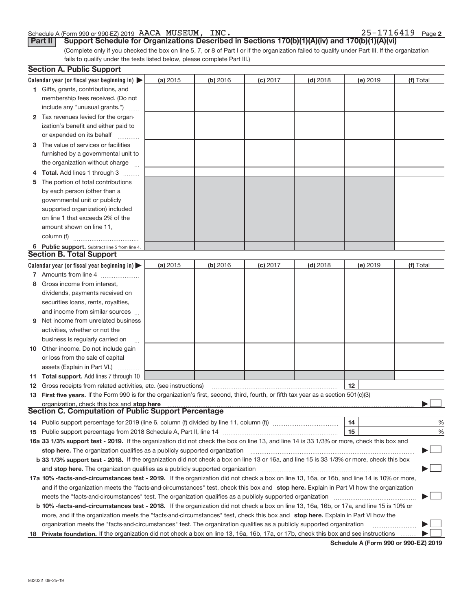#### Schedule A (Form 990 or 990‐EZ) 2019 Page AACA MUSEUM, INC. 25‐1716419

|  | $25 - 1716419$ Page 2 |  |  |  |  |  |  |  |  |  |  |
|--|-----------------------|--|--|--|--|--|--|--|--|--|--|
|--|-----------------------|--|--|--|--|--|--|--|--|--|--|

**Part II** Support Schedule for Organizations Described in Sections 170(b)(1)(A)(iv) and 170(b)(1)(A)(vi)

(Complete only if you checked the box on line 5, 7, or 8 of Part I or if the organization failed to qualify under Part III. If the organization fails to qualify under the tests listed below, please complete Part III.)

|    | <b>Section A. Public Support</b>                                                                                                                                                                                               |          |          |            |            |          |           |
|----|--------------------------------------------------------------------------------------------------------------------------------------------------------------------------------------------------------------------------------|----------|----------|------------|------------|----------|-----------|
|    | Calendar year (or fiscal year beginning in) $\blacktriangleright$                                                                                                                                                              | (a) 2015 | (b) 2016 | $(c)$ 2017 | $(d)$ 2018 | (e) 2019 | (f) Total |
|    | 1 Gifts, grants, contributions, and                                                                                                                                                                                            |          |          |            |            |          |           |
|    | membership fees received. (Do not                                                                                                                                                                                              |          |          |            |            |          |           |
|    | include any "unusual grants.")                                                                                                                                                                                                 |          |          |            |            |          |           |
|    | 2 Tax revenues levied for the organ-                                                                                                                                                                                           |          |          |            |            |          |           |
|    | ization's benefit and either paid to                                                                                                                                                                                           |          |          |            |            |          |           |
|    | or expended on its behalf                                                                                                                                                                                                      |          |          |            |            |          |           |
|    | 3 The value of services or facilities                                                                                                                                                                                          |          |          |            |            |          |           |
|    | furnished by a governmental unit to                                                                                                                                                                                            |          |          |            |            |          |           |
|    | the organization without charge                                                                                                                                                                                                |          |          |            |            |          |           |
|    | <b>Total.</b> Add lines 1 through 3                                                                                                                                                                                            |          |          |            |            |          |           |
| 5  | The portion of total contributions                                                                                                                                                                                             |          |          |            |            |          |           |
|    | by each person (other than a                                                                                                                                                                                                   |          |          |            |            |          |           |
|    | governmental unit or publicly                                                                                                                                                                                                  |          |          |            |            |          |           |
|    | supported organization) included                                                                                                                                                                                               |          |          |            |            |          |           |
|    | on line 1 that exceeds 2% of the                                                                                                                                                                                               |          |          |            |            |          |           |
|    | amount shown on line 11,                                                                                                                                                                                                       |          |          |            |            |          |           |
|    | column (f)                                                                                                                                                                                                                     |          |          |            |            |          |           |
|    | 6 Public support. Subtract line 5 from line 4.                                                                                                                                                                                 |          |          |            |            |          |           |
|    | <b>Section B. Total Support</b>                                                                                                                                                                                                |          |          |            |            |          |           |
|    | Calendar year (or fiscal year beginning in)                                                                                                                                                                                    | (a) 2015 | (b) 2016 | $(c)$ 2017 | $(d)$ 2018 | (e) 2019 | (f) Total |
|    | 7 Amounts from line 4                                                                                                                                                                                                          |          |          |            |            |          |           |
| 8  | Gross income from interest,                                                                                                                                                                                                    |          |          |            |            |          |           |
|    | dividends, payments received on                                                                                                                                                                                                |          |          |            |            |          |           |
|    | securities loans, rents, royalties,                                                                                                                                                                                            |          |          |            |            |          |           |
|    | and income from similar sources                                                                                                                                                                                                |          |          |            |            |          |           |
| 9  | Net income from unrelated business                                                                                                                                                                                             |          |          |            |            |          |           |
|    | activities, whether or not the                                                                                                                                                                                                 |          |          |            |            |          |           |
|    | business is regularly carried on                                                                                                                                                                                               |          |          |            |            |          |           |
|    | <b>10</b> Other income. Do not include gain                                                                                                                                                                                    |          |          |            |            |          |           |
|    | or loss from the sale of capital                                                                                                                                                                                               |          |          |            |            |          |           |
|    | assets (Explain in Part VI.)                                                                                                                                                                                                   |          |          |            |            |          |           |
|    | <b>11 Total support.</b> Add lines 7 through 10                                                                                                                                                                                |          |          |            |            |          |           |
|    | <b>12</b> Gross receipts from related activities, etc. (see instructions)                                                                                                                                                      |          |          |            |            | $12 \,$  |           |
|    | 13 First five years. If the Form 990 is for the organization's first, second, third, fourth, or fifth tax year as a section 501(c)(3)                                                                                          |          |          |            |            |          |           |
|    | organization, check this box and stop here manufactured and according to the state of the state of the state of the state of the state of the state of the state of the state of the state of the state of the state of the st |          |          |            |            |          |           |
|    | <b>Section C. Computation of Public Support Percentage</b>                                                                                                                                                                     |          |          |            |            |          |           |
|    | 14 Public support percentage for 2019 (line 6, column (f) divided by line 11, column (f) <i>mummention</i>                                                                                                                     |          |          |            |            | 14       | %         |
|    |                                                                                                                                                                                                                                |          |          |            |            | 15       | %         |
|    | 16a 33 1/3% support test - 2019. If the organization did not check the box on line 13, and line 14 is 33 1/3% or more, check this box and                                                                                      |          |          |            |            |          |           |
|    | stop here. The organization qualifies as a publicly supported organization                                                                                                                                                     |          |          |            |            |          |           |
|    | b 33 1/3% support test - 2018. If the organization did not check a box on line 13 or 16a, and line 15 is 33 1/3% or more, check this box                                                                                       |          |          |            |            |          |           |
|    | and <b>stop here.</b> The organization qualifies as a publicly supported organization                                                                                                                                          |          |          |            |            |          |           |
|    | 17a 10% -facts-and-circumstances test - 2019. If the organization did not check a box on line 13, 16a, or 16b, and line 14 is 10% or more,                                                                                     |          |          |            |            |          |           |
|    | and if the organization meets the "facts-and-circumstances" test, check this box and stop here. Explain in Part VI how the organization                                                                                        |          |          |            |            |          |           |
|    | meets the "facts-and-circumstances" test. The organization qualifies as a publicly supported organization                                                                                                                      |          |          |            |            |          |           |
|    | <b>b 10% -facts-and-circumstances test - 2018.</b> If the organization did not check a box on line 13, 16a, 16b, or 17a, and line 15 is 10% or                                                                                 |          |          |            |            |          |           |
|    | more, and if the organization meets the "facts-and-circumstances" test, check this box and stop here. Explain in Part VI how the                                                                                               |          |          |            |            |          |           |
|    | organization meets the "facts-and-circumstances" test. The organization qualifies as a publicly supported organization                                                                                                         |          |          |            |            |          |           |
| 18 | Private foundation. If the organization did not check a box on line 13, 16a, 16b, 17a, or 17b, check this box and see instructions                                                                                             |          |          |            |            |          |           |

**Schedule A (Form 990 or 990‐EZ) 2019**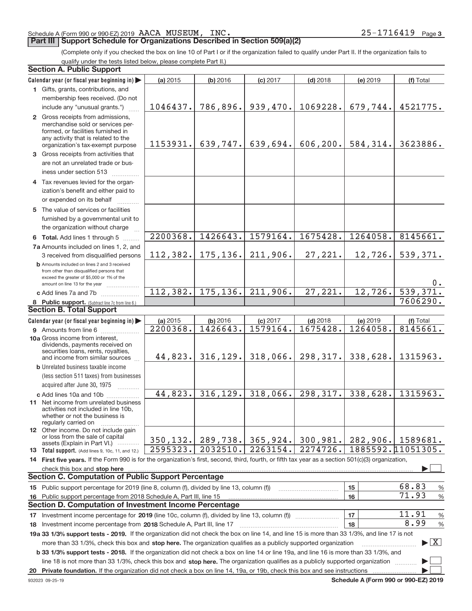#### Schedule A (Form 990 or 990‐EZ) 2019 Page AACA MUSEUM, INC. 25‐1716419

#### **Part III | Support Schedule for Organizations Described in Section 509(a)(2)**

(Complete only if you checked the box on line 10 of Part I or if the organization failed to qualify under Part II. If the organization fails to qualify under the tests listed below, please complete Part II.)

#### 8 Public support. (Subtract line 7c from line 6.) **b** Amounts included on lines 2 and 3 received from other than disqualified persons that exceed the greater of \$5,000 or 1% of the amount on line 13 for the year [1] [1] [1]  $\frac{1}{2}$ 13 Total support. (Add lines 9, 10c, 11, and 12.) **Calendar year (or fiscal year beginning in) | Calendar year (or fiscal year beginning in) | (a)** 2015 **| (b)** 2016 **| (c)** 2017 **| (d)** 2018 **| (e)** 2019 **| (f) 1** Gifts, grants, contributions, and **2** Gross receipts from admissions, **3** Gross receipts from activities that **4** Tax revenues levied for the organ‐ **5** The value of services or facilities **6 Total.** Add lines 1 through 5 ........ **7 a** Amounts included on lines 1, 2, and **c** Add lines 7a and 7b  $\ldots$   $\ldots$   $\ldots$   $\ldots$ **(a)** 2015 **| (b)** 2016 **| (c)** 2017 **| (d)** 2018 **| (e)** 2019 **| (f) 9** Amounts from line 6 .................... **10a** Gross income from interest, **b** Unrelated business taxable income **c** Add lines 10a and 10b  $\ldots$  ............. **11** Net income from unrelated business **12** Other income. Do not include gain 14 First five years. If the Form 990 is for the organization's first, second, third, fourth, or fifth tax year as a section 501(c)(3) organization, **stop here** check this box and | **15** Public support percentage for 2019 (line 8, column (f), divided by line 13, column (f)) **16 15 16 17** Investment income percentage for **2019** (line 10c, column (f), divided by line 13, column (f)) 18 Investment income percentage from 2018 Schedule A, Part III, line 17 **2000** Communical Communication and Tall **19 a 33 1/3% support tests ‐ 2019.**  If the organization did not check the box on line 14, and line 15 is more than 33 1/3%, and line 17 is not **20 Private foundation.**  If the organization did not check a box on line 14, 19a, or 19b, check this box and see instructions | **17 18 b 33 1/3% support tests ‐ 2018.**  If the organization did not check a box on line 14 or line 19a, and line 16 is more than 33 1/3%, and more than 33 1/3%, check this box and stop here. The organization qualifies as a publicly supported organization *manimumment* line 18 is not more than 33 1/3%, check this box and stop here. The organization qualifies as a publicly supported organization  $\Box$ (less section 511 taxes) from businesses acquired after June 30, 1975 2015 **| (b)** 2016 **| (c)** 2017 **| (d)** 2018 **| (e)** 2019 **| (f)** Total membership fees received. (Do not include any "unusual grants.") merchandise sold or services per‐ formed, or facilities furnished in any activity that is related to the organization's tax‐exempt purpose are not an unrelated trade or bus‐ iness under section 513  $\ldots$ ............ ization's benefit and either paid to or expended on its behalf ............ furnished by a governmental unit to the organization without charge 3 received from disqualified persons 2015 **| (b)** 2016 **| (c)** 2017 **| (d)** 2018 **| (e)** 2019 **| (f)** Total dividends, payments received on securities loans, rents, royalties, and income from similar sources ~~~~ activities not included in line 10b, whether or not the business is regularly carried on or loss from the sale of capital assets (Explain in Part VI.) ............ Public support percentage from 2018 Schedule A, Part III, line 15  $~\sim~$   $~\sim~$   $~\mid$  15  $\mid$  68.83 % % 71.93  $-11.91$  % **Section A. Public Support Section B. Total Support Section C. Computation of Public Support Percentage Section D. Computation of Investment Income Percentage**  $\cdot \Box$  $\overline{X}$  $\vdash$  $\cdot \Box$ 1046437. 786,896. 939,470. 1069228. 679,744. 4521775. 1153931. 639,747. 639,694. 606,200. 584,314. 3623886. 2200368. 1426643. 1579164. 1675428. 1264058. 8145661. 2200368. 1426643. 1579164. 1675428. 1264058. 8145661. 112,382. 175,136. 211,906. 27,221. 12,726. 539,371. 0. 112,382. 175,136. 211,906. 27,221. 12,726. 539,37 7606290. 44,823. 316,129. 318,066. 298,317. 338,628. 1315963. 44,823. 316,129. 318,066. 298,317. 338,628. 1315963. 350,132. 289,738. 365,924. 300,981. 282,906. 1589681. 1885592.11051305. 11.91 8.99 2595323. 2032510. 2263154. 2274726.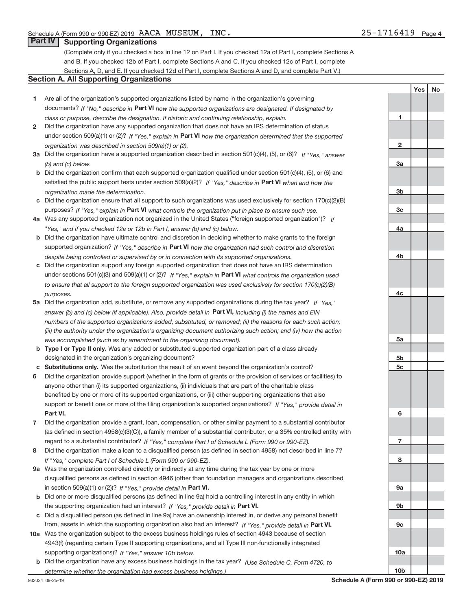**1**

**2**

**3a**

Yes | No

#### **Part IV Supporting Organizations**

(Complete only if you checked a box in line 12 on Part I. If you checked 12a of Part I, complete Sections A and B. If you checked 12b of Part I, complete Sections A and C. If you checked 12c of Part I, complete Sections A, D, and E. If you checked 12d of Part I, complete Sections A and D, and complete Part V.)

#### **Section A. All Supporting Organizations**

- **1** Are all of the organization's supported organizations listed by name in the organization's governing documents? If "No," describe in Part VI how the supported organizations are designated. If designated by *class or purpose, describe the designation. If historic and continuing relationship, explain.*
- **2** Did the organization have any supported organization that does not have an IRS determination of status under section 509(a)(1) or (2)? If "Yes," explain in Part VI how the organization determined that the supported *organization was described in section 509(a)(1) or (2).*
- **3a** Did the organization have a supported organization described in section 501(c)(4), (5), or (6)? If "Yes," answer *(b) and (c) below.*
- **b** Did the organization confirm that each supported organization qualified under section 501(c)(4), (5), or (6) and satisfied the public support tests under section 509(a)(2)? If "Yes," describe in Part VI when and how the *organization made the determination.*
- **c** Did the organization ensure that all support to such organizations was used exclusively for section 170(c)(2)(B) purposes? If "Yes," explain in Part VI what controls the organization put in place to ensure such use.
- **4 a** *If* Was any supported organization not organized in the United States ("foreign supported organization")? *"Yes," and if you checked 12a or 12b in Part I, answer (b) and (c) below.*
- **b** Did the organization have ultimate control and discretion in deciding whether to make grants to the foreign supported organization? If "Yes," describe in Part VI how the organization had such control and discretion *despite being controlled or supervised by or in connection with its supported organizations.*
- **c** Did the organization support any foreign supported organization that does not have an IRS determination under sections 501(c)(3) and 509(a)(1) or (2)? If "Yes," explain in Part VI what controls the organization used *to ensure that all support to the foreign supported organization was used exclusively for section 170(c)(2)(B) purposes.*
- **5a** Did the organization add, substitute, or remove any supported organizations during the tax year? If "Yes," answer (b) and (c) below (if applicable). Also, provide detail in **Part VI,** including (i) the names and EIN *numbers of the supported organizations added, substituted, or removed; (ii) the reasons for each such action; (iii) the authority under the organization's organizing document authorizing such action; and (iv) how the action was accomplished (such as by amendment to the organizing document).*
- **b** Type I or Type II only. Was any added or substituted supported organization part of a class already designated in the organization's organizing document?
- **c Substitutions only.**  Was the substitution the result of an event beyond the organization's control?
- **6** Did the organization provide support (whether in the form of grants or the provision of services or facilities) to **Part VI.** *If "Yes," provide detail in* support or benefit one or more of the filing organization's supported organizations? anyone other than (i) its supported organizations, (ii) individuals that are part of the charitable class benefited by one or more of its supported organizations, or (iii) other supporting organizations that also
- **7** Did the organization provide a grant, loan, compensation, or other similar payment to a substantial contributor regard to a substantial contributor? If "Yes," complete Part I of Schedule L (Form 990 or 990-EZ). (as defined in section 4958(c)(3)(C)), a family member of a substantial contributor, or a 35% controlled entity with
- **8** Did the organization make a loan to a disqualified person (as defined in section 4958) not described in line 7? *If "Yes," complete Part I of Schedule L (Form 990 or 990-EZ).*
- **9 a** Was the organization controlled directly or indirectly at any time during the tax year by one or more in section 509(a)(1) or (2))? If "Yes," provide detail in Part VI. disqualified persons as defined in section 4946 (other than foundation managers and organizations described
- **b** Did one or more disqualified persons (as defined in line 9a) hold a controlling interest in any entity in which the supporting organization had an interest? If "Yes," provide detail in Part VI.
- **c** Did a disqualified person (as defined in line 9a) have an ownership interest in, or derive any personal benefit from, assets in which the supporting organization also had an interest? If "Yes," provide detail in Part VI.
- **10 a** Was the organization subject to the excess business holdings rules of section 4943 because of section supporting organizations)? If "Yes," answer 10b below. 4943(f) (regarding certain Type II supporting organizations, and all Type III non‐functionally integrated
	- **b** Did the organization have any excess business holdings in the tax year? (Use Schedule C, Form 4720, to *determine whether the organization had excess business holdings.)*

**10b**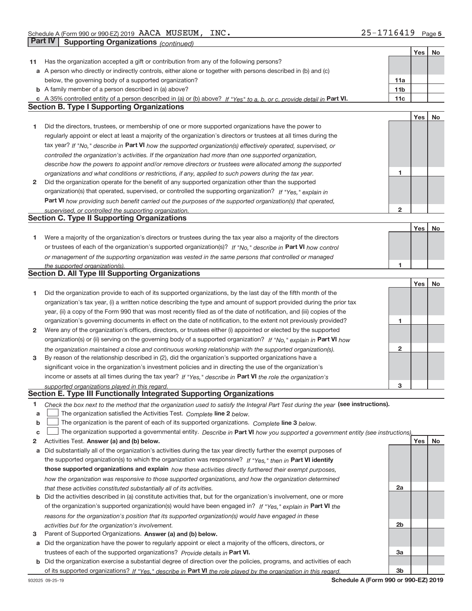|    |                                                                                                                                   |                 | Yes | No |
|----|-----------------------------------------------------------------------------------------------------------------------------------|-----------------|-----|----|
| 11 | Has the organization accepted a gift or contribution from any of the following persons?                                           |                 |     |    |
|    | a A person who directly or indirectly controls, either alone or together with persons described in (b) and (c)                    |                 |     |    |
|    | below, the governing body of a supported organization?                                                                            | 11a             |     |    |
|    | <b>b</b> A family member of a person described in (a) above?                                                                      | 11 <sub>b</sub> |     |    |
|    | c A 35% controlled entity of a person described in (a) or (b) above? If "Yes" to a, b, or c, provide detail in Part VI.           | 11c             |     |    |
|    | <b>Section B. Type I Supporting Organizations</b>                                                                                 |                 |     |    |
|    |                                                                                                                                   |                 | Yes | No |
| 1  | Did the directors, trustees, or membership of one or more supported organizations have the power to                               |                 |     |    |
|    | regularly appoint or elect at least a majority of the organization's directors or trustees at all times during the                |                 |     |    |
|    | tax year? If "No," describe in Part VI how the supported organization(s) effectively operated, supervised, or                     |                 |     |    |
|    |                                                                                                                                   |                 |     |    |
|    | controlled the organization's activities. If the organization had more than one supported organization,                           |                 |     |    |
|    | describe how the powers to appoint and/or remove directors or trustees were allocated among the supported                         |                 |     |    |
|    | organizations and what conditions or restrictions, if any, applied to such powers during the tax year.                            | 1               |     |    |
| 2  | Did the organization operate for the benefit of any supported organization other than the supported                               |                 |     |    |
|    | organization(s) that operated, supervised, or controlled the supporting organization? If "Yes," explain in                        |                 |     |    |
|    | Part VI how providing such benefit carried out the purposes of the supported organization(s) that operated,                       |                 |     |    |
|    | supervised, or controlled the supporting organization.                                                                            | $\overline{2}$  |     |    |
|    | <b>Section C. Type II Supporting Organizations</b>                                                                                |                 |     |    |
|    |                                                                                                                                   |                 | Yes | No |
| 1  | Were a majority of the organization's directors or trustees during the tax year also a majority of the directors                  |                 |     |    |
|    | or trustees of each of the organization's supported organization(s)? If "No," describe in Part VI how control                     |                 |     |    |
|    | or management of the supporting organization was vested in the same persons that controlled or managed                            |                 |     |    |
|    | the supported organization(s).                                                                                                    | 1.              |     |    |
|    | <b>Section D. All Type III Supporting Organizations</b>                                                                           |                 |     |    |
|    |                                                                                                                                   |                 | Yes | No |
| 1  | Did the organization provide to each of its supported organizations, by the last day of the fifth month of the                    |                 |     |    |
|    | organization's tax year, (i) a written notice describing the type and amount of support provided during the prior tax             |                 |     |    |
|    | year, (ii) a copy of the Form 990 that was most recently filed as of the date of notification, and (iii) copies of the            |                 |     |    |
|    | organization's governing documents in effect on the date of notification, to the extent not previously provided?                  | 1               |     |    |
| 2  | Were any of the organization's officers, directors, or trustees either (i) appointed or elected by the supported                  |                 |     |    |
|    | organization(s) or (ii) serving on the governing body of a supported organization? If "No," explain in Part VI how                |                 |     |    |
|    | the organization maintained a close and continuous working relationship with the supported organization(s).                       | 2               |     |    |
| 3  | By reason of the relationship described in (2), did the organization's supported organizations have a                             |                 |     |    |
|    | significant voice in the organization's investment policies and in directing the use of the organization's                        |                 |     |    |
|    | income or assets at all times during the tax year? If "Yes," describe in Part VI the role the organization's                      |                 |     |    |
|    | supported organizations played in this regard.                                                                                    | з               |     |    |
|    | Section E. Type III Functionally Integrated Supporting Organizations                                                              |                 |     |    |
| 1  | Check the box next to the method that the organization used to satisfy the Integral Part Test during the year (see instructions). |                 |     |    |
| a  | The organization satisfied the Activities Test. Complete line 2 below.                                                            |                 |     |    |
| b  | The organization is the parent of each of its supported organizations. Complete line 3 below.                                     |                 |     |    |
| C  | The organization supported a governmental entity. Describe in Part VI how you supported a government entity (see instructions),   |                 |     |    |
| 2  | Activities Test. Answer (a) and (b) below.                                                                                        |                 | Yes | No |
|    |                                                                                                                                   |                 |     |    |
| а  | Did substantially all of the organization's activities during the tax year directly further the exempt purposes of                |                 |     |    |
|    | the supported organization(s) to which the organization was responsive? If "Yes," then in Part VI identify                        |                 |     |    |
|    | those supported organizations and explain how these activities directly furthered their exempt purposes,                          |                 |     |    |
|    | how the organization was responsive to those supported organizations, and how the organization determined                         |                 |     |    |
|    | that these activities constituted substantially all of its activities.                                                            | 2a              |     |    |
| b  | Did the activities described in (a) constitute activities that, but for the organization's involvement, one or more               |                 |     |    |
|    | of the organization's supported organization(s) would have been engaged in? If "Yes," explain in Part VI the                      |                 |     |    |
|    | reasons for the organization's position that its supported organization(s) would have engaged in these                            |                 |     |    |
|    | activities but for the organization's involvement.                                                                                | 2 <sub>b</sub>  |     |    |
| 3  | Parent of Supported Organizations. Answer (a) and (b) below.                                                                      |                 |     |    |
| а  | Did the organization have the power to regularly appoint or elect a majority of the officers, directors, or                       |                 |     |    |
|    | trustees of each of the supported organizations? Provide details in Part VI.                                                      | За              |     |    |
| b  | Did the organization exercise a substantial degree of direction over the policies, programs, and activities of each               |                 |     |    |
|    | of its supported organizations? If "Yes," describe in Part VI the role played by the organization in this regard.                 | 3b              |     |    |

**Schedule A (Form 990 or 990‐EZ) 2019**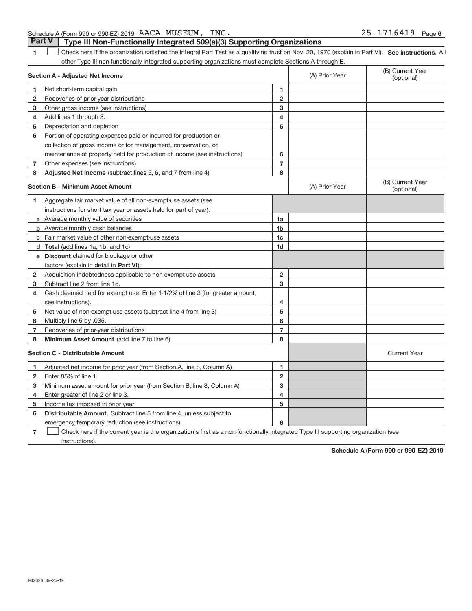|  | $M_{\rm b}$ , $\mu$ is $\mu$ , $\mu$ , $\mu$ , $\mu$ , $\mu$ , $\mu$ , $\mu$ , $\mu$ , $\mu$ , $\mu$ , $\mu$ , $\mu$ , $\mu$ , $\mu$ , $\mu$ , $\mu$ , $\mu$ , $\mu$ , $\mu$ , $\mu$ , $\mu$ , $\mu$ , $\mu$ , $\mu$ , $\mu$ , $\mu$ , $\mu$ , $\mu$ , $\mu$ , $\mu$ , $\mu$ , $\mu$ , $\mu$ , $\mu$ , |  |  |
|--|--------------------------------------------------------------------------------------------------------------------------------------------------------------------------------------------------------------------------------------------------------------------------------------------------------|--|--|

|   | Adjusted net income for prior year (from Section A, line 8, Column A)                                                             |        |  |  |
|---|-----------------------------------------------------------------------------------------------------------------------------------|--------|--|--|
|   | Enter 85% of line 1.                                                                                                              | 0      |  |  |
| з | Minimum asset amount for prior year (from Section B, line 8, Column A)                                                            | ົ<br>œ |  |  |
| 4 | Enter greater of line 2 or line 3.                                                                                                | 4      |  |  |
| 5 | Income tax imposed in prior year                                                                                                  | 5      |  |  |
| 6 | <b>Distributable Amount.</b> Subtract line 5 from line 4, unless subject to                                                       |        |  |  |
|   | emergency temporary reduction (see instructions).                                                                                 | 6      |  |  |
|   | Check here if the current year is the organization's first as a non-functionally integrated Type III supporting organization (see |        |  |  |
|   | instructions).                                                                                                                    |        |  |  |

# **Schedule A (Form 990 or 990‐EZ) 2019**

#### Schedule A (Form 990 or 990‐EZ) 2019 Page AACA MUSEUM, INC. 25‐1716419**Part V** Type III Non-Functionally Integrated 509(a)(3) Supporting Organizations

1 **1 See instructions.** All Part I Respond Part Test as a qualifying trust on Nov. 20, 1970 (explain in Part VI). See instructions. All other Type III non‐functionally integrated supporting organizations must complete Sections A through E.  $\overline{\phantom{a}}$ 

|                | <b>Section A - Adjusted Net Income</b>                                                                                            |                | (A) Prior Year | (B) Current Year<br>(optional) |
|----------------|-----------------------------------------------------------------------------------------------------------------------------------|----------------|----------------|--------------------------------|
| 1              | Net short-term capital gain                                                                                                       | 1              |                |                                |
| 2              | Recoveries of prior-year distributions                                                                                            | $\mathbf{2}$   |                |                                |
| 3              | Other gross income (see instructions)                                                                                             | 3              |                |                                |
| 4              | Add lines 1 through 3.                                                                                                            | 4              |                |                                |
| 5              | Depreciation and depletion                                                                                                        | 5              |                |                                |
| 6              | Portion of operating expenses paid or incurred for production or                                                                  |                |                |                                |
|                | collection of gross income or for management, conservation, or                                                                    |                |                |                                |
|                | maintenance of property held for production of income (see instructions)                                                          | 6              |                |                                |
| 7              | Other expenses (see instructions)                                                                                                 | $\overline{7}$ |                |                                |
| 8              | Adjusted Net Income (subtract lines 5, 6, and 7 from line 4)                                                                      | 8              |                |                                |
|                | <b>Section B - Minimum Asset Amount</b>                                                                                           |                | (A) Prior Year | (B) Current Year<br>(optional) |
| 1              | Aggregate fair market value of all non-exempt-use assets (see                                                                     |                |                |                                |
|                | instructions for short tax year or assets held for part of year):                                                                 |                |                |                                |
|                | a Average monthly value of securities                                                                                             | 1a             |                |                                |
|                | <b>b</b> Average monthly cash balances                                                                                            | 1 <sub>b</sub> |                |                                |
|                | <b>c</b> Fair market value of other non-exempt-use assets                                                                         | 1c             |                |                                |
|                | d Total (add lines 1a, 1b, and 1c)                                                                                                | 1 <sub>d</sub> |                |                                |
|                | e Discount claimed for blockage or other                                                                                          |                |                |                                |
|                | factors (explain in detail in <b>Part VI</b> ):                                                                                   |                |                |                                |
| 2              | Acquisition indebtedness applicable to non-exempt-use assets                                                                      | $\mathbf{2}$   |                |                                |
| 3              | Subtract line 2 from line 1d.                                                                                                     | 3              |                |                                |
| 4              | Cash deemed held for exempt use. Enter 1-1/2% of line 3 (for greater amount,                                                      |                |                |                                |
|                | see instructions).                                                                                                                | 4              |                |                                |
| 5              | Net value of non-exempt-use assets (subtract line 4 from line 3)                                                                  | 5              |                |                                |
| 6              | Multiply line 5 by .035.                                                                                                          | 6              |                |                                |
| 7              | Recoveries of prior-year distributions                                                                                            | $\overline{7}$ |                |                                |
| 8              | Minimum Asset Amount (add line 7 to line 6)                                                                                       | 8              |                |                                |
|                | <b>Section C - Distributable Amount</b>                                                                                           |                |                | <b>Current Year</b>            |
| 1              | Adjusted net income for prior year (from Section A, line 8, Column A)                                                             | 1              |                |                                |
| 2              | Enter 85% of line 1.                                                                                                              | $\overline{2}$ |                |                                |
| 3              | Minimum asset amount for prior year (from Section B, line 8, Column A)                                                            | 3              |                |                                |
| 4              | Enter greater of line 2 or line 3.                                                                                                | 4              |                |                                |
| 5              | Income tax imposed in prior year                                                                                                  | 5              |                |                                |
| 6              | <b>Distributable Amount.</b> Subtract line 5 from line 4, unless subject to                                                       |                |                |                                |
|                | emergency temporary reduction (see instructions).                                                                                 | 6              |                |                                |
| $\overline{7}$ | Check here if the current year is the organization's first as a non-functionally integrated Type III supporting organization (see |                |                |                                |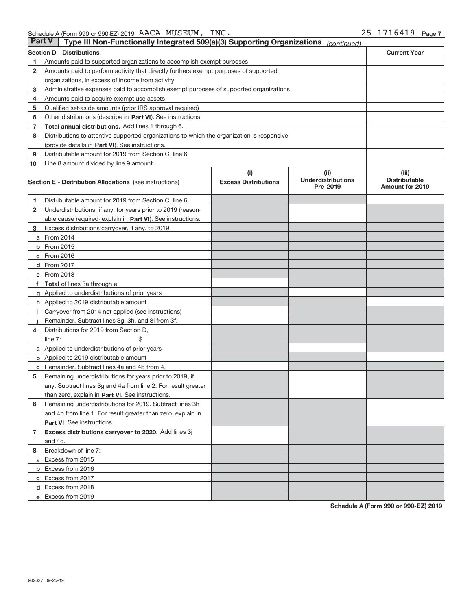|              | <b>Part V</b><br>Type III Non-Functionally Integrated 509(a)(3) Supporting Organizations<br>(continued) |                                    |                                                |                                                         |  |  |  |
|--------------|---------------------------------------------------------------------------------------------------------|------------------------------------|------------------------------------------------|---------------------------------------------------------|--|--|--|
|              | <b>Section D - Distributions</b>                                                                        |                                    |                                                | <b>Current Year</b>                                     |  |  |  |
| 1            | Amounts paid to supported organizations to accomplish exempt purposes                                   |                                    |                                                |                                                         |  |  |  |
| 2            | Amounts paid to perform activity that directly furthers exempt purposes of supported                    |                                    |                                                |                                                         |  |  |  |
|              | organizations, in excess of income from activity                                                        |                                    |                                                |                                                         |  |  |  |
| 3            | Administrative expenses paid to accomplish exempt purposes of supported organizations                   |                                    |                                                |                                                         |  |  |  |
| 4            | Amounts paid to acquire exempt-use assets                                                               |                                    |                                                |                                                         |  |  |  |
| 5            | Qualified set-aside amounts (prior IRS approval required)                                               |                                    |                                                |                                                         |  |  |  |
| 6            | Other distributions (describe in Part VI). See instructions.                                            |                                    |                                                |                                                         |  |  |  |
| 7            | Total annual distributions. Add lines 1 through 6.                                                      |                                    |                                                |                                                         |  |  |  |
| 8            | Distributions to attentive supported organizations to which the organization is responsive              |                                    |                                                |                                                         |  |  |  |
|              | (provide details in Part VI). See instructions.                                                         |                                    |                                                |                                                         |  |  |  |
| 9            | Distributable amount for 2019 from Section C, line 6                                                    |                                    |                                                |                                                         |  |  |  |
| 10           | Line 8 amount divided by line 9 amount                                                                  |                                    |                                                |                                                         |  |  |  |
|              | <b>Section E - Distribution Allocations</b> (see instructions)                                          | (i)<br><b>Excess Distributions</b> | (iii)<br><b>Underdistributions</b><br>Pre-2019 | (iii)<br><b>Distributable</b><br><b>Amount for 2019</b> |  |  |  |
| 1.           | Distributable amount for 2019 from Section C, line 6                                                    |                                    |                                                |                                                         |  |  |  |
| 2            | Underdistributions, if any, for years prior to 2019 (reason-                                            |                                    |                                                |                                                         |  |  |  |
|              | able cause required-explain in Part VI). See instructions.                                              |                                    |                                                |                                                         |  |  |  |
| 3            | Excess distributions carryover, if any, to 2019                                                         |                                    |                                                |                                                         |  |  |  |
|              | <b>a</b> From 2014                                                                                      |                                    |                                                |                                                         |  |  |  |
|              | <b>b</b> From $2015$                                                                                    |                                    |                                                |                                                         |  |  |  |
|              | $c$ From 2016                                                                                           |                                    |                                                |                                                         |  |  |  |
|              | <b>d</b> From 2017                                                                                      |                                    |                                                |                                                         |  |  |  |
|              | e From 2018                                                                                             |                                    |                                                |                                                         |  |  |  |
|              | f Total of lines 3a through e                                                                           |                                    |                                                |                                                         |  |  |  |
|              | g Applied to underdistributions of prior years                                                          |                                    |                                                |                                                         |  |  |  |
|              | <b>h</b> Applied to 2019 distributable amount                                                           |                                    |                                                |                                                         |  |  |  |
| Ť.           | Carryover from 2014 not applied (see instructions)                                                      |                                    |                                                |                                                         |  |  |  |
|              | Remainder. Subtract lines 3g, 3h, and 3i from 3f.                                                       |                                    |                                                |                                                         |  |  |  |
| 4            | Distributions for 2019 from Section D,                                                                  |                                    |                                                |                                                         |  |  |  |
|              | line $7:$                                                                                               |                                    |                                                |                                                         |  |  |  |
|              | a Applied to underdistributions of prior years                                                          |                                    |                                                |                                                         |  |  |  |
|              | <b>b</b> Applied to 2019 distributable amount                                                           |                                    |                                                |                                                         |  |  |  |
| С            | Remainder. Subtract lines 4a and 4b from 4.                                                             |                                    |                                                |                                                         |  |  |  |
| 5            | Remaining underdistributions for years prior to 2019, if                                                |                                    |                                                |                                                         |  |  |  |
|              | any. Subtract lines 3g and 4a from line 2. For result greater                                           |                                    |                                                |                                                         |  |  |  |
|              | than zero, explain in Part VI. See instructions.                                                        |                                    |                                                |                                                         |  |  |  |
| 6            | Remaining underdistributions for 2019. Subtract lines 3h                                                |                                    |                                                |                                                         |  |  |  |
|              | and 4b from line 1. For result greater than zero, explain in                                            |                                    |                                                |                                                         |  |  |  |
|              | Part VI. See instructions.                                                                              |                                    |                                                |                                                         |  |  |  |
| $\mathbf{7}$ | Excess distributions carryover to 2020. Add lines 3j                                                    |                                    |                                                |                                                         |  |  |  |
|              | and 4c.                                                                                                 |                                    |                                                |                                                         |  |  |  |
| 8            | Breakdown of line 7:                                                                                    |                                    |                                                |                                                         |  |  |  |
|              | a Excess from 2015                                                                                      |                                    |                                                |                                                         |  |  |  |
|              | <b>b</b> Excess from 2016                                                                               |                                    |                                                |                                                         |  |  |  |
|              | c Excess from 2017                                                                                      |                                    |                                                |                                                         |  |  |  |
|              | d Excess from 2018                                                                                      |                                    |                                                |                                                         |  |  |  |
|              | e Excess from 2019                                                                                      |                                    |                                                |                                                         |  |  |  |

**Schedule A (Form 990 or 990‐EZ) 2019**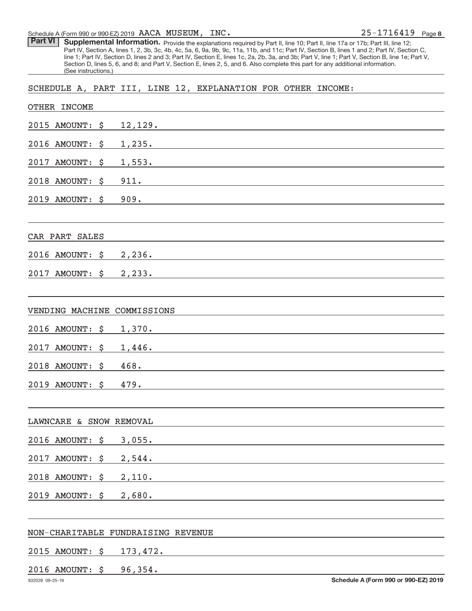Schedule A (Form 990 or 990‐EZ) 2019 Page AACA MUSEUM, INC.

Part VI | Supplemental Information. Provide the explanations required by Part II, line 10; Part II, line 17a or 17b; Part III, line 12; Part IV, Section A, lines 1, 2, 3b, 3c, 4b, 4c, 5a, 6, 9a, 9b, 9c, 11a, 11b, and 11c; Part IV, Section B, lines 1 and 2; Part IV, Section C, line 1; Part IV, Section D, lines 2 and 3; Part IV, Section E, lines 1c, 2a, 2b, 3a, and 3b; Part V, line 1; Part V, Section B, line 1e; Part V, Section D, lines 5, 6, and 8; and Part V, Section E, lines 2, 5, and 6. Also complete this part for any additional information. (See instructions.)

SCHEDULE A, PART III, LINE 12, EXPLANATION FOR OTHER INCOME:

| OTHER INCOME                 |                                      |
|------------------------------|--------------------------------------|
| 2015 AMOUNT:<br>\$           | 12,129.                              |
| 2016 AMOUNT:<br>\$           | 1,235.                               |
| 2017<br><b>AMOUNT:</b><br>\$ | 1,553.                               |
| 2018 AMOUNT:<br>\$           | 911.                                 |
| 2019 AMOUNT:<br>\$           | 909.                                 |
|                              |                                      |
| CAR PART SALES               |                                      |
| 2016 AMOUNT:<br>\$           | 2,236.                               |
| 2017<br><b>AMOUNT:</b><br>\$ | 2,233.                               |
|                              |                                      |
| VENDING MACHINE              | COMMISSIONS                          |
| 2016 AMOUNT:<br>\$           | 1,370.                               |
| 2017<br><b>AMOUNT:</b><br>\$ | 1,446.                               |
| 2018 AMOUNT:<br>\$           | 468.                                 |
| 2019 AMOUNT:<br>\$           | 479.                                 |
|                              |                                      |
| LAWNCARE & SNOW REMOVAL      |                                      |
| 2016 AMOUNT:<br>\$           | 3,055.                               |
| 2017 AMOUNT:<br>\$           | 2,544.                               |
| 2018 AMOUNT:<br>\$           | 2,110.                               |
| 2019 AMOUNT: \$              | 2,680.                               |
|                              |                                      |
|                              | NON-CHARITABLE FUNDRAISING REVENUE   |
| 2015 AMOUNT:<br>\$           | 173,472.                             |
| 2016 AMOUNT: \$              | 96,354.                              |
| 932028 09-25-19              | Schedule A (Form 990 or 990-EZ) 2019 |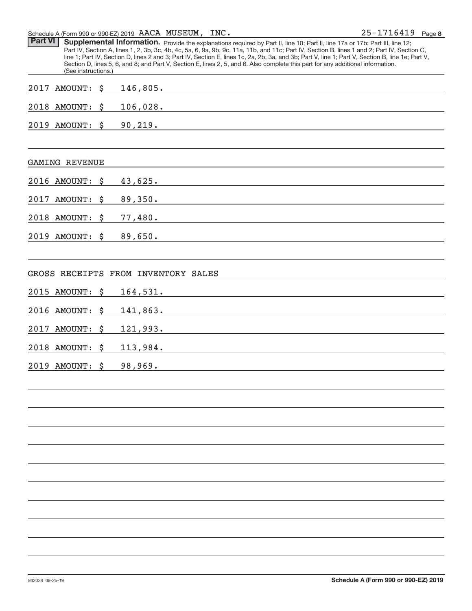Schedule A (Form 990 or 990‐EZ) 2019 Page AACA MUSEUM, INC.

**8** 25‐1716419

| <b>Part VI</b> | (See instructions.)   | Supplemental Information. Provide the explanations required by Part II, line 10; Part II, line 17a or 17b; Part III, line 12;<br>Part IV, Section A, lines 1, 2, 3b, 3c, 4b, 4c, 5a, 6, 9a, 9b, 9c, 11a, 11b, and 11c; Part IV, Section B, lines 1 and 2; Part IV, Section C,<br>line 1; Part IV, Section D, lines 2 and 3; Part IV, Section E, lines 1c, 2a, 2b, 3a, and 3b; Part V, line 1; Part V, Section B, line 1e; Part V,<br>Section D, lines 5, 6, and 8; and Part V, Section E, lines 2, 5, and 6. Also complete this part for any additional information. |
|----------------|-----------------------|----------------------------------------------------------------------------------------------------------------------------------------------------------------------------------------------------------------------------------------------------------------------------------------------------------------------------------------------------------------------------------------------------------------------------------------------------------------------------------------------------------------------------------------------------------------------|
|                | 2017 AMOUNT: \$       | 146,805.                                                                                                                                                                                                                                                                                                                                                                                                                                                                                                                                                             |
|                | 2018 AMOUNT:          | \$<br>106,028.<br><u> 1980 - Johann John Stone, mars et al. 1980 - John Stone, mars et al. 1980 - John Stone, mars et al. 1980 - Joh</u>                                                                                                                                                                                                                                                                                                                                                                                                                             |
|                | 2019 AMOUNT: \$       | 90, 219.                                                                                                                                                                                                                                                                                                                                                                                                                                                                                                                                                             |
|                | <b>GAMING REVENUE</b> |                                                                                                                                                                                                                                                                                                                                                                                                                                                                                                                                                                      |
|                | 2016 AMOUNT:          | \$<br>43,625.                                                                                                                                                                                                                                                                                                                                                                                                                                                                                                                                                        |
|                | 2017 AMOUNT:          | \$<br>89,350.                                                                                                                                                                                                                                                                                                                                                                                                                                                                                                                                                        |
|                | 2018 AMOUNT:          | \$<br><u> 1980 - Johann Barbara, martin a</u><br>77,480.                                                                                                                                                                                                                                                                                                                                                                                                                                                                                                             |
|                | 2019 AMOUNT:          | \$<br>89,650.                                                                                                                                                                                                                                                                                                                                                                                                                                                                                                                                                        |
|                |                       | GROSS RECEIPTS FROM INVENTORY SALES                                                                                                                                                                                                                                                                                                                                                                                                                                                                                                                                  |
|                | 2015 AMOUNT:          | \$<br>164,531.                                                                                                                                                                                                                                                                                                                                                                                                                                                                                                                                                       |
|                | 2016 AMOUNT:          | \$<br>141,863.                                                                                                                                                                                                                                                                                                                                                                                                                                                                                                                                                       |
|                | 2017 AMOUNT:          | \$<br>121,993.                                                                                                                                                                                                                                                                                                                                                                                                                                                                                                                                                       |
|                | 2018 AMOUNT:          | \$<br>113,984.                                                                                                                                                                                                                                                                                                                                                                                                                                                                                                                                                       |
|                | 2019 AMOUNT:          | \$<br>98,969.                                                                                                                                                                                                                                                                                                                                                                                                                                                                                                                                                        |
|                |                       |                                                                                                                                                                                                                                                                                                                                                                                                                                                                                                                                                                      |
|                |                       |                                                                                                                                                                                                                                                                                                                                                                                                                                                                                                                                                                      |
|                |                       |                                                                                                                                                                                                                                                                                                                                                                                                                                                                                                                                                                      |
|                |                       |                                                                                                                                                                                                                                                                                                                                                                                                                                                                                                                                                                      |
|                |                       |                                                                                                                                                                                                                                                                                                                                                                                                                                                                                                                                                                      |
|                |                       |                                                                                                                                                                                                                                                                                                                                                                                                                                                                                                                                                                      |
|                |                       |                                                                                                                                                                                                                                                                                                                                                                                                                                                                                                                                                                      |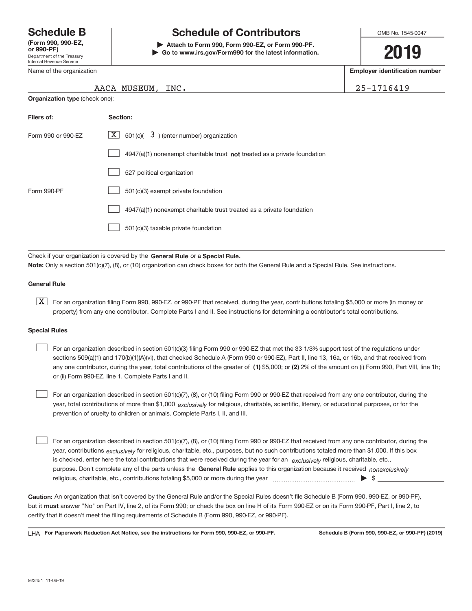Department of the Treasury Internal Revenue Service **(Form 990, 990‐EZ,** Name of the organization

# **Schedule B Schedule of Contributors**

**or 990‐PF) | Attach to Form 990, Form 990‐EZ, or Form 990‐PF. | Go to www.irs.gov/Form990 for the latest information.** OMB No. 1545-0047

# **2019**

**Employer identification number**

| $5 - 1716419$ |  |  |  |  |
|---------------|--|--|--|--|
|               |  |  |  |  |

| AACA MUSEUM, INC. | $125 - 1716419$ |
|-------------------|-----------------|
|                   |                 |

| <b>Organization type (check one):</b> |                                                                             |  |  |  |  |  |
|---------------------------------------|-----------------------------------------------------------------------------|--|--|--|--|--|
| Filers of:                            | Section:                                                                    |  |  |  |  |  |
| Form 990 or 990-EZ                    | $X$ 501(c)( 3) (enter number) organization                                  |  |  |  |  |  |
|                                       | $4947(a)(1)$ nonexempt charitable trust not treated as a private foundation |  |  |  |  |  |
|                                       | 527 political organization                                                  |  |  |  |  |  |
| Form 990-PF                           | 501(c)(3) exempt private foundation                                         |  |  |  |  |  |
|                                       | 4947(a)(1) nonexempt charitable trust treated as a private foundation       |  |  |  |  |  |
|                                       | 501(c)(3) taxable private foundation                                        |  |  |  |  |  |

Check if your organization is covered by the General Rule or a Special Rule. **Note:**  Only a section 501(c)(7), (8), or (10) organization can check boxes for both the General Rule and a Special Rule. See instructions.

#### **General Rule**

**K** For an organization filing Form 990, 990-EZ, or 990-PF that received, during the year, contributions totaling \$5,000 or more (in money or property) from any one contributor. Complete Parts I and II. See instructions for determining a contributor's total contributions.

#### **Special Rules**

any one contributor, during the year, total contributions of the greater of  $\,$  (1) \$5,000; or (2) 2% of the amount on (i) Form 990, Part VIII, line 1h; For an organization described in section 501(c)(3) filing Form 990 or 990‐EZ that met the 33 1/3% support test of the regulations under sections 509(a)(1) and 170(b)(1)(A)(vi), that checked Schedule A (Form 990 or 990‐EZ), Part II, line 13, 16a, or 16b, and that received from or (ii) Form 990‐EZ, line 1. Complete Parts I and II.  $\begin{array}{c} \hline \end{array}$ 

year, total contributions of more than \$1,000 *exclusively* for religious, charitable, scientific, literary, or educational purposes, or for the For an organization described in section 501(c)(7), (8), or (10) filing Form 990 or 990‐EZ that received from any one contributor, during the prevention of cruelty to children or animals. Complete Parts I, II, and III.  $\begin{array}{c} \hline \end{array}$ 

purpose. Don't complete any of the parts unless the General Rule applies to this organization because it received nonexclusively year, contributions <sub>exclusively</sub> for religious, charitable, etc., purposes, but no such contributions totaled more than \$1,000. If this box is checked, enter here the total contributions that were received during the year for an *exclusively* religious, charitable, etc., For an organization described in section 501(c)(7), (8), or (10) filing Form 990 or 990‐EZ that received from any one contributor, during the religious, charitable, etc., contributions totaling \$5,000 or more during the year  $\Box$ — $\Box$   $\Box$  $\begin{array}{c} \hline \end{array}$ 

**Caution:**  An organization that isn't covered by the General Rule and/or the Special Rules doesn't file Schedule B (Form 990, 990‐EZ, or 990‐PF),  **must** but it answer "No" on Part IV, line 2, of its Form 990; or check the box on line H of its Form 990‐EZ or on its Form 990‐PF, Part I, line 2, to certify that it doesn't meet the filing requirements of Schedule B (Form 990, 990‐EZ, or 990‐PF).

**For Paperwork Reduction Act Notice, see the instructions for Form 990, 990-EZ, or 990-PF. Schedule B (Form 990, 990-EZ, or 990-PF) (2019)** LHA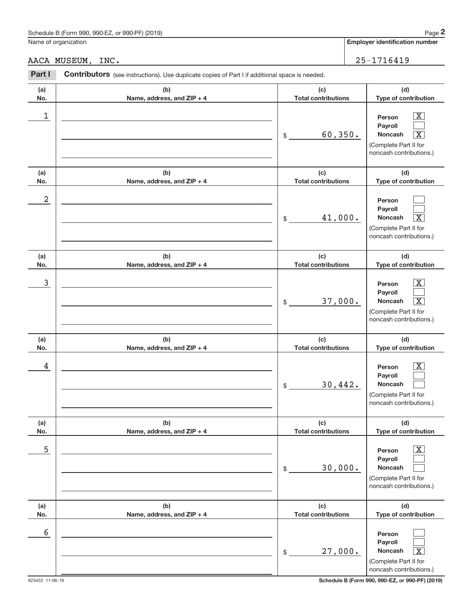### Schedule B (Form 990, 990-EZ, or 990-PF) (2019)

Name of organization

**Employer identification number**

AACA MUSEUM, INC. 25-1716419

| Part I     | Contributors (see instructions). Use duplicate copies of Part I if additional space is needed. |                                                                                    |                                                                                                                                      |  |  |  |
|------------|------------------------------------------------------------------------------------------------|------------------------------------------------------------------------------------|--------------------------------------------------------------------------------------------------------------------------------------|--|--|--|
| (a)        | (b)                                                                                            | (c)                                                                                | (d)                                                                                                                                  |  |  |  |
| No.        | Name, address, and ZIP + 4                                                                     | <b>Total contributions</b>                                                         | Type of contribution                                                                                                                 |  |  |  |
| 1          |                                                                                                | 60, 350.<br>$$\circ$$                                                              | $\overline{\text{X}}$<br>Person<br>Payroll<br>Noncash<br>$\overline{\mathbf{X}}$<br>(Complete Part II for<br>noncash contributions.) |  |  |  |
| (a)<br>No. | (b)<br>Name, address, and ZIP + 4                                                              | (c)<br><b>Total contributions</b>                                                  | (d)<br>Type of contribution                                                                                                          |  |  |  |
| 2          |                                                                                                | 41,000.<br>$$\tilde{\phantom{a}}$$                                                 | Person<br>Payroll<br>$\overline{\mathbf{X}}$<br>Noncash<br>(Complete Part II for<br>noncash contributions.)                          |  |  |  |
| (a)<br>No. | (b)<br>Name, address, and ZIP + 4                                                              | (c)<br><b>Total contributions</b>                                                  | (d)<br>Type of contribution                                                                                                          |  |  |  |
| 3          |                                                                                                | 37,000.<br>$$\,$                                                                   | $\overline{\text{X}}$<br>Person<br>Payroll<br>$\overline{\mathbf{X}}$<br>Noncash<br>(Complete Part II for<br>noncash contributions.) |  |  |  |
| (a)<br>No. | (b)<br>Name, address, and ZIP + 4                                                              | (c)<br><b>Total contributions</b>                                                  | (d)<br>Type of contribution                                                                                                          |  |  |  |
| 4          |                                                                                                | 30,442.<br>\$                                                                      | $\overline{\text{X}}$<br>Person<br>Payroll<br><b>Noncash</b><br>(Complete Part II for<br>noncash contributions.)                     |  |  |  |
| (a)        | (b)                                                                                            | (c)                                                                                | (d)                                                                                                                                  |  |  |  |
| No.<br>5   | Name, address, and ZIP + 4                                                                     | <b>Total contributions</b><br>30,000.<br>$\, \, \raisebox{12pt}{$\scriptstyle \$}$ | Type of contribution<br>$\overline{\text{X}}$<br>Person<br>Payroll<br>Noncash<br>(Complete Part II for<br>noncash contributions.)    |  |  |  |
| (a)        | (b)                                                                                            | (c)                                                                                | (d)                                                                                                                                  |  |  |  |
| No.<br>6   | Name, address, and ZIP + 4                                                                     | <b>Total contributions</b><br>27,000.<br>\$                                        | Type of contribution<br>Person<br>Payroll<br>$\overline{\text{X}}$<br>Noncash<br>(Complete Part II for<br>noncash contributions.)    |  |  |  |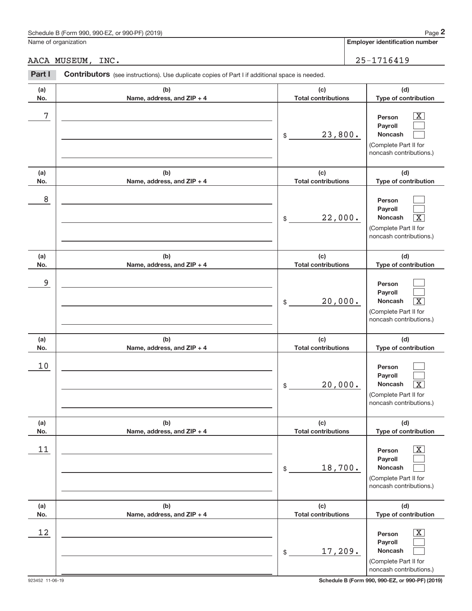### Schedule B (Form 990, 990-EZ, or 990-PF) (2019)

Name of organization

**Employer identification number**

AACA MUSEUM, INC. 25-1716419

| Part I     | Contributors (see instructions). Use duplicate copies of Part I if additional space is needed. |                                                              |                                                                                                             |
|------------|------------------------------------------------------------------------------------------------|--------------------------------------------------------------|-------------------------------------------------------------------------------------------------------------|
| (a)<br>No. | (b)<br>Name, address, and ZIP + 4                                                              | (c)<br><b>Total contributions</b>                            | (d)<br>Type of contribution                                                                                 |
| $\sqrt{7}$ |                                                                                                | 23,800.<br>$$\mathbb{S}$$                                    | $\overline{\mathbf{X}}$<br>Person<br>Payroll<br>Noncash<br>(Complete Part II for<br>noncash contributions.) |
| (a)<br>No. | (b)<br>Name, address, and ZIP + 4                                                              | (c)<br><b>Total contributions</b>                            | (d)<br>Type of contribution                                                                                 |
| $\,8\,$    |                                                                                                | 22,000.<br>\$                                                | Person<br>Payroll<br>Noncash<br>$\overline{\text{X}}$<br>(Complete Part II for<br>noncash contributions.)   |
| (a)<br>No. | (b)<br>Name, address, and ZIP + 4                                                              | (c)<br><b>Total contributions</b>                            | (d)<br>Type of contribution                                                                                 |
| 9          |                                                                                                | 20,000.<br>\$                                                | Person<br>Payroll<br>Noncash<br>$\overline{\mathbf{X}}$<br>(Complete Part II for<br>noncash contributions.) |
| (a)<br>No. | (b)<br>Name, address, and ZIP + 4                                                              | (c)<br><b>Total contributions</b>                            | (d)<br>Type of contribution                                                                                 |
| 10         |                                                                                                | 20,000.<br>$\, \, \raisebox{-1.5pt}{\text{\circle*{1.5}}}\,$ | Person<br>Payroll<br>Noncash<br>$\vert X \vert$<br>(Complete Part II for<br>noncash contributions.)         |
| (a)<br>No. | (b)<br>Name, address, and ZIP + 4                                                              | (c)<br><b>Total contributions</b>                            | (d)<br>Type of contribution                                                                                 |
| 11         |                                                                                                | 18,700.<br>\$                                                | X<br>Person<br>Payroll<br>Noncash<br>(Complete Part II for<br>noncash contributions.)                       |
| (a)<br>No. | (b)<br>Name, address, and ZIP + 4                                                              | (c)<br><b>Total contributions</b>                            | (d)<br>Type of contribution                                                                                 |
| 12         |                                                                                                | 17,209.<br>\$                                                | x<br>Person<br>Payroll<br>Noncash<br>(Complete Part II for<br>noncash contributions.)                       |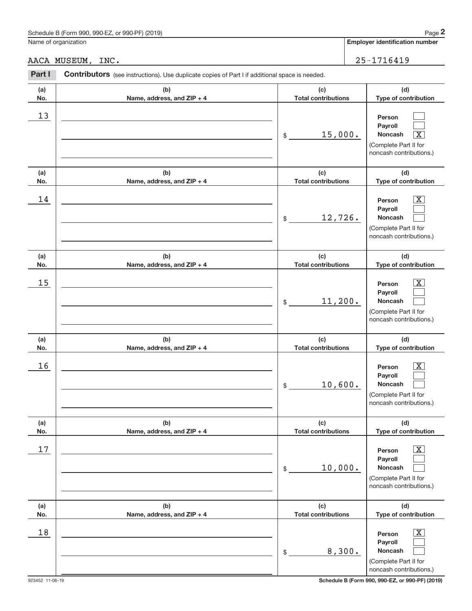**Employer identification number**

AACA MUSEUM, INC. 25-1716419

| Part I     | Contributors (see instructions). Use duplicate copies of Part I if additional space is needed. |                                   |                                                                                                             |
|------------|------------------------------------------------------------------------------------------------|-----------------------------------|-------------------------------------------------------------------------------------------------------------|
| (a)<br>No. | (b)<br>Name, address, and ZIP + 4                                                              | (c)<br><b>Total contributions</b> | (d)<br>Type of contribution                                                                                 |
| 13         |                                                                                                | 15,000.<br>$\$$                   | Person<br>Payroll<br>$\overline{\mathbf{X}}$<br>Noncash<br>(Complete Part II for<br>noncash contributions.) |
| (a)<br>No. | (b)<br>Name, address, and ZIP + 4                                                              | (c)<br><b>Total contributions</b> | (d)<br>Type of contribution                                                                                 |
| 14         |                                                                                                | 12,726.<br>$\$$                   | $\overline{\text{X}}$<br>Person<br>Payroll<br>Noncash<br>(Complete Part II for<br>noncash contributions.)   |
| (a)<br>No. | (b)<br>Name, address, and ZIP + 4                                                              | (c)<br><b>Total contributions</b> | (d)<br>Type of contribution                                                                                 |
| 15         |                                                                                                | 11, 200.<br>\$                    | $\overline{\text{X}}$<br>Person<br>Payroll<br>Noncash<br>(Complete Part II for<br>noncash contributions.)   |
| (a)<br>No. | (b)<br>Name, address, and ZIP + 4                                                              | (c)<br><b>Total contributions</b> | (d)<br>Type of contribution                                                                                 |
| 16         |                                                                                                | 10,600.<br>\$                     | $\overline{\text{X}}$<br>Person<br>Payroll<br>Noncash<br>(Complete Part II for<br>noncash contributions.)   |
| (a)<br>No. | (b)<br>Name, address, and ZIP + 4                                                              | (c)<br><b>Total contributions</b> | (d)<br>Type of contribution                                                                                 |
| $17$       |                                                                                                | 10,000.<br>\$                     | х<br>Person<br>Payroll<br>Noncash<br>(Complete Part II for<br>noncash contributions.)                       |
| (a)<br>No. | (b)<br>Name, address, and ZIP + 4                                                              | (c)<br><b>Total contributions</b> | (d)<br>Type of contribution                                                                                 |
| 18         |                                                                                                | 8,300.<br>\$                      | х<br>Person<br>Payroll<br>Noncash<br>(Complete Part II for<br>noncash contributions.)                       |

923452 11‐06‐19 **Schedule B (Form 990, 990-EZ, or 990-PF) (2019)**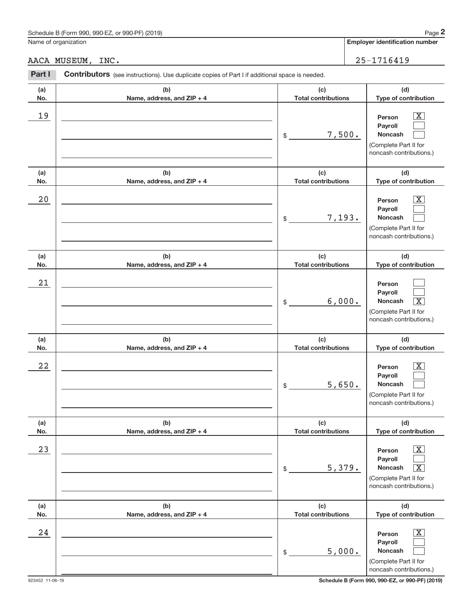**Employer identification number**

AACA MUSEUM, INC. 25-1716419

| Part I     |                                   | Contributors (see instructions). Use duplicate copies of Part I if additional space is needed. |                                                                                                                                   |  |  |  |  |
|------------|-----------------------------------|------------------------------------------------------------------------------------------------|-----------------------------------------------------------------------------------------------------------------------------------|--|--|--|--|
| (a)<br>No. | (b)<br>Name, address, and ZIP + 4 | (c)<br><b>Total contributions</b>                                                              | (d)<br>Type of contribution                                                                                                       |  |  |  |  |
| 19         |                                   | 7,500.<br>\$                                                                                   | $\boxed{\text{X}}$<br>Person<br>Payroll<br>Noncash<br>(Complete Part II for<br>noncash contributions.)                            |  |  |  |  |
| (a)<br>No. | (b)<br>Name, address, and ZIP + 4 | (c)<br><b>Total contributions</b>                                                              | (d)<br>Type of contribution                                                                                                       |  |  |  |  |
| 20         |                                   | 7,193.<br>\$                                                                                   | $\boxed{\text{X}}$<br>Person<br>Payroll<br>Noncash<br>(Complete Part II for<br>noncash contributions.)                            |  |  |  |  |
| (a)<br>No. | (b)<br>Name, address, and ZIP + 4 | (c)<br><b>Total contributions</b>                                                              | (d)<br>Type of contribution                                                                                                       |  |  |  |  |
| 21         |                                   | 6,000.<br>\$                                                                                   | Person<br>Payroll<br>Noncash<br>$\overline{\mathbf{X}}$<br>(Complete Part II for<br>noncash contributions.)                       |  |  |  |  |
| (a)<br>No. | (b)<br>Name, address, and ZIP + 4 | (c)<br><b>Total contributions</b>                                                              | (d)<br>Type of contribution                                                                                                       |  |  |  |  |
| 22         |                                   | 5,650.<br>\$                                                                                   | $\boxed{\text{X}}$<br>Person<br>Payroll<br><b>Noncash</b><br>(Complete Part II for<br>noncash contributions.)                     |  |  |  |  |
| (a)<br>No. | (b)<br>Name, address, and ZIP + 4 | (c)<br><b>Total contributions</b>                                                              | (d)<br>Type of contribution                                                                                                       |  |  |  |  |
| 23         |                                   | 5,379.<br>\$                                                                                   | $\boxed{\text{X}}$<br>Person<br>Payroll<br>Noncash<br>$\overline{\mathbf{X}}$<br>(Complete Part II for<br>noncash contributions.) |  |  |  |  |
| (a)<br>No. | (b)<br>Name, address, and ZIP + 4 | (c)<br><b>Total contributions</b>                                                              | (d)<br>Type of contribution                                                                                                       |  |  |  |  |
| 24         |                                   | 5,000.<br>\$                                                                                   | $\overline{\mathbf{X}}$<br>Person<br>Payroll<br>Noncash<br>(Complete Part II for<br>noncash contributions.)                       |  |  |  |  |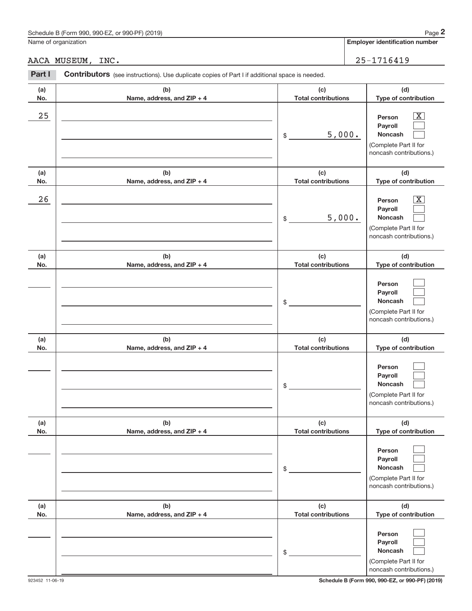## Schedule B (Form 990, 990-EZ, or 990-PF) (2019)

Name of organization

**(a) No.** **(d)**

 $\boxed{\text{X}}$ 

#### AACA MUSEUM, INC. 25-1716419

**(b) Name, address, and ZIP + 4 (c) Total contributions Type of contribution Person Part I** Contributors (see instructions). Use duplicate copies of Part I if additional space is needed.  $25$  Person  $\overline{\text{X}}$ 

|            |                                   | 5,000.<br>\$                      | Payroll<br><b>Noncash</b><br>(Complete Part II for<br>noncash contributions.)                                      |
|------------|-----------------------------------|-----------------------------------|--------------------------------------------------------------------------------------------------------------------|
| (a)<br>No. | (b)<br>Name, address, and ZIP + 4 | (c)<br><b>Total contributions</b> | (d)<br>Type of contribution                                                                                        |
| 26         |                                   | 5,000.<br>\$                      | $\overline{\mathbf{X}}$<br>Person<br>Payroll<br><b>Noncash</b><br>(Complete Part II for<br>noncash contributions.) |
| (a)<br>No. | (b)<br>Name, address, and ZIP + 4 | (c)<br><b>Total contributions</b> | (d)<br>Type of contribution                                                                                        |
|            |                                   | \$                                | Person<br>Payroll<br><b>Noncash</b><br>(Complete Part II for<br>noncash contributions.)                            |
| (a)<br>No. | (b)<br>Name, address, and ZIP + 4 | (c)<br><b>Total contributions</b> | (d)<br>Type of contribution                                                                                        |
|            |                                   | \$                                | Person<br>Payroll<br><b>Noncash</b><br>(Complete Part II for<br>noncash contributions.)                            |
| (a)<br>No. | (b)<br>Name, address, and ZIP + 4 | (c)<br><b>Total contributions</b> | (d)<br>Type of contribution                                                                                        |
|            |                                   | \$                                | Person<br>Payroll<br>Noncash<br>(Complete Part II for<br>noncash contributions.)                                   |
| (a)<br>No. | (b)<br>Name, address, and ZIP + 4 | (c)<br><b>Total contributions</b> | (d)<br>Type of contribution                                                                                        |
|            |                                   | \$                                | Person<br>Payroll<br>Noncash<br>(Complete Part II for<br>noncash contributions.)                                   |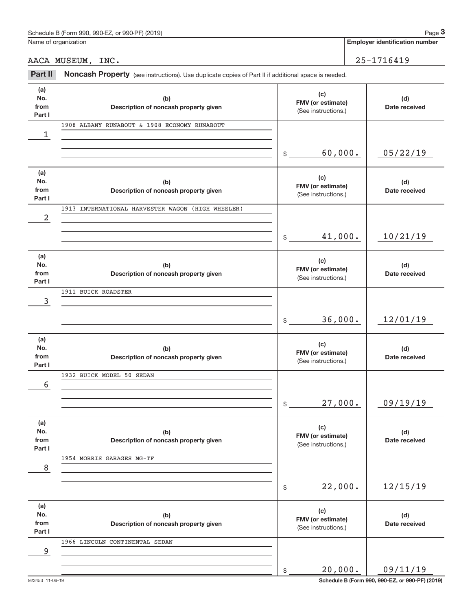Name of organization

**Employer identification number**

AACA MUSEUM, INC. 25-1716419

Part II Noncash Property (see instructions). Use duplicate copies of Part II if additional space is needed.

| (a)<br>No.<br>from<br>Part I | (b)<br>Description of noncash property given      | (c)<br>FMV (or estimate)<br>(See instructions.) | (d)<br>Date received |
|------------------------------|---------------------------------------------------|-------------------------------------------------|----------------------|
| 1                            | 1908 ALBANY RUNABOUT & 1908 ECONOMY RUNABOUT      |                                                 |                      |
|                              |                                                   | 60,000.<br>$\frac{1}{2}$                        | 05/22/19             |
| (a)<br>No.<br>from<br>Part I | (b)<br>Description of noncash property given      | (c)<br>FMV (or estimate)<br>(See instructions.) | (d)<br>Date received |
| 2                            | 1913 INTERNATIONAL HARVESTER WAGON (HIGH WHEELER) |                                                 |                      |
|                              |                                                   | 41,000.<br>$\frac{1}{2}$                        | 10/21/19             |
| (a)<br>No.<br>from<br>Part I | (b)<br>Description of noncash property given      | (c)<br>FMV (or estimate)<br>(See instructions.) | (d)<br>Date received |
| 3                            | 1911 BUICK ROADSTER                               |                                                 |                      |
|                              |                                                   | 36,000.<br>$\mathbb{S}$                         | 12/01/19             |
| (a)<br>No.<br>from<br>Part I | (b)<br>Description of noncash property given      | (c)<br>FMV (or estimate)<br>(See instructions.) | (d)<br>Date received |
| 6                            | 1932 BUICK MODEL 50 SEDAN                         |                                                 |                      |
|                              |                                                   | 27,000.<br>$\mathbb{S}$                         | 09/19/19             |
| (a)<br>No.<br>from<br>Part I | (b)<br>Description of noncash property given      | (c)<br>FMV (or estimate)<br>(See instructions.) | (d)<br>Date received |
| 8                            | 1954 MORRIS GARAGES MG-TF                         |                                                 |                      |
|                              |                                                   | 22,000.<br>\$                                   | 12/15/19             |
| (a)<br>No.<br>from<br>Part I | (b)<br>Description of noncash property given      | (c)<br>FMV (or estimate)<br>(See instructions.) | (d)<br>Date received |
| 9                            | 1966 LINCOLN CONTINENTAL SEDAN                    |                                                 |                      |
|                              |                                                   | 20,000.<br>\$                                   | 09/11/19             |

923453 11‐06‐19 **Schedule B (Form 990, 990-EZ, or 990-PF) (2019)**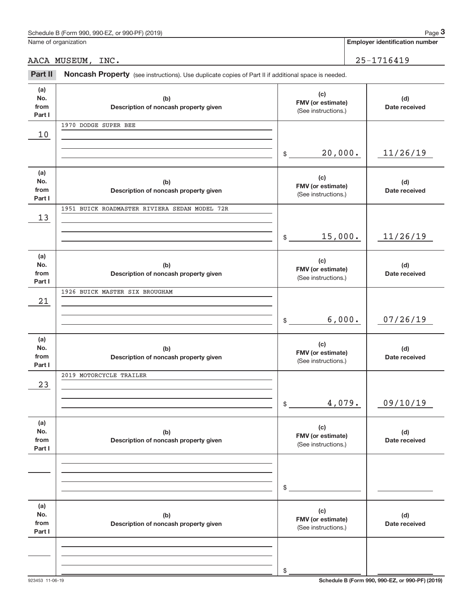|                              | Schedule B (Form 990, 990-EZ, or 990-PF) (2019)                                                     |                                                 |        | Page 3                                |
|------------------------------|-----------------------------------------------------------------------------------------------------|-------------------------------------------------|--------|---------------------------------------|
|                              | Name of organization                                                                                |                                                 |        | <b>Employer identification number</b> |
|                              | AACA MUSEUM, INC.                                                                                   |                                                 |        | 25-1716419                            |
| Part II                      | Noncash Property (see instructions). Use duplicate copies of Part II if additional space is needed. |                                                 |        |                                       |
| (a)<br>No.<br>from<br>Part I | (b)<br>Description of noncash property given                                                        | (c)<br>FMV (or estimate)<br>(See instructions.) |        | (d)<br>Date received                  |
| 10                           | 1970 DODGE SUPER BEE                                                                                |                                                 |        |                                       |
|                              |                                                                                                     | 20,000.<br>\$                                   |        | 11/26/19                              |
| (a)<br>No.<br>from<br>Part I | (b)<br>Description of noncash property given                                                        | (c)<br>FMV (or estimate)<br>(See instructions.) |        | (d)<br>Date received                  |
| 13                           | 1951 BUICK ROADMASTER RIVIERA SEDAN MODEL 72R                                                       |                                                 |        |                                       |
|                              |                                                                                                     | 15,000.<br>\$                                   |        | 11/26/19                              |
| (a)<br>No.<br>from<br>Part I | (b)<br>Description of noncash property given                                                        | (c)<br>FMV (or estimate)<br>(See instructions.) |        | (d)<br>Date received                  |
| 21                           | 1926 BUICK MASTER SIX BROUGHAM                                                                      |                                                 |        |                                       |
|                              |                                                                                                     | \$                                              | 6,000. | 07/26/19                              |
| (a)<br>No.<br>from<br>Part I | (b)<br>Description of noncash property given                                                        | (c)<br>FMV (or estimate)<br>(See instructions.) |        | (d)<br>Date received                  |
| 23                           | 2019 MOTORCYCLE TRAILER                                                                             |                                                 |        |                                       |
|                              |                                                                                                     | \$                                              | 4,079. | 09/10/19                              |
| (a)<br>No.<br>from<br>Part I | (b)<br>Description of noncash property given                                                        | (c)<br>FMV (or estimate)<br>(See instructions.) |        | (d)<br>Date received                  |
|                              |                                                                                                     | \$                                              |        |                                       |
| (a)<br>No.<br>from<br>Part I | (b)<br>Description of noncash property given                                                        | (c)<br>FMV (or estimate)<br>(See instructions.) |        | (d)<br>Date received                  |
|                              |                                                                                                     | \$                                              |        |                                       |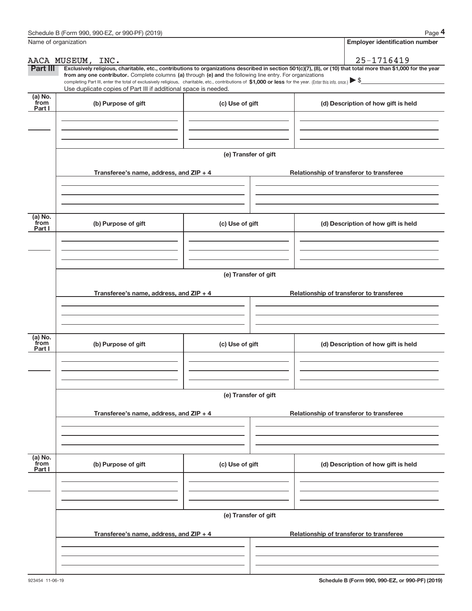| Name of organization        |                                                                                                                                                                                                                                                                                                                                                                    |                      | <b>Employer identification number</b>                                                                                                                          |
|-----------------------------|--------------------------------------------------------------------------------------------------------------------------------------------------------------------------------------------------------------------------------------------------------------------------------------------------------------------------------------------------------------------|----------------------|----------------------------------------------------------------------------------------------------------------------------------------------------------------|
|                             | AACA MUSEUM, INC.                                                                                                                                                                                                                                                                                                                                                  |                      | 25-1716419                                                                                                                                                     |
| Part III                    | from any one contributor. Complete columns (a) through (e) and the following line entry. For organizations<br>completing Part III, enter the total of exclusively religious, charitable, etc., contributions of \$1,000 or less for the year. (Enter this info. once.) $\blacktriangleright$ \$<br>Use duplicate copies of Part III if additional space is needed. |                      | Exclusively religious, charitable, etc., contributions to organizations described in section 501(c)(7), (8), or (10) that total more than \$1,000 for the year |
| (a) No.<br>from<br>Part I   | (b) Purpose of gift                                                                                                                                                                                                                                                                                                                                                | (c) Use of gift      | (d) Description of how gift is held                                                                                                                            |
|                             |                                                                                                                                                                                                                                                                                                                                                                    | (e) Transfer of gift |                                                                                                                                                                |
|                             | Transferee's name, address, and ZIP + 4                                                                                                                                                                                                                                                                                                                            |                      | Relationship of transferor to transferee                                                                                                                       |
| $(a)$ No.<br>from<br>Part I | (b) Purpose of gift                                                                                                                                                                                                                                                                                                                                                | (c) Use of gift      | (d) Description of how gift is held                                                                                                                            |
|                             | Transferee's name, address, and ZIP + 4                                                                                                                                                                                                                                                                                                                            | (e) Transfer of gift | Relationship of transferor to transferee                                                                                                                       |
| (a) No.<br>from<br>Part I   | (b) Purpose of gift                                                                                                                                                                                                                                                                                                                                                | (c) Use of gift      | (d) Description of how gift is held                                                                                                                            |
|                             | Transferee's name, address, and ZIP + 4                                                                                                                                                                                                                                                                                                                            | (e) Transfer of gift | Relationship of transferor to transferee                                                                                                                       |
| (a) No.<br>from             |                                                                                                                                                                                                                                                                                                                                                                    |                      |                                                                                                                                                                |
| Part I                      | (b) Purpose of gift                                                                                                                                                                                                                                                                                                                                                | (c) Use of gift      | (d) Description of how gift is held                                                                                                                            |
|                             | Transferee's name, address, and ZIP + 4                                                                                                                                                                                                                                                                                                                            | (e) Transfer of gift | Relationship of transferor to transferee                                                                                                                       |
|                             |                                                                                                                                                                                                                                                                                                                                                                    |                      |                                                                                                                                                                |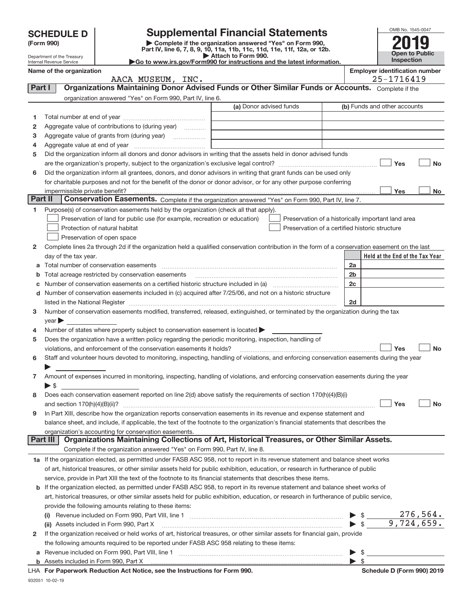|         | <b>SCHEDULE D</b>                                                                                                  |                                                                                                                                                                                                                                                                                                                                                                   |                         |                                                    |                          | OMB No. 1545-0047                     |
|---------|--------------------------------------------------------------------------------------------------------------------|-------------------------------------------------------------------------------------------------------------------------------------------------------------------------------------------------------------------------------------------------------------------------------------------------------------------------------------------------------------------|-------------------------|----------------------------------------------------|--------------------------|---------------------------------------|
|         | <b>Supplemental Financial Statements</b><br>Complete if the organization answered "Yes" on Form 990,<br>(Form 990) |                                                                                                                                                                                                                                                                                                                                                                   |                         |                                                    |                          |                                       |
|         |                                                                                                                    | Part IV, line 6, 7, 8, 9, 10, 11a, 11b, 11c, 11d, 11e, 11f, 12a, or 12b.                                                                                                                                                                                                                                                                                          |                         |                                                    |                          | <b>Open to Public</b>                 |
|         | Department of the Treasury<br>Internal Revenue Service                                                             | Go to www.irs.gov/Form990 for instructions and the latest information.                                                                                                                                                                                                                                                                                            | Attach to Form 990.     |                                                    |                          | Inspection                            |
|         | Name of the organization                                                                                           |                                                                                                                                                                                                                                                                                                                                                                   |                         |                                                    |                          | <b>Employer identification number</b> |
|         |                                                                                                                    | AACA MUSEUM, INC.                                                                                                                                                                                                                                                                                                                                                 |                         |                                                    |                          | 25-1716419                            |
| Part I  |                                                                                                                    | Organizations Maintaining Donor Advised Funds or Other Similar Funds or Accounts. Complete if the                                                                                                                                                                                                                                                                 |                         |                                                    |                          |                                       |
|         |                                                                                                                    | organization answered "Yes" on Form 990, Part IV, line 6.                                                                                                                                                                                                                                                                                                         |                         |                                                    |                          |                                       |
|         |                                                                                                                    |                                                                                                                                                                                                                                                                                                                                                                   | (a) Donor advised funds |                                                    |                          | (b) Funds and other accounts          |
| 1       |                                                                                                                    |                                                                                                                                                                                                                                                                                                                                                                   |                         |                                                    |                          |                                       |
| 2       |                                                                                                                    |                                                                                                                                                                                                                                                                                                                                                                   |                         |                                                    |                          |                                       |
| 3<br>4  |                                                                                                                    |                                                                                                                                                                                                                                                                                                                                                                   |                         |                                                    |                          |                                       |
| 5       |                                                                                                                    | Did the organization inform all donors and donor advisors in writing that the assets held in donor advised funds                                                                                                                                                                                                                                                  |                         |                                                    |                          |                                       |
|         |                                                                                                                    |                                                                                                                                                                                                                                                                                                                                                                   |                         |                                                    |                          | Yes<br><b>No</b>                      |
| 6       |                                                                                                                    | Did the organization inform all grantees, donors, and donor advisors in writing that grant funds can be used only                                                                                                                                                                                                                                                 |                         |                                                    |                          |                                       |
|         |                                                                                                                    | for charitable purposes and not for the benefit of the donor or donor advisor, or for any other purpose conferring                                                                                                                                                                                                                                                |                         |                                                    |                          |                                       |
|         | impermissible private benefit?                                                                                     |                                                                                                                                                                                                                                                                                                                                                                   |                         |                                                    |                          | Yes<br><b>No</b>                      |
| Part II |                                                                                                                    | Conservation Easements. Complete if the organization answered "Yes" on Form 990, Part IV, line 7.                                                                                                                                                                                                                                                                 |                         |                                                    |                          |                                       |
| 1       |                                                                                                                    | Purpose(s) of conservation easements held by the organization (check all that apply).                                                                                                                                                                                                                                                                             |                         |                                                    |                          |                                       |
|         |                                                                                                                    | Preservation of land for public use (for example, recreation or education)                                                                                                                                                                                                                                                                                        |                         | Preservation of a historically important land area |                          |                                       |
|         |                                                                                                                    | Protection of natural habitat                                                                                                                                                                                                                                                                                                                                     |                         | Preservation of a certified historic structure     |                          |                                       |
|         |                                                                                                                    | Preservation of open space                                                                                                                                                                                                                                                                                                                                        |                         |                                                    |                          |                                       |
| 2       |                                                                                                                    | Complete lines 2a through 2d if the organization held a qualified conservation contribution in the form of a conservation easement on the last                                                                                                                                                                                                                    |                         |                                                    |                          |                                       |
|         | day of the tax year.                                                                                               |                                                                                                                                                                                                                                                                                                                                                                   |                         |                                                    |                          | Held at the End of the Tax Year       |
| а       |                                                                                                                    |                                                                                                                                                                                                                                                                                                                                                                   |                         |                                                    | 2a                       |                                       |
| b       |                                                                                                                    | Total acreage restricted by conservation easements                                                                                                                                                                                                                                                                                                                |                         |                                                    | 2 <sub>b</sub>           |                                       |
|         |                                                                                                                    |                                                                                                                                                                                                                                                                                                                                                                   |                         |                                                    | 2c                       |                                       |
| d       |                                                                                                                    | Number of conservation easements included in (c) acquired after 7/25/06, and not on a historic structure                                                                                                                                                                                                                                                          |                         |                                                    | 2d                       |                                       |
| 3       |                                                                                                                    | listed in the National Register [[11] matter contract the state of the state of the National Register [11] matter contract the National Register [11] matter contract the National Register [11] matter contract the National<br>Number of conservation easements modified, transferred, released, extinguished, or terminated by the organization during the tax |                         |                                                    |                          |                                       |
|         | $year \triangleright$                                                                                              |                                                                                                                                                                                                                                                                                                                                                                   |                         |                                                    |                          |                                       |
| 4       |                                                                                                                    | Number of states where property subject to conservation easement is located                                                                                                                                                                                                                                                                                       |                         |                                                    |                          |                                       |
| 5       |                                                                                                                    | Does the organization have a written policy regarding the periodic monitoring, inspection, handling of                                                                                                                                                                                                                                                            |                         |                                                    |                          |                                       |
|         |                                                                                                                    | violations, and enforcement of the conservation easements it holds?                                                                                                                                                                                                                                                                                               |                         |                                                    |                          | <b>No</b><br>Yes                      |
| 6       |                                                                                                                    | Staff and volunteer hours devoted to monitoring, inspecting, handling of violations, and enforcing conservation easements during the year                                                                                                                                                                                                                         |                         |                                                    |                          |                                       |
|         |                                                                                                                    |                                                                                                                                                                                                                                                                                                                                                                   |                         |                                                    |                          |                                       |
| 7       |                                                                                                                    | Amount of expenses incurred in monitoring, inspecting, handling of violations, and enforcing conservation easements during the year                                                                                                                                                                                                                               |                         |                                                    |                          |                                       |
|         | $\blacktriangleright$ \$                                                                                           |                                                                                                                                                                                                                                                                                                                                                                   |                         |                                                    |                          |                                       |
| 8       |                                                                                                                    | Does each conservation easement reported on line 2(d) above satisfy the requirements of section 170(h)(4)(B)(i)                                                                                                                                                                                                                                                   |                         |                                                    |                          |                                       |
|         |                                                                                                                    |                                                                                                                                                                                                                                                                                                                                                                   |                         |                                                    |                          | Yes<br><b>No</b>                      |
| 9       |                                                                                                                    | In Part XIII, describe how the organization reports conservation easements in its revenue and expense statement and                                                                                                                                                                                                                                               |                         |                                                    |                          |                                       |
|         |                                                                                                                    | balance sheet, and include, if applicable, the text of the footnote to the organization's financial statements that describes the                                                                                                                                                                                                                                 |                         |                                                    |                          |                                       |
|         | <b>Part III</b>                                                                                                    | organization's accounting for conservation easements.<br>Organizations Maintaining Collections of Art, Historical Treasures, or Other Similar Assets.                                                                                                                                                                                                             |                         |                                                    |                          |                                       |
|         |                                                                                                                    | Complete if the organization answered "Yes" on Form 990, Part IV, line 8.                                                                                                                                                                                                                                                                                         |                         |                                                    |                          |                                       |
|         |                                                                                                                    | 1a If the organization elected, as permitted under FASB ASC 958, not to report in its revenue statement and balance sheet works                                                                                                                                                                                                                                   |                         |                                                    |                          |                                       |
|         |                                                                                                                    | of art, historical treasures, or other similar assets held for public exhibition, education, or research in furtherance of public                                                                                                                                                                                                                                 |                         |                                                    |                          |                                       |
|         |                                                                                                                    | service, provide in Part XIII the text of the footnote to its financial statements that describes these items.                                                                                                                                                                                                                                                    |                         |                                                    |                          |                                       |
| b       |                                                                                                                    | If the organization elected, as permitted under FASB ASC 958, to report in its revenue statement and balance sheet works of                                                                                                                                                                                                                                       |                         |                                                    |                          |                                       |
|         |                                                                                                                    | art, historical treasures, or other similar assets held for public exhibition, education, or research in furtherance of public service,                                                                                                                                                                                                                           |                         |                                                    |                          |                                       |
|         |                                                                                                                    | provide the following amounts relating to these items:                                                                                                                                                                                                                                                                                                            |                         |                                                    |                          |                                       |
|         |                                                                                                                    |                                                                                                                                                                                                                                                                                                                                                                   |                         |                                                    | $\triangleright$ \$      | 276,564.                              |
|         |                                                                                                                    | (ii) Assets included in Form 990, Part X                                                                                                                                                                                                                                                                                                                          |                         |                                                    | $\blacktriangleright$ \$ | 9,724,659.                            |
| 2       |                                                                                                                    | If the organization received or held works of art, historical treasures, or other similar assets for financial gain, provide                                                                                                                                                                                                                                      |                         |                                                    |                          |                                       |
|         |                                                                                                                    | the following amounts required to be reported under FASB ASC 958 relating to these items:                                                                                                                                                                                                                                                                         |                         |                                                    |                          |                                       |
| а       |                                                                                                                    |                                                                                                                                                                                                                                                                                                                                                                   |                         |                                                    | \$                       |                                       |
|         |                                                                                                                    |                                                                                                                                                                                                                                                                                                                                                                   |                         |                                                    | $\blacktriangleright$ \$ |                                       |

|  | LHA For Paperwork Reduction Act Notice, see the Instructions for Form 990 |  |  |  |  |  |  |  |
|--|---------------------------------------------------------------------------|--|--|--|--|--|--|--|
|--|---------------------------------------------------------------------------|--|--|--|--|--|--|--|

932051 10‐02‐19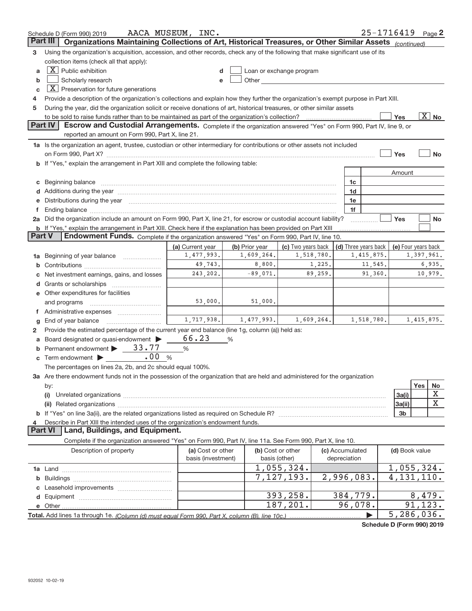|                 | Schedule D (Form 990) 2019                                                                                                                                                                                                           | AACA MUSEUM, INC.              |                              |                                                                                                                                                                                                                                |            |                 |                                    | 25-1716419                 |            | Page 2            |
|-----------------|--------------------------------------------------------------------------------------------------------------------------------------------------------------------------------------------------------------------------------------|--------------------------------|------------------------------|--------------------------------------------------------------------------------------------------------------------------------------------------------------------------------------------------------------------------------|------------|-----------------|------------------------------------|----------------------------|------------|-------------------|
| <b>Part III</b> | Organizations Maintaining Collections of Art, Historical Treasures, or Other Similar Assets (continued)                                                                                                                              |                                |                              |                                                                                                                                                                                                                                |            |                 |                                    |                            |            |                   |
| 3               | Using the organization's acquisition, accession, and other records, check any of the following that make significant use of its                                                                                                      |                                |                              |                                                                                                                                                                                                                                |            |                 |                                    |                            |            |                   |
|                 | collection items (check all that apply):                                                                                                                                                                                             |                                |                              |                                                                                                                                                                                                                                |            |                 |                                    |                            |            |                   |
| a               | $X$ Public exhibition                                                                                                                                                                                                                | d                              |                              | Loan or exchange program                                                                                                                                                                                                       |            |                 |                                    |                            |            |                   |
| b               | Scholarly research                                                                                                                                                                                                                   | e                              |                              | Other the contract of the contract of the contract of the contract of the contract of the contract of the contract of the contract of the contract of the contract of the contract of the contract of the contract of the cont |            |                 |                                    |                            |            |                   |
| C               | $\boxed{\textbf{X}}$ Preservation for future generations                                                                                                                                                                             |                                |                              |                                                                                                                                                                                                                                |            |                 |                                    |                            |            |                   |
| 4               | Provide a description of the organization's collections and explain how they further the organization's exempt purpose in Part XIII.                                                                                                 |                                |                              |                                                                                                                                                                                                                                |            |                 |                                    |                            |            |                   |
| 5               | During the year, did the organization solicit or receive donations of art, historical treasures, or other similar assets                                                                                                             |                                |                              |                                                                                                                                                                                                                                |            |                 |                                    |                            |            |                   |
|                 |                                                                                                                                                                                                                                      |                                |                              |                                                                                                                                                                                                                                |            |                 |                                    | Yes                        |            | $\overline{X}$ No |
|                 | <b>Part IV</b><br>Escrow and Custodial Arrangements. Complete if the organization answered "Yes" on Form 990, Part IV, line 9, or                                                                                                    |                                |                              |                                                                                                                                                                                                                                |            |                 |                                    |                            |            |                   |
|                 | reported an amount on Form 990, Part X, line 21.                                                                                                                                                                                     |                                |                              |                                                                                                                                                                                                                                |            |                 |                                    |                            |            |                   |
|                 | 1a Is the organization an agent, trustee, custodian or other intermediary for contributions or other assets not included                                                                                                             |                                |                              |                                                                                                                                                                                                                                |            |                 |                                    |                            |            |                   |
|                 |                                                                                                                                                                                                                                      |                                |                              |                                                                                                                                                                                                                                |            |                 |                                    | Yes                        |            | No                |
|                 | b If "Yes," explain the arrangement in Part XIII and complete the following table:                                                                                                                                                   |                                |                              |                                                                                                                                                                                                                                |            |                 |                                    |                            |            |                   |
|                 |                                                                                                                                                                                                                                      |                                |                              |                                                                                                                                                                                                                                |            |                 |                                    |                            |            |                   |
|                 |                                                                                                                                                                                                                                      |                                |                              |                                                                                                                                                                                                                                |            |                 |                                    | Amount                     |            |                   |
| С               | Beginning balance <b>with the control of the control of the control of the control of the control of the control of the control of the control of the control of the control of the control of the control of the control of the</b> |                                |                              |                                                                                                                                                                                                                                |            | 1c              |                                    |                            |            |                   |
|                 | Additions during the year manufactured and an annual contract of the set of the set of the set of the set of the set of the set of the set of the set of the set of the set of the set of the set of the set of the set of the       |                                |                              |                                                                                                                                                                                                                                |            | 1d              |                                    |                            |            |                   |
|                 | Distributions during the year manufactured and continuum and the year manufactured and the year manufactured and the year manufactured and the year manufactured and the year manufactured and the year manufactured and the y       |                                |                              |                                                                                                                                                                                                                                |            | 1e              |                                    |                            |            |                   |
| f.              |                                                                                                                                                                                                                                      |                                |                              |                                                                                                                                                                                                                                |            | 1f              |                                    |                            |            |                   |
|                 | 2a Did the organization include an amount on Form 990, Part X, line 21, for escrow or custodial account liability?                                                                                                                   |                                |                              |                                                                                                                                                                                                                                |            |                 |                                    | Yes                        |            | No                |
| <b>Part V</b>   | <b>b</b> If "Yes," explain the arrangement in Part XIII. Check here if the explanation has been provided on Part XIII<br>Endowment Funds. Complete if the organization answered "Yes" on Form 990, Part IV, line 10.                 |                                |                              |                                                                                                                                                                                                                                |            |                 |                                    |                            |            |                   |
|                 |                                                                                                                                                                                                                                      |                                |                              |                                                                                                                                                                                                                                |            |                 |                                    |                            |            |                   |
|                 |                                                                                                                                                                                                                                      | (a) Current year<br>1,477,993. | (b) Prior year<br>1,609,264. | (c) Two years back                                                                                                                                                                                                             | 1,518,780. |                 | (d) Three years back<br>1,415,875. | (e) Four years back        |            |                   |
| 1a              | Beginning of year balance                                                                                                                                                                                                            | 49,743.                        | 8,800.                       |                                                                                                                                                                                                                                | 1,225.     |                 | 11,545.                            |                            | 1,397,961. | 6,935.            |
| b               |                                                                                                                                                                                                                                      |                                |                              |                                                                                                                                                                                                                                | 89,259.    |                 |                                    |                            |            |                   |
|                 | Net investment earnings, gains, and losses                                                                                                                                                                                           | 243,202.                       | $-89,071.$                   |                                                                                                                                                                                                                                |            |                 | 91,360.                            |                            |            | 10,979.           |
| d               |                                                                                                                                                                                                                                      |                                |                              |                                                                                                                                                                                                                                |            |                 |                                    |                            |            |                   |
|                 | e Other expenditures for facilities                                                                                                                                                                                                  |                                |                              |                                                                                                                                                                                                                                |            |                 |                                    |                            |            |                   |
|                 | and programs                                                                                                                                                                                                                         | 53,000.                        | 51,000.                      |                                                                                                                                                                                                                                |            |                 |                                    |                            |            |                   |
| Τ.              | Administrative expenses                                                                                                                                                                                                              |                                |                              |                                                                                                                                                                                                                                |            |                 |                                    |                            |            |                   |
| g               | End of year balance                                                                                                                                                                                                                  | 1,717,938.                     | 1,477,993.                   |                                                                                                                                                                                                                                | 1,609,264. |                 | 1,518,780.                         |                            | 1,415,875. |                   |
| 2               | Provide the estimated percentage of the current year end balance (line 1g, column (a)) held as:                                                                                                                                      |                                |                              |                                                                                                                                                                                                                                |            |                 |                                    |                            |            |                   |
| а               | Board designated or quasi-endowment                                                                                                                                                                                                  | 66.23                          | %                            |                                                                                                                                                                                                                                |            |                 |                                    |                            |            |                   |
| b               | Permanent endowment > 33.77                                                                                                                                                                                                          | %                              |                              |                                                                                                                                                                                                                                |            |                 |                                    |                            |            |                   |
| С               | .00<br>%<br>Term endowment >                                                                                                                                                                                                         |                                |                              |                                                                                                                                                                                                                                |            |                 |                                    |                            |            |                   |
|                 | The percentages on lines 2a, 2b, and 2c should equal 100%.                                                                                                                                                                           |                                |                              |                                                                                                                                                                                                                                |            |                 |                                    |                            |            |                   |
|                 | 3a Are there endowment funds not in the possession of the organization that are held and administered for the organization                                                                                                           |                                |                              |                                                                                                                                                                                                                                |            |                 |                                    |                            |            |                   |
|                 | by:                                                                                                                                                                                                                                  |                                |                              |                                                                                                                                                                                                                                |            |                 |                                    |                            | Yes        | No                |
|                 | (i)                                                                                                                                                                                                                                  |                                |                              |                                                                                                                                                                                                                                |            |                 |                                    | 3a(i)                      |            | х                 |
|                 |                                                                                                                                                                                                                                      |                                |                              |                                                                                                                                                                                                                                |            |                 |                                    | 3a(ii)                     |            | х                 |
|                 |                                                                                                                                                                                                                                      |                                |                              |                                                                                                                                                                                                                                |            |                 |                                    | 3 <sub>b</sub>             |            |                   |
|                 | Describe in Part XIII the intended uses of the organization's endowment funds.                                                                                                                                                       |                                |                              |                                                                                                                                                                                                                                |            |                 |                                    |                            |            |                   |
|                 | Land, Buildings, and Equipment.<br><b>Part VI</b>                                                                                                                                                                                    |                                |                              |                                                                                                                                                                                                                                |            |                 |                                    |                            |            |                   |
|                 | Complete if the organization answered "Yes" on Form 990, Part IV, line 11a. See Form 990, Part X, line 10.                                                                                                                           |                                |                              |                                                                                                                                                                                                                                |            |                 |                                    |                            |            |                   |
|                 | Description of property                                                                                                                                                                                                              | (a) Cost or other              |                              | (b) Cost or other                                                                                                                                                                                                              |            | (c) Accumulated |                                    | (d) Book value             |            |                   |
|                 |                                                                                                                                                                                                                                      | basis (investment)             |                              | basis (other)                                                                                                                                                                                                                  |            | depreciation    |                                    |                            |            |                   |
|                 |                                                                                                                                                                                                                                      |                                |                              | 1,055,324.                                                                                                                                                                                                                     |            |                 |                                    | 1,055,324.                 |            |                   |
|                 |                                                                                                                                                                                                                                      |                                |                              | 7,127,193.                                                                                                                                                                                                                     |            | 2,996,083.      |                                    | 4, 131, 110.               |            |                   |
|                 |                                                                                                                                                                                                                                      |                                |                              |                                                                                                                                                                                                                                |            |                 |                                    |                            |            |                   |
|                 |                                                                                                                                                                                                                                      |                                |                              | 393,258.                                                                                                                                                                                                                       |            | 384,779.        |                                    |                            | 8,479.     |                   |
|                 |                                                                                                                                                                                                                                      |                                |                              | 187,201.                                                                                                                                                                                                                       |            | 96,078.         |                                    |                            | 91,123.    |                   |
|                 |                                                                                                                                                                                                                                      |                                |                              |                                                                                                                                                                                                                                |            |                 |                                    | 5,286,036.                 |            |                   |
|                 |                                                                                                                                                                                                                                      |                                |                              |                                                                                                                                                                                                                                |            |                 |                                    | Schedule D (Form 990) 2019 |            |                   |

**Schedule D (Form 990) 2019**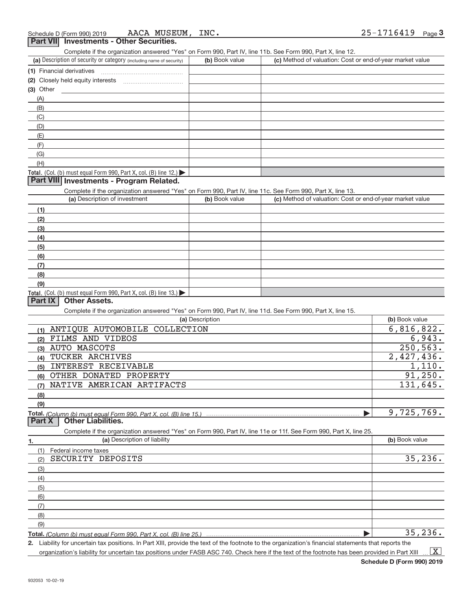| Part VII Investments - Other Securities.                                                                                                                                           |                 |                                                           |                |
|------------------------------------------------------------------------------------------------------------------------------------------------------------------------------------|-----------------|-----------------------------------------------------------|----------------|
| Complete if the organization answered "Yes" on Form 990, Part IV, line 11b. See Form 990, Part X, line 12.<br>(a) Description of security or category (including name of security) | (b) Book value  | (c) Method of valuation: Cost or end-of-year market value |                |
| (1) Financial derivatives                                                                                                                                                          |                 |                                                           |                |
|                                                                                                                                                                                    |                 |                                                           |                |
| (3) Other                                                                                                                                                                          |                 |                                                           |                |
| (A)                                                                                                                                                                                |                 |                                                           |                |
| (B)                                                                                                                                                                                |                 |                                                           |                |
| (C)                                                                                                                                                                                |                 |                                                           |                |
| (D)                                                                                                                                                                                |                 |                                                           |                |
| (E)                                                                                                                                                                                |                 |                                                           |                |
| (F)                                                                                                                                                                                |                 |                                                           |                |
| (G)                                                                                                                                                                                |                 |                                                           |                |
| (H)                                                                                                                                                                                |                 |                                                           |                |
| Total. (Col. (b) must equal Form 990, Part X, col. (B) line 12.)                                                                                                                   |                 |                                                           |                |
| Part VIII Investments - Program Related.                                                                                                                                           |                 |                                                           |                |
| Complete if the organization answered "Yes" on Form 990, Part IV, line 11c. See Form 990, Part X, line 13.                                                                         |                 |                                                           |                |
| (a) Description of investment                                                                                                                                                      | (b) Book value  | (c) Method of valuation: Cost or end-of-year market value |                |
| (1)                                                                                                                                                                                |                 |                                                           |                |
| (2)                                                                                                                                                                                |                 |                                                           |                |
| (3)                                                                                                                                                                                |                 |                                                           |                |
| (4)                                                                                                                                                                                |                 |                                                           |                |
| (5)                                                                                                                                                                                |                 |                                                           |                |
| (6)                                                                                                                                                                                |                 |                                                           |                |
| (7)                                                                                                                                                                                |                 |                                                           |                |
| (8)                                                                                                                                                                                |                 |                                                           |                |
| (9)                                                                                                                                                                                |                 |                                                           |                |
| Total. (Col. (b) must equal Form 990, Part X, col. (B) line 13.)                                                                                                                   |                 |                                                           |                |
| <b>Part IX</b><br><b>Other Assets.</b>                                                                                                                                             |                 |                                                           |                |
| Complete if the organization answered "Yes" on Form 990, Part IV, line 11d. See Form 990, Part X, line 15.                                                                         |                 |                                                           |                |
|                                                                                                                                                                                    | (a) Description |                                                           | (b) Book value |
| (1) ANTIQUE AUTOMOBILE COLLECTION                                                                                                                                                  |                 |                                                           | 6,816,822.     |
| (2) FILMS AND VIDEOS                                                                                                                                                               |                 |                                                           | 6,943.         |
| (3) AUTO MASCOTS                                                                                                                                                                   |                 |                                                           | 250, 563.      |
| (4) TUCKER ARCHIVES                                                                                                                                                                |                 |                                                           | 2,427,436.     |
| <b>INTEREST RECEIVABLE</b><br>(5)                                                                                                                                                  |                 |                                                           | 1,110.         |
| (6) OTHER DONATED PROPERTY                                                                                                                                                         |                 |                                                           | 91,250.        |
| (7) NATIVE AMERICAN ARTIFACTS                                                                                                                                                      |                 |                                                           | 131,645.       |
| (8)                                                                                                                                                                                |                 |                                                           |                |
| (9)                                                                                                                                                                                |                 |                                                           |                |
|                                                                                                                                                                                    |                 |                                                           | 9,725,769.     |
| Part X<br><b>Other Liabilities.</b>                                                                                                                                                |                 |                                                           |                |
| Complete if the organization answered "Yes" on Form 990, Part IV, line 11e or 11f. See Form 990, Part X, line 25.                                                                  |                 |                                                           |                |
| (a) Description of liability<br>1.                                                                                                                                                 |                 |                                                           | (b) Book value |
| (1)<br>Federal income taxes                                                                                                                                                        |                 |                                                           |                |
| SECURITY DEPOSITS<br>(2)                                                                                                                                                           |                 |                                                           | 35,236.        |
| (3)                                                                                                                                                                                |                 |                                                           |                |
| (4)                                                                                                                                                                                |                 |                                                           |                |
| (5)                                                                                                                                                                                |                 |                                                           |                |
| (6)                                                                                                                                                                                |                 |                                                           |                |
| (7)                                                                                                                                                                                |                 |                                                           |                |
| (8)                                                                                                                                                                                |                 |                                                           |                |
| (9)                                                                                                                                                                                |                 |                                                           |                |
| <b>Total.</b> (Column (b) must equal Form 990, Part X, col. (B) line 25.)                                                                                                          |                 |                                                           | 35, 236.       |
|                                                                                                                                                                                    |                 |                                                           |                |

**2.** Liability for uncertain tax positions. In Part XIII, provide the text of the footnote to the organization's financial statements that reports the organization's liability for uncertain tax positions under FASB ASC 740. Check here if the text of the footnote has been provided in Part XIII  $\boxed{\text{X}}$ 

**Schedule D (Form 990) 2019**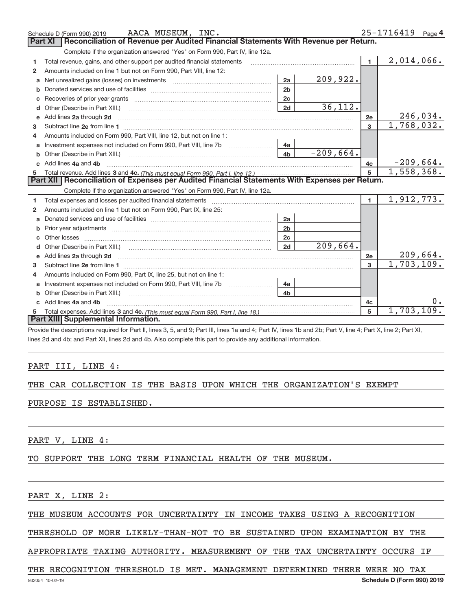|              | AACA MUSEUM, INC.<br>Schedule D (Form 990) 2019                                                                                                                                                      |                |             |                | 25-1716419 Page 4 |
|--------------|------------------------------------------------------------------------------------------------------------------------------------------------------------------------------------------------------|----------------|-------------|----------------|-------------------|
|              | Reconciliation of Revenue per Audited Financial Statements With Revenue per Return.<br><b>Part XI</b>                                                                                                |                |             |                |                   |
|              | Complete if the organization answered "Yes" on Form 990, Part IV, line 12a.                                                                                                                          |                |             |                |                   |
| 1            | Total revenue, gains, and other support per audited financial statements                                                                                                                             |                |             | $\blacksquare$ | 2,014,066.        |
| $\mathbf{2}$ | Amounts included on line 1 but not on Form 990, Part VIII, line 12:                                                                                                                                  |                |             |                |                   |
|              | Net unrealized gains (losses) on investments [11] matter contracts and the unrealized gains (losses) on investments                                                                                  | 2a             | 209,922.    |                |                   |
| b            |                                                                                                                                                                                                      | 2 <sub>b</sub> |             |                |                   |
| c            | Recoveries of prior year grants [11,111] Recoveries of prior year grants [11,111] Recoveries of prior year grants                                                                                    | 2c             |             |                |                   |
| d            | Other (Describe in Part XIII.)                                                                                                                                                                       | 2d             | 36,112.     |                |                   |
| e            | Add lines 2a through 2d <b>must be a constructed as the constant of the constant of the constant of the construction</b>                                                                             |                |             | 2e             | 246,034.          |
| 3            |                                                                                                                                                                                                      |                |             | 3              | 1,768,032.        |
|              | Amounts included on Form 990, Part VIII, line 12, but not on line 1:                                                                                                                                 |                |             |                |                   |
| a            | Investment expenses not included on Form 990, Part VIII, line 7b                                                                                                                                     | 4a             |             |                |                   |
| b            | Other (Describe in Part XIII.) <b>Construction Contract Construction</b> Construction Construction Construction Const                                                                                | 4 <sub>b</sub> | $-209,664.$ |                |                   |
|              | Add lines 4a and 4b                                                                                                                                                                                  |                |             | 4c             | $-209,664.$       |
| 5            |                                                                                                                                                                                                      |                |             | $\overline{5}$ | 1,558,368.        |
|              | Part XII   Reconciliation of Expenses per Audited Financial Statements With Expenses per Return.<br>Complete if the organization answered "Yes" on Form 990, Part IV, line 12a.                      |                |             |                |                   |
| 1.           | Total expenses and losses per audited financial statements [11] [11] Total expenses and losses per audited financial statements [11] [11] Total expenses and losses per audited financial statements |                |             | $\blacksquare$ | 1,912,773.        |
| 2            | Amounts included on line 1 but not on Form 990, Part IX, line 25:                                                                                                                                    |                |             |                |                   |
| a            |                                                                                                                                                                                                      | 2a             |             |                |                   |
|              |                                                                                                                                                                                                      | 2 <sub>b</sub> |             |                |                   |
| c.           |                                                                                                                                                                                                      | 2c             |             |                |                   |
|              |                                                                                                                                                                                                      | 2d             | 209,664.    |                |                   |
|              |                                                                                                                                                                                                      |                |             | 2e             | 209,664.          |
|              |                                                                                                                                                                                                      |                |             |                |                   |
| 3            |                                                                                                                                                                                                      |                |             | $\mathbf{a}$   | 1,703,109.        |
| 4            |                                                                                                                                                                                                      |                |             |                |                   |
| a            | Amounts included on Form 990, Part IX, line 25, but not on line 1:                                                                                                                                   | 4a             |             |                |                   |
|              |                                                                                                                                                                                                      | 4 <sub>h</sub> |             |                |                   |
|              | Add lines 4a and 4b                                                                                                                                                                                  |                |             | 4с             | $0 \cdot$         |
|              | Part XIII Supplemental Information.                                                                                                                                                                  |                |             | 5              | 1,703,109.        |

Provide the descriptions required for Part II, lines 3, 5, and 9; Part III, lines 1a and 4; Part IV, lines 1b and 2b; Part V, line 4; Part X, line 2; Part XI, lines 2d and 4b; and Part XII, lines 2d and 4b. Also complete this part to provide any additional information.

#### PART III, LINE 4:

#### THE CAR COLLECTION IS THE BASIS UPON WHICH THE ORGANIZATION'S EXEMPT

#### PURPOSE IS ESTABLISHED.

PART V, LINE 4:

TO SUPPORT THE LONG TERM FINANCIAL HEALTH OF THE MUSEUM.

PART X, LINE 2:

THE MUSEUM ACCOUNTS FOR UNCERTAINTY IN INCOME TAXES USING A RECOGNITION

THRESHOLD OF MORE LIKELY‐THAN‐NOT TO BE SUSTAINED UPON EXAMINATION BY THE

APPROPRIATE TAXING AUTHORITY. MEASUREMENT OF THE TAX UNCERTAINTY OCCURS IF

#### THE RECOGNITION THRESHOLD IS MET. MANAGEMENT DETERMINED THERE WERE NO TAX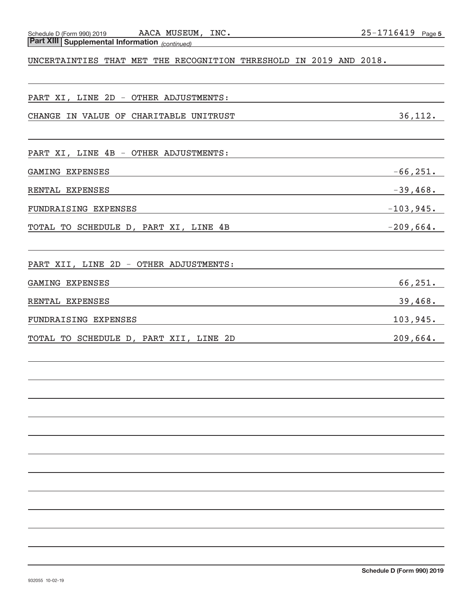# *(continued)* **Part XIII Supplemental Information**

#### UNCERTAINTIES THAT MET THE RECOGNITION THRESHOLD IN 2019 AND 2018.

#### PART XI, LINE 2D ‐ OTHER ADJUSTMENTS:

#### CHANGE IN VALUE OF CHARITABLE UNITRUST **36,112.**

PART XI, LINE 4B - OTHER ADJUSTMENTS:

#### GAMING EXPENSES  $-66,251$ .

RENTAL EXPENSES ‐39,468.

FUNDRAISING EXPENSES ‐103,945.

TOTAL TO SCHEDULE D, PART XI, LINE 4B ‐209,664.

PART XII, LINE 2D ‐ OTHER ADJUSTMENTS:

| GAMING EXPENSES      | 66, 251. |
|----------------------|----------|
| RENTAL EXPENSES      | 39,468.  |
| FUNDRAISING EXPENSES | 103,945. |

TOTAL TO SCHEDULE D, PART XII, LINE 2D 209,664.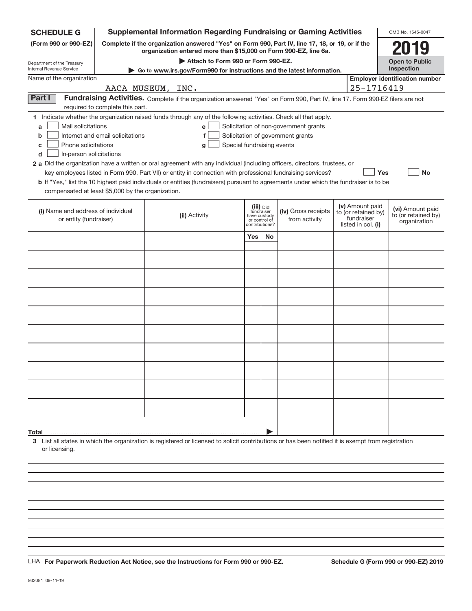| <b>SCHEDULE G</b>                                                                                                                                                                           | <b>Supplemental Information Regarding Fundraising or Gaming Activities</b>                                                    |                            |                                                                            |                                       |  |                                                                            | OMB No. 1545-0047                                       |
|---------------------------------------------------------------------------------------------------------------------------------------------------------------------------------------------|-------------------------------------------------------------------------------------------------------------------------------|----------------------------|----------------------------------------------------------------------------|---------------------------------------|--|----------------------------------------------------------------------------|---------------------------------------------------------|
| Complete if the organization answered "Yes" on Form 990, Part IV, line 17, 18, or 19, or if the<br>(Form 990 or 990-EZ)<br>organization entered more than \$15,000 on Form 990-EZ, line 6a. |                                                                                                                               |                            |                                                                            |                                       |  |                                                                            | 2019                                                    |
| Department of the Treasury                                                                                                                                                                  | Attach to Form 990 or Form 990-EZ.                                                                                            |                            |                                                                            |                                       |  |                                                                            | <b>Open to Public</b>                                   |
| Internal Revenue Service<br>Name of the organization                                                                                                                                        | Go to www.irs.gov/Form990 for instructions and the latest information.                                                        |                            |                                                                            |                                       |  |                                                                            | Inspection<br><b>Employer identification number</b>     |
|                                                                                                                                                                                             | AACA MUSEUM, INC.                                                                                                             |                            |                                                                            |                                       |  | 25-1716419                                                                 |                                                         |
| Part I                                                                                                                                                                                      | Fundraising Activities. Complete if the organization answered "Yes" on Form 990, Part IV, line 17. Form 990-EZ filers are not |                            |                                                                            |                                       |  |                                                                            |                                                         |
| required to complete this part.                                                                                                                                                             |                                                                                                                               |                            |                                                                            |                                       |  |                                                                            |                                                         |
| 1 Indicate whether the organization raised funds through any of the following activities. Check all that apply.                                                                             |                                                                                                                               |                            |                                                                            |                                       |  |                                                                            |                                                         |
| Mail solicitations<br>a                                                                                                                                                                     | e                                                                                                                             |                            |                                                                            | Solicitation of non-government grants |  |                                                                            |                                                         |
| Internet and email solicitations<br>b                                                                                                                                                       | f                                                                                                                             |                            |                                                                            | Solicitation of government grants     |  |                                                                            |                                                         |
| Phone solicitations<br>с<br>In-person solicitations<br>d                                                                                                                                    | g                                                                                                                             | Special fundraising events |                                                                            |                                       |  |                                                                            |                                                         |
| 2 a Did the organization have a written or oral agreement with any individual (including officers, directors, trustees, or                                                                  |                                                                                                                               |                            |                                                                            |                                       |  |                                                                            |                                                         |
| key employees listed in Form 990, Part VII) or entity in connection with professional fundraising services?                                                                                 |                                                                                                                               |                            |                                                                            |                                       |  | Yes                                                                        | <b>No</b>                                               |
| <b>b</b> If "Yes," list the 10 highest paid individuals or entities (fundraisers) pursuant to agreements under which the fundraiser is to be                                                |                                                                                                                               |                            |                                                                            |                                       |  |                                                                            |                                                         |
| compensated at least \$5,000 by the organization.                                                                                                                                           |                                                                                                                               |                            |                                                                            |                                       |  |                                                                            |                                                         |
| (i) Name and address of individual<br>or entity (fundraiser)                                                                                                                                | (ii) Activity                                                                                                                 |                            | (iii) Did<br>fundraiser<br>have custody<br>or control of<br>contributions? | (iv) Gross receipts<br>from activity  |  | (v) Amount paid<br>to (or retained by)<br>fundraiser<br>listed in col. (i) | (vi) Amount paid<br>to (or retained by)<br>organization |
|                                                                                                                                                                                             |                                                                                                                               | Yes                        | <b>No</b>                                                                  |                                       |  |                                                                            |                                                         |
|                                                                                                                                                                                             |                                                                                                                               |                            |                                                                            |                                       |  |                                                                            |                                                         |
|                                                                                                                                                                                             |                                                                                                                               |                            |                                                                            |                                       |  |                                                                            |                                                         |
|                                                                                                                                                                                             |                                                                                                                               |                            |                                                                            |                                       |  |                                                                            |                                                         |
|                                                                                                                                                                                             |                                                                                                                               |                            |                                                                            |                                       |  |                                                                            |                                                         |
|                                                                                                                                                                                             |                                                                                                                               |                            |                                                                            |                                       |  |                                                                            |                                                         |
|                                                                                                                                                                                             |                                                                                                                               |                            |                                                                            |                                       |  |                                                                            |                                                         |
|                                                                                                                                                                                             |                                                                                                                               |                            |                                                                            |                                       |  |                                                                            |                                                         |
|                                                                                                                                                                                             |                                                                                                                               |                            |                                                                            |                                       |  |                                                                            |                                                         |
|                                                                                                                                                                                             |                                                                                                                               |                            |                                                                            |                                       |  |                                                                            |                                                         |
|                                                                                                                                                                                             |                                                                                                                               |                            |                                                                            |                                       |  |                                                                            |                                                         |
|                                                                                                                                                                                             |                                                                                                                               |                            |                                                                            |                                       |  |                                                                            |                                                         |
|                                                                                                                                                                                             |                                                                                                                               |                            |                                                                            |                                       |  |                                                                            |                                                         |
|                                                                                                                                                                                             |                                                                                                                               |                            |                                                                            |                                       |  |                                                                            |                                                         |
|                                                                                                                                                                                             |                                                                                                                               |                            |                                                                            |                                       |  |                                                                            |                                                         |
|                                                                                                                                                                                             |                                                                                                                               |                            |                                                                            |                                       |  |                                                                            |                                                         |
|                                                                                                                                                                                             |                                                                                                                               |                            |                                                                            |                                       |  |                                                                            |                                                         |
|                                                                                                                                                                                             |                                                                                                                               |                            |                                                                            |                                       |  |                                                                            |                                                         |
| Total                                                                                                                                                                                       |                                                                                                                               |                            |                                                                            |                                       |  |                                                                            |                                                         |
| 3 List all states in which the organization is registered or licensed to solicit contributions or has been notified it is exempt from registration<br>or licensing.                         |                                                                                                                               |                            |                                                                            |                                       |  |                                                                            |                                                         |
|                                                                                                                                                                                             |                                                                                                                               |                            |                                                                            |                                       |  |                                                                            |                                                         |
|                                                                                                                                                                                             |                                                                                                                               |                            |                                                                            |                                       |  |                                                                            |                                                         |
|                                                                                                                                                                                             |                                                                                                                               |                            |                                                                            |                                       |  |                                                                            |                                                         |
|                                                                                                                                                                                             |                                                                                                                               |                            |                                                                            |                                       |  |                                                                            |                                                         |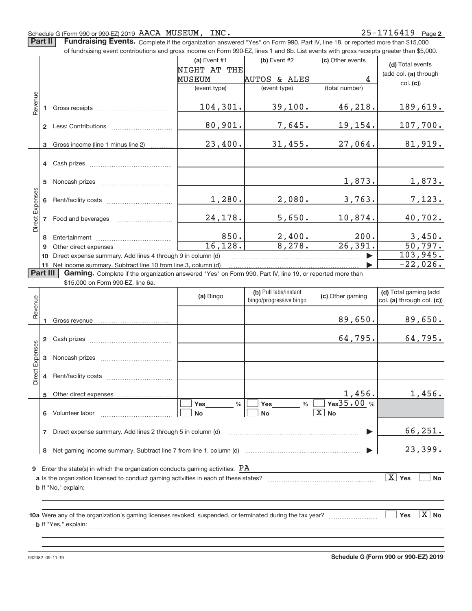#### Schedule G (Form 990 or 990‐EZ) 2019 Page AACA MUSEUM, INC. 25‐1716419

Part II | Fundraising Events. Complete if the organization answered "Yes" on Form 990, Part IV, line 18, or reported more than \$15,000

|                                                                                                                      | of fundraising event contributions and gross income on Form 990-EZ, lines 1 and 6b. List events with gross receipts greater than \$5,000. |                                                                 |                              |                                                  |                              |                                                     |  |  |
|----------------------------------------------------------------------------------------------------------------------|-------------------------------------------------------------------------------------------------------------------------------------------|-----------------------------------------------------------------|------------------------------|--------------------------------------------------|------------------------------|-----------------------------------------------------|--|--|
|                                                                                                                      |                                                                                                                                           |                                                                 | (a) Event #1<br>NIGHT AT THE | $(b)$ Event #2                                   | (c) Other events             | (d) Total events                                    |  |  |
|                                                                                                                      |                                                                                                                                           |                                                                 | MUSEUM                       | AUTOS & ALES                                     | 4                            | (add col. (a) through                               |  |  |
|                                                                                                                      |                                                                                                                                           |                                                                 | (event type)                 | (event type)                                     | (total number)               | col. (c)                                            |  |  |
|                                                                                                                      |                                                                                                                                           |                                                                 |                              |                                                  |                              |                                                     |  |  |
| Revenue                                                                                                              |                                                                                                                                           |                                                                 | 104, 301.                    | 39,100.                                          | 46,218.                      | 189,619.                                            |  |  |
|                                                                                                                      |                                                                                                                                           |                                                                 |                              |                                                  |                              |                                                     |  |  |
|                                                                                                                      |                                                                                                                                           |                                                                 | 80,901.                      | 7,645.                                           | 19,154.                      | 107,700.                                            |  |  |
|                                                                                                                      |                                                                                                                                           | 3 Gross income (line 1 minus line 2)                            | 23,400.                      | 31,455.                                          | 27,064.                      | 81,919.                                             |  |  |
|                                                                                                                      |                                                                                                                                           | 4 Cash prizes                                                   |                              |                                                  |                              |                                                     |  |  |
|                                                                                                                      |                                                                                                                                           |                                                                 |                              |                                                  | 1,873.                       | 1,873.                                              |  |  |
| Direct Expenses                                                                                                      |                                                                                                                                           |                                                                 | 1,280.                       | 2,080.                                           | 3,763.                       | 7,123.                                              |  |  |
|                                                                                                                      |                                                                                                                                           | 7 Food and beverages                                            | 24,178.                      | 5,650.                                           | 10,874.                      | 40,702.                                             |  |  |
|                                                                                                                      |                                                                                                                                           |                                                                 | 850.                         | 2,400.                                           | 200.                         | 3,450.                                              |  |  |
|                                                                                                                      | 9                                                                                                                                         |                                                                 | 16, 128.                     | 8,278.                                           | $\overline{26,391}$ .        | 50, 797.                                            |  |  |
|                                                                                                                      | 10                                                                                                                                        | Direct expense summary. Add lines 4 through 9 in column (d)     |                              |                                                  | ь                            | 103,945.                                            |  |  |
|                                                                                                                      |                                                                                                                                           | 11 Net income summary. Subtract line 10 from line 3, column (d) |                              |                                                  |                              | $-22,026.$                                          |  |  |
| Part III<br>Gaming. Complete if the organization answered "Yes" on Form 990, Part IV, line 19, or reported more than |                                                                                                                                           |                                                                 |                              |                                                  |                              |                                                     |  |  |
|                                                                                                                      |                                                                                                                                           | \$15,000 on Form 990-EZ, line 6a.                               |                              |                                                  |                              |                                                     |  |  |
|                                                                                                                      |                                                                                                                                           |                                                                 | (a) Bingo                    | (b) Pull tabs/instant<br>bingo/progressive bingo | (c) Other gaming             | (d) Total gaming (add<br>col. (a) through col. (c)) |  |  |
| Revenue                                                                                                              | 1                                                                                                                                         |                                                                 |                              |                                                  | 89,650.                      | 89,650.                                             |  |  |
|                                                                                                                      |                                                                                                                                           |                                                                 |                              |                                                  | 64,795.                      | 64,795.                                             |  |  |
| Expenses                                                                                                             |                                                                                                                                           | 3 Noncash prizes                                                |                              |                                                  |                              |                                                     |  |  |
|                                                                                                                      |                                                                                                                                           |                                                                 |                              |                                                  |                              |                                                     |  |  |
| Direct <sup>1</sup>                                                                                                  |                                                                                                                                           |                                                                 |                              |                                                  |                              |                                                     |  |  |
|                                                                                                                      |                                                                                                                                           | 5 Other direct expenses                                         |                              |                                                  | 1,456.                       | 1,456.                                              |  |  |
|                                                                                                                      |                                                                                                                                           | 6 Volunteer labor                                               | <b>Yes</b><br>%<br><b>No</b> | <b>Yes</b><br>%<br><b>No</b>                     | Yes35.00 %<br>$\boxed{X}$ No |                                                     |  |  |
|                                                                                                                      |                                                                                                                                           |                                                                 |                              |                                                  |                              |                                                     |  |  |
|                                                                                                                      |                                                                                                                                           | 7 Direct expense summary. Add lines 2 through 5 in column (d)   |                              |                                                  |                              | 66, 251.                                            |  |  |

**9** Enter the state(s) in which the organization conducts gaming activities:  $\overline{\text{PA}}$ 

**8** Net gaming income summary. Subtract line 7 from line 1, column (d)

| a Is the organization licensed to conduct gaming activities in each of these states? | Yes | No |
|--------------------------------------------------------------------------------------|-----|----|
| <b>b</b> If "No," explain:                                                           |     |    |

|

**10 a** Were any of the organization's gaming licenses revoked, suspended, or terminated during the tax year? ~~~~~~~~~ **b** If "Yes," explain: Yes **X** No **Yes** 

23,399.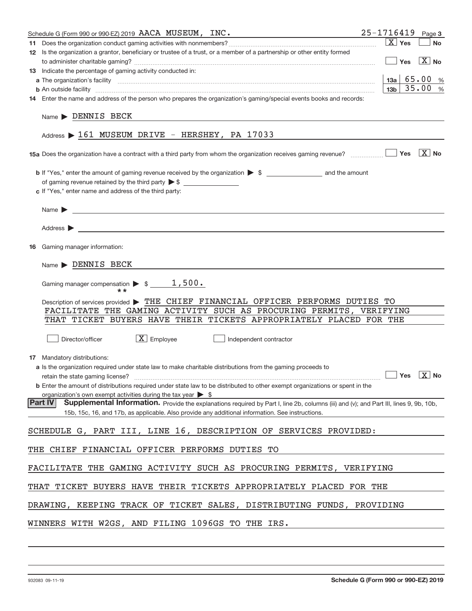| Schedule G (Form 990 or 990-EZ) 2019 AACA MUSEUM, INC.                                                                                                   | $25 - 1716419$ Page 3                           |           |
|----------------------------------------------------------------------------------------------------------------------------------------------------------|-------------------------------------------------|-----------|
|                                                                                                                                                          | $X$ Yes                                         | <b>No</b> |
| 12 Is the organization a grantor, beneficiary or trustee of a trust, or a member of a partnership or other entity formed                                 |                                                 |           |
|                                                                                                                                                          | $\boxed{\phantom{1}}$ Yes $\boxed{\text{X}}$ No |           |
| 13 Indicate the percentage of gaming activity conducted in:                                                                                              |                                                 |           |
|                                                                                                                                                          | $13a \mid 65.00 %$                              |           |
| <b>b</b> An outside facility <i>www.communicality www.communicality.communicality www.communicality www.communicality.com</i>                            | 13 <sub>b</sub>                                 | 35.00 %   |
| 14 Enter the name and address of the person who prepares the organization's gaming/special events books and records:                                     |                                                 |           |
| Name > DENNIS BECK                                                                                                                                       |                                                 |           |
| Address > 161 MUSEUM DRIVE - HERSHEY, PA 17033                                                                                                           |                                                 |           |
|                                                                                                                                                          |                                                 |           |
|                                                                                                                                                          |                                                 |           |
|                                                                                                                                                          |                                                 |           |
| c If "Yes," enter name and address of the third party:                                                                                                   |                                                 |           |
|                                                                                                                                                          |                                                 |           |
|                                                                                                                                                          |                                                 |           |
|                                                                                                                                                          |                                                 |           |
| <b>16</b> Gaming manager information:                                                                                                                    |                                                 |           |
| $Name \triangleright$ DENNIS BECK                                                                                                                        |                                                 |           |
|                                                                                                                                                          |                                                 |           |
| Description of services provided > THE CHIEF FINANCIAL OFFICER PERFORMS DUTIES TO                                                                        |                                                 |           |
| FACILITATE THE GAMING ACTIVITY SUCH AS PROCURING PERMITS, VERIFYING                                                                                      |                                                 |           |
| THAT TICKET BUYERS HAVE THEIR TICKETS APPROPRIATELY PLACED FOR THE                                                                                       |                                                 |           |
| $\boxed{\text{X}}$ Employee<br>Director/officer<br>Independent contractor                                                                                |                                                 |           |
| <b>17</b> Mandatory distributions:                                                                                                                       |                                                 |           |
| a Is the organization required under state law to make charitable distributions from the gaming proceeds to                                              |                                                 |           |
| $r$ retain the state gaming license? $\Box$ No                                                                                                           |                                                 |           |
| <b>b</b> Enter the amount of distributions required under state law to be distributed to other exempt organizations or spent in the                      |                                                 |           |
| organization's own exempt activities during the tax year $\triangleright$ \$                                                                             |                                                 |           |
| <b>Part IV</b><br>Supplemental Information. Provide the explanations required by Part I, line 2b, columns (iii) and (v); and Part III, lines 9, 9b, 10b, |                                                 |           |
| 15b, 15c, 16, and 17b, as applicable. Also provide any additional information. See instructions.                                                         |                                                 |           |
| SCHEDULE G, PART III, LINE 16, DESCRIPTION OF SERVICES PROVIDED:                                                                                         |                                                 |           |
| THE CHIEF FINANCIAL OFFICER PERFORMS DUTIES TO                                                                                                           |                                                 |           |
| FACILITATE THE GAMING ACTIVITY SUCH AS PROCURING PERMITS, VERIFYING                                                                                      |                                                 |           |
| THAT TICKET BUYERS HAVE THEIR TICKETS APPROPRIATELY PLACED FOR THE                                                                                       |                                                 |           |
| DRAWING, KEEPING TRACK OF TICKET SALES, DISTRIBUTING FUNDS, PROVIDING                                                                                    |                                                 |           |
| WINNERS WITH W2GS, AND FILING 1096GS TO THE IRS.                                                                                                         |                                                 |           |
|                                                                                                                                                          |                                                 |           |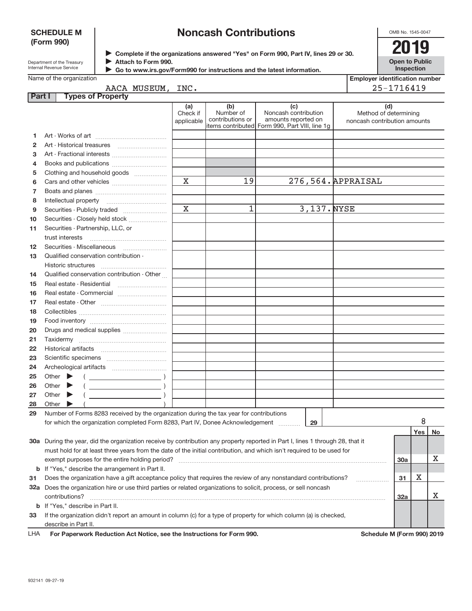#### **SCHEDULE M (Form 990)**

# **Noncash Contributions**

OMB No. 1545‐0047

| Department of the Treasury |
|----------------------------|
| Internal Revenue Service   |

▶ Complete if the organizations answered "Yes" on Form 990, Part IV, lines 29 or 30.<br>▶ Complete if the organizations answered "Yes" on Form 990, Part IV, lines 29 or 30. **Attach to Form 990.** J

**Open to Public Inspection**

| Name of the organization |  |
|--------------------------|--|

 $\blacksquare$ 

 **Go to www.irs.gov/Form990 for instructions and the latest information.**

|                                                                   |  | $\sim$ GO to www.irs.gov/Formaso for msudductions and the latest imormation. |                               |                                      |                                                                                                      |                                                              |
|-------------------------------------------------------------------|--|------------------------------------------------------------------------------|-------------------------------|--------------------------------------|------------------------------------------------------------------------------------------------------|--------------------------------------------------------------|
| Name of the organization<br><b>Employer identification number</b> |  |                                                                              |                               |                                      |                                                                                                      |                                                              |
| AACA MUSEUM, INC.                                                 |  |                                                                              |                               |                                      |                                                                                                      | 25-1716419                                                   |
| Part I                                                            |  | <b>Types of Property</b>                                                     |                               |                                      |                                                                                                      |                                                              |
|                                                                   |  |                                                                              | (a)<br>Check if<br>applicable | (b)<br>Number of<br>contributions or | (c)<br>Noncash contribution<br>amounts reported on<br>items contributed Form 990, Part VIII, line 1g | (d)<br>Method of determining<br>noncash contribution amounts |
| 1.                                                                |  |                                                                              |                               |                                      |                                                                                                      |                                                              |
| $\overline{2}$                                                    |  |                                                                              |                               |                                      |                                                                                                      |                                                              |
| 3                                                                 |  |                                                                              |                               |                                      |                                                                                                      |                                                              |
| 4                                                                 |  |                                                                              |                               |                                      |                                                                                                      |                                                              |
| 5                                                                 |  | Clothing and household goods                                                 |                               |                                      |                                                                                                      |                                                              |
| 6                                                                 |  |                                                                              | $\mathbf X$                   | 19                                   | 276,564. APPRAISAL                                                                                   |                                                              |
| $\overline{7}$                                                    |  |                                                                              |                               |                                      |                                                                                                      |                                                              |
| 8                                                                 |  |                                                                              |                               |                                      |                                                                                                      |                                                              |
| 9                                                                 |  |                                                                              | $\overline{\mathbf{x}}$       | 1                                    | 3,137. NYSE                                                                                          |                                                              |
| 10                                                                |  | Securities - Closely held stock                                              |                               |                                      |                                                                                                      |                                                              |
| 11                                                                |  | Securities - Partnership, LLC, or                                            |                               |                                      |                                                                                                      |                                                              |
|                                                                   |  |                                                                              |                               |                                      |                                                                                                      |                                                              |
| 12                                                                |  | Securities - Miscellaneous                                                   |                               |                                      |                                                                                                      |                                                              |
| 13                                                                |  | Qualified conservation contribution -                                        |                               |                                      |                                                                                                      |                                                              |
|                                                                   |  | <b>Historic structures</b>                                                   |                               |                                      |                                                                                                      |                                                              |
| 14                                                                |  | Qualified conservation contribution - Other                                  |                               |                                      |                                                                                                      |                                                              |
| 15                                                                |  |                                                                              |                               |                                      |                                                                                                      |                                                              |
| 16                                                                |  |                                                                              |                               |                                      |                                                                                                      |                                                              |
| 17                                                                |  |                                                                              |                               |                                      |                                                                                                      |                                                              |
| 18                                                                |  |                                                                              |                               |                                      |                                                                                                      |                                                              |
| 19                                                                |  |                                                                              |                               |                                      |                                                                                                      |                                                              |
| 20                                                                |  | Drugs and medical supplies                                                   |                               |                                      |                                                                                                      |                                                              |
| 21                                                                |  |                                                                              |                               |                                      |                                                                                                      |                                                              |
| 22                                                                |  | <b>Historical artifacts</b>                                                  |                               |                                      |                                                                                                      |                                                              |

| 28  | Other                                                                                                                          |                            |       |           |
|-----|--------------------------------------------------------------------------------------------------------------------------------|----------------------------|-------|-----------|
| 29  | Number of Forms 8283 received by the organization during the tax year for contributions                                        |                            |       |           |
|     | for which the organization completed Form 8283, Part IV, Donee Acknowledgement<br>29                                           |                            |       |           |
|     |                                                                                                                                |                            | Yes l | <b>No</b> |
|     | 30a During the year, did the organization receive by contribution any property reported in Part I, lines 1 through 28, that it |                            |       |           |
|     | must hold for at least three years from the date of the initial contribution, and which isn't required to be used for          |                            |       |           |
|     | exempt purposes for the entire holding period?                                                                                 | <b>30a</b>                 |       | x         |
|     | <b>b</b> If "Yes," describe the arrangement in Part II.                                                                        |                            |       |           |
| 31  | Does the organization have a gift acceptance policy that requires the review of any nonstandard contributions?                 | 31                         | X     |           |
| 32a | Does the organization hire or use third parties or related organizations to solicit, process, or sell noncash                  |                            |       |           |
|     | contributions?                                                                                                                 | 32a                        |       | х         |
|     | <b>b</b> If "Yes," describe in Part II.                                                                                        |                            |       |           |
| 33  | If the organization didn't report an amount in column (c) for a type of property for which column (a) is checked,              |                            |       |           |
|     | describe in Part II.                                                                                                           |                            |       |           |
| LHA | For Paperwork Reduction Act Notice, see the Instructions for Form 990.                                                         | Schedule M (Form 990) 2019 |       |           |

Other  $\blacktriangleright$ Other  $\blacktriangleright$ 

Scientific specimens ~~~~~~~~~~~ Archeological artifacts ~~~~~~~~~~

Other  $\begin{pmatrix} 1 & 1 \\ 1 & 1 \end{pmatrix}$ 

 $\begin{picture}(150,10) \put(0,0){\line(1,0){10}} \put(10,0){\line(1,0){10}} \put(10,0){\line(1,0){10}} \put(10,0){\line(1,0){10}} \put(10,0){\line(1,0){10}} \put(10,0){\line(1,0){10}} \put(10,0){\line(1,0){10}} \put(10,0){\line(1,0){10}} \put(10,0){\line(1,0){10}} \put(10,0){\line(1,0){10}} \put(10,0){\line(1,0){10}} \put(10,0){\line($  $($   $)$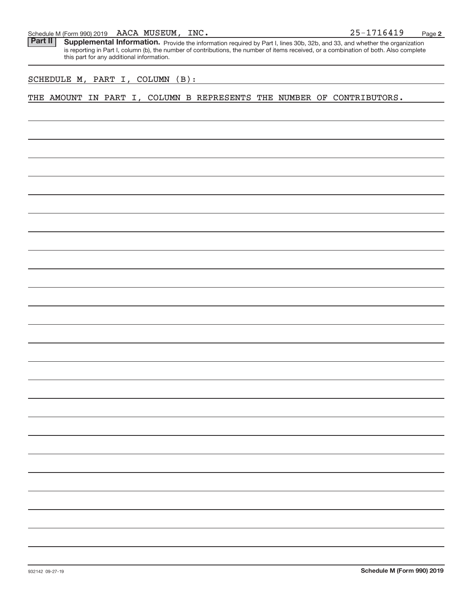#### AACA MUSEUM,

Schedule M (Form 990) 2019 AACA MUSEUM, INC.<br>**Part II** Supplemental Information. Provide the information required by Part I. lines 30b. 32b. and 33. and whether the organic Part II | Supplemental Information. Provide the information required by Part I, lines 30b, 32b, and 33, and whether the organization is reporting in Part I, column (b), the number of contributions, the number of items received, or a combination of both. Also complete this part for any additional information.

#### SCHEDULE M, PART I, COLUMN (B):

THE AMOUNT IN PART I, COLUMN B REPRESENTS THE NUMBER OF CONTRIBUTORS.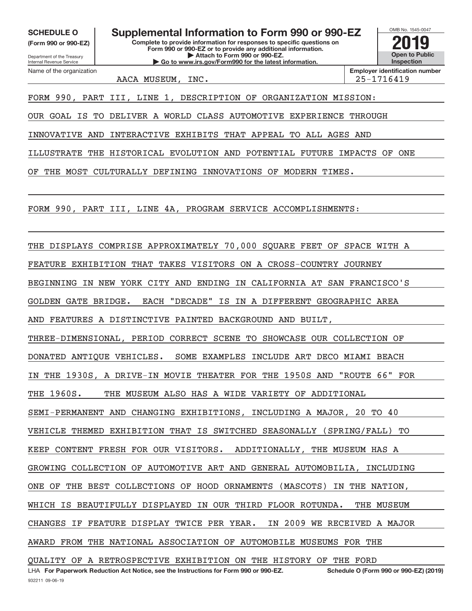**(Form 990 or 990‐EZ)**

Department of the Treasury Internal Revenue Service Name of the organization

**Complete to provide information for responses to specific questions on Form 990 or 990‐EZ or to provide any additional information. | Attach to Form 990 or 990‐EZ. | Go to www.irs.gov/Form990 for the latest information.** SCHEDULE O **Supplemental Information to Form 990 or 990-EZ 2019** 



AACA MUSEUM, INC. 25–1716419

FORM 990, PART III, LINE 1, DESCRIPTION OF ORGANIZATION MISSION:

OUR GOAL IS TO DELIVER A WORLD CLASS AUTOMOTIVE EXPERIENCE THROUGH

INNOVATIVE AND INTERACTIVE EXHIBITS THAT APPEAL TO ALL AGES AND

ILLUSTRATE THE HISTORICAL EVOLUTION AND POTENTIAL FUTURE IMPACTS OF ONE

OF THE MOST CULTURALLY DEFINING INNOVATIONS OF MODERN TIMES.

FORM 990, PART III, LINE 4A, PROGRAM SERVICE ACCOMPLISHMENTS:

THE DISPLAYS COMPRISE APPROXIMATELY 70,000 SQUARE FEET OF SPACE WITH A FEATURE EXHIBITION THAT TAKES VISITORS ON A CROSS‐COUNTRY JOURNEY BEGINNING IN NEW YORK CITY AND ENDING IN CALIFORNIA AT SAN FRANCISCO'S GOLDEN GATE BRIDGE. EACH "DECADE" IS IN A DIFFERENT GEOGRAPHIC AREA AND FEATURES A DISTINCTIVE PAINTED BACKGROUND AND BUILT, THREE‐DIMENSIONAL, PERIOD CORRECT SCENE TO SHOWCASE OUR COLLECTION OF DONATED ANTIQUE VEHICLES. SOME EXAMPLES INCLUDE ART DECO MIAMI BEACH IN THE 1930S, A DRIVE‐IN MOVIE THEATER FOR THE 1950S AND "ROUTE 66" FOR THE 1960S. THE MUSEUM ALSO HAS A WIDE VARIETY OF ADDITIONAL SEMI‐PERMANENT AND CHANGING EXHIBITIONS, INCLUDING A MAJOR, 20 TO 40 VEHICLE THEMED EXHIBITION THAT IS SWITCHED SEASONALLY (SPRING/FALL) TO KEEP CONTENT FRESH FOR OUR VISITORS. ADDITIONALLY, THE MUSEUM HAS A GROWING COLLECTION OF AUTOMOTIVE ART AND GENERAL AUTOMOBILIA, INCLUDING ONE OF THE BEST COLLECTIONS OF HOOD ORNAMENTS (MASCOTS) IN THE NATION, WHICH IS BEAUTIFULLY DISPLAYED IN OUR THIRD FLOOR ROTUNDA. THE MUSEUM CHANGES IF FEATURE DISPLAY TWICE PER YEAR. IN 2009 WE RECEIVED A MAJOR AWARD FROM THE NATIONAL ASSOCIATION OF AUTOMOBILE MUSEUMS FOR THE QUALITY OF A RETROSPECTIVE EXHIBITION ON THE HISTORY OF THE FORD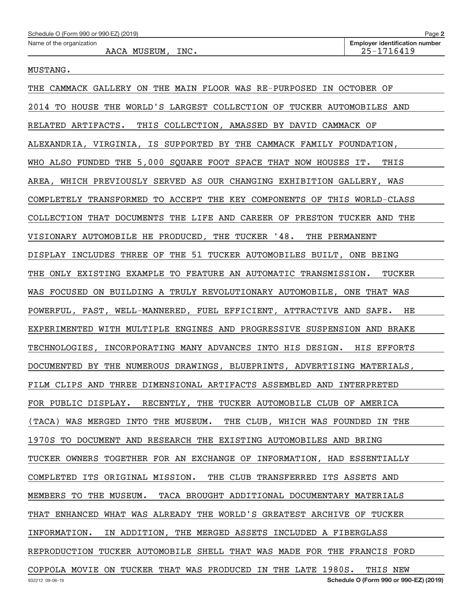#### MUSTANG.

| THE CAMMACK GALLERY ON THE MAIN FLOOR WAS RE-PURPOSED IN OCTOBER OF      |
|--------------------------------------------------------------------------|
| 2014 TO HOUSE THE WORLD'S LARGEST COLLECTION OF TUCKER AUTOMOBILES AND   |
| RELATED ARTIFACTS. THIS COLLECTION, AMASSED BY DAVID CAMMACK OF          |
| ALEXANDRIA, VIRGINIA, IS SUPPORTED BY THE CAMMACK FAMILY FOUNDATION,     |
| WHO ALSO FUNDED THE 5,000 SQUARE FOOT SPACE THAT NOW HOUSES IT. THIS     |
| AREA, WHICH PREVIOUSLY SERVED AS OUR CHANGING EXHIBITION GALLERY, WAS    |
| COMPLETELY TRANSFORMED TO ACCEPT THE KEY COMPONENTS OF THIS WORLD-CLASS  |
| COLLECTION THAT DOCUMENTS THE LIFE AND CAREER OF PRESTON TUCKER AND THE  |
| VISIONARY AUTOMOBILE HE PRODUCED, THE TUCKER '48. THE PERMANENT          |
| DISPLAY INCLUDES THREE OF THE 51 TUCKER AUTOMOBILES BUILT, ONE BEING     |
| THE ONLY EXISTING EXAMPLE TO FEATURE AN AUTOMATIC TRANSMISSION. TUCKER   |
| WAS FOCUSED ON BUILDING A TRULY REVOLUTIONARY AUTOMOBILE, ONE THAT WAS   |
| POWERFUL, FAST, WELL-MANNERED, FUEL EFFICIENT, ATTRACTIVE AND SAFE. HE   |
| EXPERIMENTED WITH MULTIPLE ENGINES AND PROGRESSIVE SUSPENSION AND BRAKE  |
| TECHNOLOGIES, INCORPORATING MANY ADVANCES INTO HIS DESIGN. HIS EFFORTS   |
| DOCUMENTED BY THE NUMEROUS DRAWINGS, BLUEPRINTS, ADVERTISING MATERIALS,  |
| FILM CLIPS AND THREE DIMENSIONAL ARTIFACTS ASSEMBLED AND INTERPRETED     |
| FOR PUBLIC DISPLAY. RECENTLY, THE TUCKER AUTOMOBILE CLUB OF AMERICA      |
| (TACA) WAS MERGED INTO THE MUSEUM. THE CLUB, WHICH WAS FOUNDED IN THE    |
| 1970S TO DOCUMENT AND RESEARCH THE EXISTING AUTOMOBILES AND BRING        |
| TUCKER OWNERS TOGETHER FOR AN EXCHANGE OF INFORMATION, HAD ESSENTIALLY   |
| COMPLETED ITS ORIGINAL MISSION. THE CLUB TRANSFERRED ITS ASSETS AND      |
| MEMBERS TO THE MUSEUM. TACA BROUGHT ADDITIONAL DOCUMENTARY MATERIALS     |
| THAT ENHANCED WHAT WAS ALREADY THE WORLD'S GREATEST ARCHIVE OF TUCKER    |
| INFORMATION.<br>IN ADDITION, THE MERGED ASSETS INCLUDED A FIBERGLASS     |
| REPRODUCTION TUCKER AUTOMOBILE SHELL THAT WAS MADE FOR THE FRANCIS FORD  |
| COPPOLA MOVIE ON TUCKER THAT WAS PRODUCED IN THE LATE 1980S.<br>THIS NEW |
| Schedule O (Form 990 or 990-EZ) (2019)<br>932212 09-06-19                |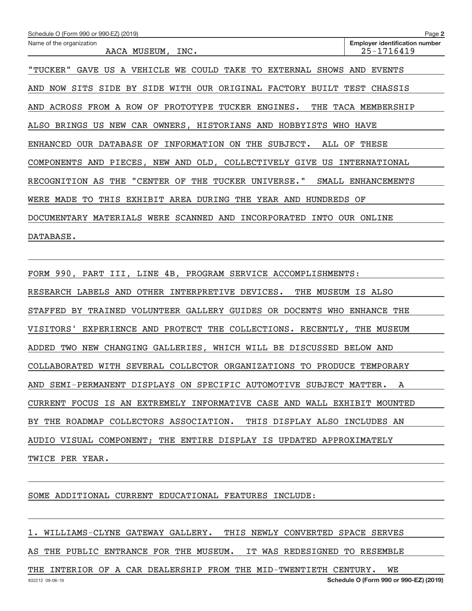| Schedule O (Form 990 or 990-EZ) (2019)                                    | Page 2                                              |  |  |  |  |
|---------------------------------------------------------------------------|-----------------------------------------------------|--|--|--|--|
| Name of the organization<br>AACA MUSEUM, INC.                             | <b>Employer identification number</b><br>25-1716419 |  |  |  |  |
| "TUCKER" GAVE US A VEHICLE WE COULD TAKE TO EXTERNAL SHOWS AND EVENTS     |                                                     |  |  |  |  |
| NOW SITS SIDE BY SIDE WITH OUR ORIGINAL FACTORY BUILT TEST CHASSIS<br>AND |                                                     |  |  |  |  |
| AND ACROSS FROM A ROW OF PROTOTYPE TUCKER ENGINES.                        | THE TACA MEMBERSHIP                                 |  |  |  |  |
| ALSO BRINGS US NEW CAR OWNERS, HISTORIANS AND HOBBYISTS WHO HAVE          |                                                     |  |  |  |  |
| ENHANCED OUR DATABASE OF INFORMATION ON THE SUBJECT.                      | ALL OF THESE                                        |  |  |  |  |
| COMPONENTS AND PIECES, NEW AND OLD, COLLECTIVELY GIVE US INTERNATIONAL    |                                                     |  |  |  |  |
| RECOGNITION AS THE "CENTER OF THE TUCKER UNIVERSE."                       | SMALL ENHANCEMENTS                                  |  |  |  |  |
| WERE MADE TO THIS EXHIBIT AREA DURING THE YEAR AND HUNDREDS OF            |                                                     |  |  |  |  |
| DOCUMENTARY MATERIALS WERE SCANNED AND INCORPORATED INTO OUR ONLINE       |                                                     |  |  |  |  |
| DATABASE.                                                                 |                                                     |  |  |  |  |
|                                                                           |                                                     |  |  |  |  |
| FORM 990, PART III, LINE 4B, PROGRAM SERVICE ACCOMPLISHMENTS:             |                                                     |  |  |  |  |
| RESEARCH LABELS AND OTHER INTERPRETIVE DEVICES.<br>THE MUSEUM IS ALSO     |                                                     |  |  |  |  |
| STAFFED BY TRAINED VOLUNTEER GALLERY GUIDES OR DOCENTS WHO ENHANCE THE    |                                                     |  |  |  |  |
| VISITORS'<br>EXPERIENCE AND PROTECT THE COLLECTIONS. RECENTLY, THE MUSEUM |                                                     |  |  |  |  |
| ADDED TWO NEW CHANGING GALLERIES, WHICH WILL BE DISCUSSED BELOW AND       |                                                     |  |  |  |  |
| COLLABORATED WITH SEVERAL COLLECTOR ORGANIZATIONS TO PRODUCE TEMPORARY    |                                                     |  |  |  |  |
|                                                                           |                                                     |  |  |  |  |

SOME ADDITIONAL CURRENT EDUCATIONAL FEATURES INCLUDE:

1. WILLIAMS‐CLYNE GATEWAY GALLERY. THIS NEWLY CONVERTED SPACE SERVES

AND SEMI‐PERMANENT DISPLAYS ON SPECIFIC AUTOMOTIVE SUBJECT MATTER. A

BY THE ROADMAP COLLECTORS ASSOCIATION. THIS DISPLAY ALSO INCLUDES AN

AUDIO VISUAL COMPONENT; THE ENTIRE DISPLAY IS UPDATED APPROXIMATELY

CURRENT FOCUS IS AN EXTREMELY INFORMATIVE CASE AND WALL EXHIBIT MOUNTED

AS THE PUBLIC ENTRANCE FOR THE MUSEUM. IT WAS REDESIGNED TO RESEMBLE

THE INTERIOR OF A CAR DEALERSHIP FROM THE MID-TWENTIETH CENTURY. WE

TWICE PER YEAR.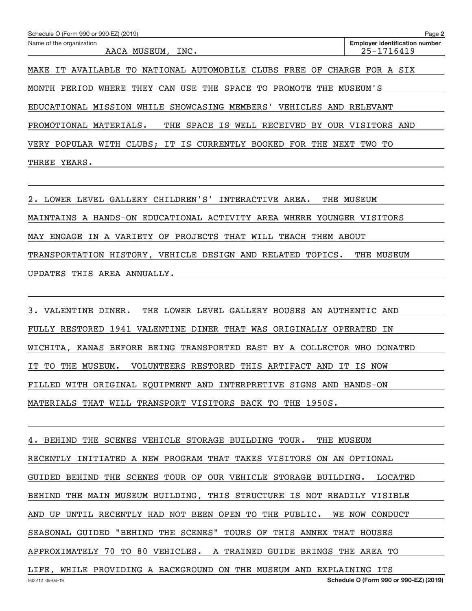| Schedule O (Form 990 or 990-EZ) (2019)                                     | Page 2                                              |  |  |  |
|----------------------------------------------------------------------------|-----------------------------------------------------|--|--|--|
| Name of the organization<br>AACA MUSEUM, INC.                              | <b>Employer identification number</b><br>25-1716419 |  |  |  |
| NATIONAL AUTOMOBILE CLUBS FREE OF<br>AVAILABLE TO<br>MAKE IT               | CHARGE FOR A SIX                                    |  |  |  |
| CAN USE THE SPACE TO<br>PROMOTE<br>THE<br>WHERE<br>THEY<br>PERIOD<br>MONTH | MUSEUM'S                                            |  |  |  |
| WHILE SHOWCASING MEMBERS' VEHICLES AND RELEVANT<br>EDUCATIONAL MISSION     |                                                     |  |  |  |
| THE SPACE IS WELL RECEIVED<br>PROMOTIONAL MATERIALS.                       | BY OUR VISITORS AND                                 |  |  |  |
| VERY POPULAR WITH CLUBS; IT IS CURRENTLY BOOKED FOR<br>THE                 | NEXT TWO TO                                         |  |  |  |
| YEARS.<br>THREE                                                            |                                                     |  |  |  |

2. LOWER LEVEL GALLERY CHILDREN'S' INTERACTIVE AREA. THE MUSEUM MAINTAINS A HANDS‐ON EDUCATIONAL ACTIVITY AREA WHERE YOUNGER VISITORS MAY ENGAGE IN A VARIETY OF PROJECTS THAT WILL TEACH THEM ABOUT TRANSPORTATION HISTORY, VEHICLE DESIGN AND RELATED TOPICS. THE MUSEUM UPDATES THIS AREA ANNUALLY.

3. VALENTINE DINER. THE LOWER LEVEL GALLERY HOUSES AN AUTHENTIC AND FULLY RESTORED 1941 VALENTINE DINER THAT WAS ORIGINALLY OPERATED IN WICHITA, KANAS BEFORE BEING TRANSPORTED EAST BY A COLLECTOR WHO DONATED IT TO THE MUSEUM. VOLUNTEERS RESTORED THIS ARTIFACT AND IT IS NOW FILLED WITH ORIGINAL EQUIPMENT AND INTERPRETIVE SIGNS AND HANDS‐ON MATERIALS THAT WILL TRANSPORT VISITORS BACK TO THE 1950S.

932212 09‐06‐19 **Schedule O (Form 990 or 990‐EZ) (2019)** 4. BEHIND THE SCENES VEHICLE STORAGE BUILDING TOUR. THE MUSEUM RECENTLY INITIATED A NEW PROGRAM THAT TAKES VISITORS ON AN OPTIONAL GUIDED BEHIND THE SCENES TOUR OF OUR VEHICLE STORAGE BUILDING. LOCATED BEHIND THE MAIN MUSEUM BUILDING, THIS STRUCTURE IS NOT READILY VISIBLE AND UP UNTIL RECENTLY HAD NOT BEEN OPEN TO THE PUBLIC. WE NOW CONDUCT SEASONAL GUIDED "BEHIND THE SCENES" TOURS OF THIS ANNEX THAT HOUSES APPROXIMATELY 70 TO 80 VEHICLES. A TRAINED GUIDE BRINGS THE AREA TO LIFE, WHILE PROVIDING A BACKGROUND ON THE MUSEUM AND EXPLAINING ITS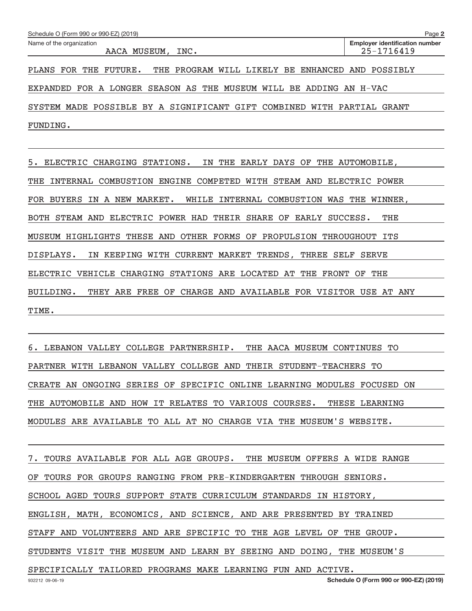| Schedule O (Form 990 or 990-EZ) (2019)                                 | Page 2                                              |
|------------------------------------------------------------------------|-----------------------------------------------------|
| Name of the organization<br>AACA MUSEUM, INC.                          | <b>Employer identification number</b><br>25-1716419 |
| THE PROGRAM WILL LIKELY BE ENHANCED<br>PLANS<br>FUTURE.<br>FOR<br>THE  | POSSIBLY<br>AND                                     |
| EXPANDED FOR A LONGER SEASON AS THE MUSEUM WILL BE ADDING AN H-VAC     |                                                     |
| SYSTEM MADE POSSIBLE BY A SIGNIFICANT GIFT COMBINED WITH PARTIAL GRANT |                                                     |
| FUNDING.                                                               |                                                     |

5. ELECTRIC CHARGING STATIONS. IN THE EARLY DAYS OF THE AUTOMOBILE, THE INTERNAL COMBUSTION ENGINE COMPETED WITH STEAM AND ELECTRIC POWER FOR BUYERS IN A NEW MARKET. WHILE INTERNAL COMBUSTION WAS THE WINNER, BOTH STEAM AND ELECTRIC POWER HAD THEIR SHARE OF EARLY SUCCESS. THE MUSEUM HIGHLIGHTS THESE AND OTHER FORMS OF PROPULSION THROUGHOUT ITS DISPLAYS. IN KEEPING WITH CURRENT MARKET TRENDS, THREE SELF SERVE ELECTRIC VEHICLE CHARGING STATIONS ARE LOCATED AT THE FRONT OF THE BUILDING. THEY ARE FREE OF CHARGE AND AVAILABLE FOR VISITOR USE AT ANY TIME.

6. LEBANON VALLEY COLLEGE PARTNERSHIP. THE AACA MUSEUM CONTINUES TO PARTNER WITH LEBANON VALLEY COLLEGE AND THEIR STUDENT‐TEACHERS TO CREATE AN ONGOING SERIES OF SPECIFIC ONLINE LEARNING MODULES FOCUSED ON THE AUTOMOBILE AND HOW IT RELATES TO VARIOUS COURSES. THESE LEARNING MODULES ARE AVAILABLE TO ALL AT NO CHARGE VIA THE MUSEUM'S WEBSITE.

7. TOURS AVAILABLE FOR ALL AGE GROUPS. THE MUSEUM OFFERS A WIDE RANGE OF TOURS FOR GROUPS RANGING FROM PRE‐KINDERGARTEN THROUGH SENIORS. SCHOOL AGED TOURS SUPPORT STATE CURRICULUM STANDARDS IN HISTORY, ENGLISH, MATH, ECONOMICS, AND SCIENCE, AND ARE PRESENTED BY TRAINED STAFF AND VOLUNTEERS AND ARE SPECIFIC TO THE AGE LEVEL OF THE GROUP. STUDENTS VISIT THE MUSEUM AND LEARN BY SEEING AND DOING, THE MUSEUM'S SPECIFICALLY TAILORED PROGRAMS MAKE LEARNING FUN AND ACTIVE.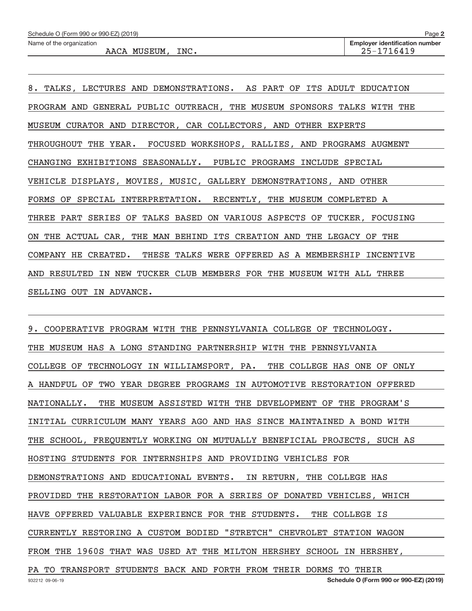Name of the organization

AACA MUSEUM, INC. 25–1716419

**2**

8. TALKS, LECTURES AND DEMONSTRATIONS. AS PART OF ITS ADULT EDUCATION PROGRAM AND GENERAL PUBLIC OUTREACH, THE MUSEUM SPONSORS TALKS WITH THE MUSEUM CURATOR AND DIRECTOR, CAR COLLECTORS, AND OTHER EXPERTS THROUGHOUT THE YEAR. FOCUSED WORKSHOPS, RALLIES, AND PROGRAMS AUGMENT CHANGING EXHIBITIONS SEASONALLY. PUBLIC PROGRAMS INCLUDE SPECIAL VEHICLE DISPLAYS, MOVIES, MUSIC, GALLERY DEMONSTRATIONS, AND OTHER FORMS OF SPECIAL INTERPRETATION. RECENTLY, THE MUSEUM COMPLETED A THREE PART SERIES OF TALKS BASED ON VARIOUS ASPECTS OF TUCKER, FOCUSING ON THE ACTUAL CAR, THE MAN BEHIND ITS CREATION AND THE LEGACY OF THE COMPANY HE CREATED. THESE TALKS WERE OFFERED AS A MEMBERSHIP INCENTIVE AND RESULTED IN NEW TUCKER CLUB MEMBERS FOR THE MUSEUM WITH ALL THREE SELLING OUT IN ADVANCE.

9. COOPERATIVE PROGRAM WITH THE PENNSYLVANIA COLLEGE OF TECHNOLOGY. THE MUSEUM HAS A LONG STANDING PARTNERSHIP WITH THE PENNSYLVANIA COLLEGE OF TECHNOLOGY IN WILLIAMSPORT, PA. THE COLLEGE HAS ONE OF ONLY A HANDFUL OF TWO YEAR DEGREE PROGRAMS IN AUTOMOTIVE RESTORATION OFFERED NATIONALLY. THE MUSEUM ASSISTED WITH THE DEVELOPMENT OF THE PROGRAM'S INITIAL CURRICULUM MANY YEARS AGO AND HAS SINCE MAINTAINED A BOND WITH THE SCHOOL, FREQUENTLY WORKING ON MUTUALLY BENEFICIAL PROJECTS, SUCH AS HOSTING STUDENTS FOR INTERNSHIPS AND PROVIDING VEHICLES FOR DEMONSTRATIONS AND EDUCATIONAL EVENTS. IN RETURN, THE COLLEGE HAS PROVIDED THE RESTORATION LABOR FOR A SERIES OF DONATED VEHICLES, WHICH HAVE OFFERED VALUABLE EXPERIENCE FOR THE STUDENTS. THE COLLEGE IS CURRENTLY RESTORING A CUSTOM BODIED "STRETCH" CHEVROLET STATION WAGON FROM THE 1960S THAT WAS USED AT THE MILTON HERSHEY SCHOOL IN HERSHEY, PA TO TRANSPORT STUDENTS BACK AND FORTH FROM THEIR DORMS TO THEIR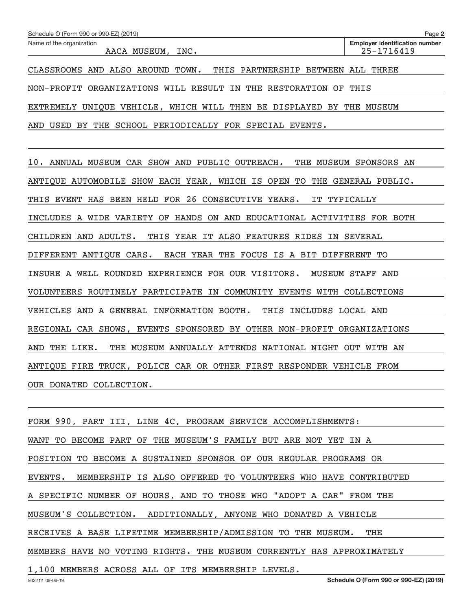| Schedule O (Form 990 or 990-EZ) (2019)                                  | Page 2                                              |
|-------------------------------------------------------------------------|-----------------------------------------------------|
| Name of the organization<br>AACA MUSEUM, INC.                           | <b>Employer identification number</b><br>25-1716419 |
| CLASSROOMS AND ALSO AROUND TOWN. THIS PARTNERSHIP BETWEEN ALL           | THREE                                               |
| NON-PROFIT ORGANIZATIONS WILL RESULT IN THE RESTORATION OF THIS         |                                                     |
| UNIQUE VEHICLE, WHICH WILL THEN BE DISPLAYED BY THE MUSEUM<br>EXTREMELY |                                                     |
| SCHOOL PERIODICALLY FOR SPECIAL EVENTS.<br>USED BY<br>THE<br>AND        |                                                     |

10. ANNUAL MUSEUM CAR SHOW AND PUBLIC OUTREACH. THE MUSEUM SPONSORS AN ANTIQUE AUTOMOBILE SHOW EACH YEAR, WHICH IS OPEN TO THE GENERAL PUBLIC. THIS EVENT HAS BEEN HELD FOR 26 CONSECUTIVE YEARS. IT TYPICALLY INCLUDES A WIDE VARIETY OF HANDS ON AND EDUCATIONAL ACTIVITIES FOR BOTH CHILDREN AND ADULTS. THIS YEAR IT ALSO FEATURES RIDES IN SEVERAL DIFFERENT ANTIQUE CARS. EACH YEAR THE FOCUS IS A BIT DIFFERENT TO INSURE A WELL ROUNDED EXPERIENCE FOR OUR VISITORS. MUSEUM STAFF AND VOLUNTEERS ROUTINELY PARTICIPATE IN COMMUNITY EVENTS WITH COLLECTIONS VEHICLES AND A GENERAL INFORMATION BOOTH. THIS INCLUDES LOCAL AND REGIONAL CAR SHOWS, EVENTS SPONSORED BY OTHER NON‐PROFIT ORGANIZATIONS AND THE LIKE. THE MUSEUM ANNUALLY ATTENDS NATIONAL NIGHT OUT WITH AN ANTIQUE FIRE TRUCK, POLICE CAR OR OTHER FIRST RESPONDER VEHICLE FROM OUR DONATED COLLECTION.

FORM 990, PART III, LINE 4C, PROGRAM SERVICE ACCOMPLISHMENTS: WANT TO BECOME PART OF THE MUSEUM'S FAMILY BUT ARE NOT YET IN A POSITION TO BECOME A SUSTAINED SPONSOR OF OUR REGULAR PROGRAMS OR EVENTS. MEMBERSHIP IS ALSO OFFERED TO VOLUNTEERS WHO HAVE CONTRIBUTED A SPECIFIC NUMBER OF HOURS, AND TO THOSE WHO "ADOPT A CAR" FROM THE MUSEUM'S COLLECTION. ADDITIONALLY, ANYONE WHO DONATED A VEHICLE RECEIVES A BASE LIFETIME MEMBERSHIP/ADMISSION TO THE MUSEUM. THE MEMBERS HAVE NO VOTING RIGHTS. THE MUSEUM CURRENTLY HAS APPROXIMATELY 1,100 MEMBERS ACROSS ALL OF ITS MEMBERSHIP LEVELS.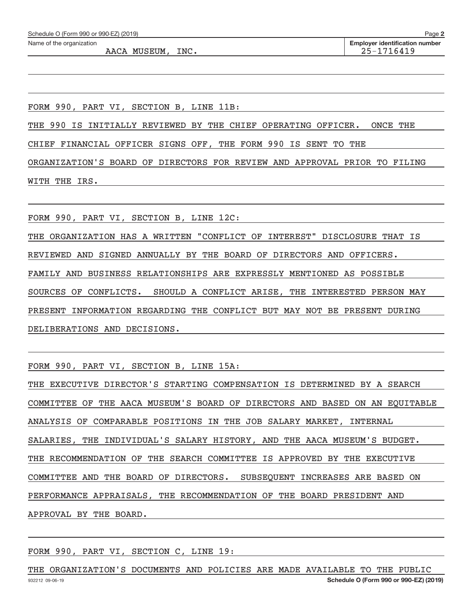| Schedule O (Form 990 or 990-EZ) (2019) | Page 2                                |
|----------------------------------------|---------------------------------------|
| Name of the organization               | <b>Employer identification number</b> |
| AACA MUSEUM, INC.                      | 25-1716419                            |
|                                        |                                       |
|                                        |                                       |
|                                        |                                       |
|                                        |                                       |
|                                        |                                       |

FORM 990, PART VI, SECTION B, LINE 11B:

THE 990 IS INITIALLY REVIEWED BY THE CHIEF OPERATING OFFICER. ONCE THE

CHIEF FINANCIAL OFFICER SIGNS OFF, THE FORM 990 IS SENT TO THE

ORGANIZATION'S BOARD OF DIRECTORS FOR REVIEW AND APPROVAL PRIOR TO FILING WITH THE IRS.

FORM 990, PART VI, SECTION B, LINE 12C:

THE ORGANIZATION HAS A WRITTEN "CONFLICT OF INTEREST" DISCLOSURE THAT IS

REVIEWED AND SIGNED ANNUALLY BY THE BOARD OF DIRECTORS AND OFFICERS.

FAMILY AND BUSINESS RELATIONSHIPS ARE EXPRESSLY MENTIONED AS POSSIBLE

SOURCES OF CONFLICTS. SHOULD A CONFLICT ARISE, THE INTERESTED PERSON MAY

PRESENT INFORMATION REGARDING THE CONFLICT BUT MAY NOT BE PRESENT DURING

DELIBERATIONS AND DECISIONS.

FORM 990, PART VI, SECTION B, LINE 15A:

THE EXECUTIVE DIRECTOR'S STARTING COMPENSATION IS DETERMINED BY A SEARCH COMMITTEE OF THE AACA MUSEUM'S BOARD OF DIRECTORS AND BASED ON AN EQUITABLE ANALYSIS OF COMPARABLE POSITIONS IN THE JOB SALARY MARKET, INTERNAL SALARIES, THE INDIVIDUAL'S SALARY HISTORY, AND THE AACA MUSEUM'S BUDGET. THE RECOMMENDATION OF THE SEARCH COMMITTEE IS APPROVED BY THE EXECUTIVE COMMITTEE AND THE BOARD OF DIRECTORS. SUBSEQUENT INCREASES ARE BASED ON PERFORMANCE APPRAISALS, THE RECOMMENDATION OF THE BOARD PRESIDENT AND APPROVAL BY THE BOARD.

FORM 990, PART VI, SECTION C, LINE 19:

932212 09‐06‐19 **Schedule O (Form 990 or 990‐EZ) (2019)** THE ORGANIZATION'S DOCUMENTS AND POLICIES ARE MADE AVAILABLE TO THE PUBLIC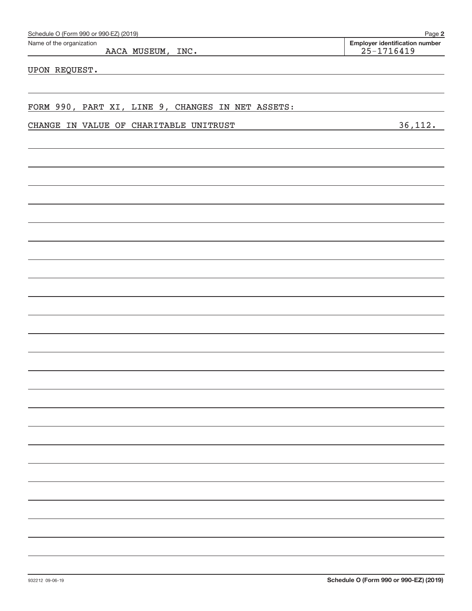| Schedule O (Form 990 or 990-EZ) (2019)<br>Page 2  |                                                         |  |  |  |
|---------------------------------------------------|---------------------------------------------------------|--|--|--|
| Name of the organization<br>AACA MUSEUM, INC.     | <b>Employer identification number</b><br>$25 - 1716419$ |  |  |  |
| UPON REQUEST.                                     |                                                         |  |  |  |
|                                                   |                                                         |  |  |  |
| FORM 990, PART XI, LINE 9, CHANGES IN NET ASSETS: |                                                         |  |  |  |
| CHANGE IN VALUE OF CHARITABLE UNITRUST            | 36, 112.                                                |  |  |  |
|                                                   |                                                         |  |  |  |
|                                                   |                                                         |  |  |  |
|                                                   |                                                         |  |  |  |
|                                                   |                                                         |  |  |  |
|                                                   |                                                         |  |  |  |
|                                                   |                                                         |  |  |  |
|                                                   |                                                         |  |  |  |
|                                                   |                                                         |  |  |  |
|                                                   |                                                         |  |  |  |
|                                                   |                                                         |  |  |  |
|                                                   |                                                         |  |  |  |
|                                                   |                                                         |  |  |  |
|                                                   |                                                         |  |  |  |
|                                                   |                                                         |  |  |  |
|                                                   |                                                         |  |  |  |
|                                                   |                                                         |  |  |  |
|                                                   |                                                         |  |  |  |
|                                                   |                                                         |  |  |  |
|                                                   |                                                         |  |  |  |
|                                                   |                                                         |  |  |  |
|                                                   |                                                         |  |  |  |
|                                                   |                                                         |  |  |  |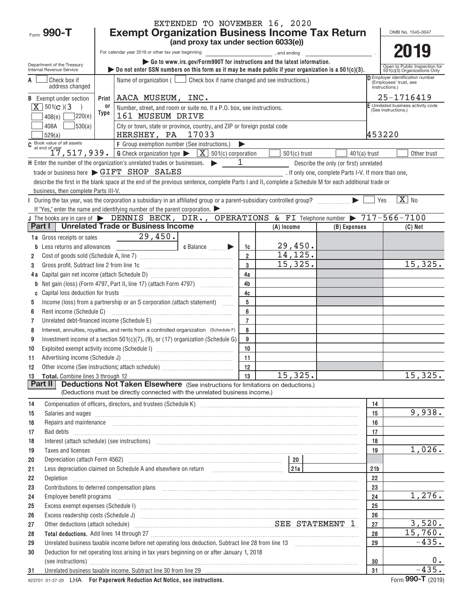|                                                        | EXTENDED TO NOVEMBER 16, 2020                                                                                                                                                                                                        |                                                                              |  |  |  |  |  |  |  |
|--------------------------------------------------------|--------------------------------------------------------------------------------------------------------------------------------------------------------------------------------------------------------------------------------------|------------------------------------------------------------------------------|--|--|--|--|--|--|--|
| Form 990-T                                             | <b>Exempt Organization Business Income Tax Return</b><br>OMB No. 1545-0047                                                                                                                                                           |                                                                              |  |  |  |  |  |  |  |
|                                                        | (and proxy tax under section 6033(e))                                                                                                                                                                                                |                                                                              |  |  |  |  |  |  |  |
|                                                        | 2019<br>For calendar year 2019 or other tax year beginning<br>and ending,                                                                                                                                                            |                                                                              |  |  |  |  |  |  |  |
| Department of the Treasury<br>Internal Revenue Service | • Go to www.irs.gov/Form990T for instructions and the latest information.<br>Do not enter SSN numbers on this form as it may be made public if your organization is a $501(c)(3)$ .                                                  | Open to Public Inspection for<br>501(c)(3) Organizations Only                |  |  |  |  |  |  |  |
| Check box if<br>A<br>address changed                   | Name of organization ( $\Box$ Check box if name changed and see instructions.)                                                                                                                                                       | D Employer identification number<br>(Employees' trust, see<br>instructions.) |  |  |  |  |  |  |  |
| <b>B</b> Exempt under section                          | AACA MUSEUM, INC.<br>Print                                                                                                                                                                                                           | 25-1716419                                                                   |  |  |  |  |  |  |  |
| $X$ 501(c)(3<br>$\rightarrow$                          | or<br>Number, street, and room or suite no. If a P.O. box, see instructions.                                                                                                                                                         | F Unrelated business activity code<br>(See instructions.)                    |  |  |  |  |  |  |  |
| 220(e)<br>408(e)                                       | Type<br>161 MUSEUM DRIVE                                                                                                                                                                                                             |                                                                              |  |  |  |  |  |  |  |
| 530(a)<br>408A<br>529(a)                               | City or town, state or province, country, and ZIP or foreign postal code<br>HERSHEY, PA 17033                                                                                                                                        | 453220                                                                       |  |  |  |  |  |  |  |
|                                                        | C Book value of all assets<br>$T$ , 517, 939. G Check organization type $\sqrt{X}$ 501(c) corporation                                                                                                                                |                                                                              |  |  |  |  |  |  |  |
|                                                        | $501(c)$ trust<br>$401(a)$ trust                                                                                                                                                                                                     | Other trust                                                                  |  |  |  |  |  |  |  |
|                                                        | $H$ Enter the number of the organization's unrelated trades or businesses. $\blacktriangleright$<br>1<br>Describe the only (or first) unrelated                                                                                      |                                                                              |  |  |  |  |  |  |  |
|                                                        | trade or business here > GIFT SHOP SALES<br>. If only one, complete Parts I-V. If more than one,                                                                                                                                     |                                                                              |  |  |  |  |  |  |  |
|                                                        | describe the first in the blank space at the end of the previous sentence, complete Parts I and II, complete a Schedule M for each additional trade or                                                                               |                                                                              |  |  |  |  |  |  |  |
| business, then complete Parts III-V.                   |                                                                                                                                                                                                                                      | $\boxed{\text{X}}$ No                                                        |  |  |  |  |  |  |  |
|                                                        | During the tax year, was the corporation a subsidiary in an affiliated group or a parent-subsidiary controlled group?<br>If "Yes," enter the name and identifying number of the parent corporation. $\blacktriangleright$            | Yes                                                                          |  |  |  |  |  |  |  |
|                                                        | J The books are in care of $\blacktriangleright$ DENNIS BECK, DIR., OPERATIONS & FI Telephone number $\blacktriangleright$ 717-566-7100                                                                                              |                                                                              |  |  |  |  |  |  |  |
| Part I                                                 | <b>Unrelated Trade or Business Income</b><br>(A) Income<br>(B) Expenses                                                                                                                                                              | $(C)$ Net                                                                    |  |  |  |  |  |  |  |
| 1a Gross receipts or sales                             | 29,450.                                                                                                                                                                                                                              |                                                                              |  |  |  |  |  |  |  |
| Less returns and allowances<br>b                       | 29,450.<br>c Balance<br>1c                                                                                                                                                                                                           |                                                                              |  |  |  |  |  |  |  |
| 2                                                      | 14, 125.<br>$\overline{2}$                                                                                                                                                                                                           |                                                                              |  |  |  |  |  |  |  |
| Gross profit. Subtract line 2 from line 1c<br>3        | 15,325.<br>3                                                                                                                                                                                                                         | 15,325.                                                                      |  |  |  |  |  |  |  |
| 4 a                                                    | 4a                                                                                                                                                                                                                                   |                                                                              |  |  |  |  |  |  |  |
| b                                                      | 4 <sub>b</sub>                                                                                                                                                                                                                       |                                                                              |  |  |  |  |  |  |  |
| C                                                      | 4c                                                                                                                                                                                                                                   |                                                                              |  |  |  |  |  |  |  |
| 5                                                      | 5<br>Income (loss) from a partnership or an S corporation (attach statement)                                                                                                                                                         |                                                                              |  |  |  |  |  |  |  |
| 6                                                      | 6                                                                                                                                                                                                                                    |                                                                              |  |  |  |  |  |  |  |
| 7                                                      | $\overline{7}$                                                                                                                                                                                                                       |                                                                              |  |  |  |  |  |  |  |
| 8                                                      | 8<br>Interest, annuities, royalties, and rents from a controlled organization (Schedule F)                                                                                                                                           |                                                                              |  |  |  |  |  |  |  |
| 9                                                      | 9<br>Investment income of a section $501(c)(7)$ , (9), or (17) organization (Schedule G)                                                                                                                                             |                                                                              |  |  |  |  |  |  |  |
| 10                                                     | 10                                                                                                                                                                                                                                   |                                                                              |  |  |  |  |  |  |  |
| 11                                                     | 11                                                                                                                                                                                                                                   |                                                                              |  |  |  |  |  |  |  |
| 13                                                     | 15,325.<br>13                                                                                                                                                                                                                        | 15,325.                                                                      |  |  |  |  |  |  |  |
| Part II                                                | <b>Deductions Not Taken Elsewhere</b> (See instructions for limitations on deductions.)                                                                                                                                              |                                                                              |  |  |  |  |  |  |  |
|                                                        | (Deductions must be directly connected with the unrelated business income.)                                                                                                                                                          |                                                                              |  |  |  |  |  |  |  |
| 14                                                     |                                                                                                                                                                                                                                      | 14<br>9,938.<br>15                                                           |  |  |  |  |  |  |  |
| 15<br>16                                               |                                                                                                                                                                                                                                      | 16                                                                           |  |  |  |  |  |  |  |
| 17                                                     | Repairs and maintenance <i>maintenance</i> and construction of the construction of the construction of the construction of the construction of the construction of the construction of the construction of the construction of the   | 17                                                                           |  |  |  |  |  |  |  |
| 18                                                     |                                                                                                                                                                                                                                      | 18                                                                           |  |  |  |  |  |  |  |
| 19                                                     | Taxes and licenses <b>contract the contract of the contract of the contract of the contract of the contract of the contract of the contract of the contract of the contract of the contract of the contract of the contract of t</b> | 1,026.<br>19                                                                 |  |  |  |  |  |  |  |
| 20                                                     |                                                                                                                                                                                                                                      |                                                                              |  |  |  |  |  |  |  |
| 21                                                     | Less depreciation claimed on Schedule A and elsewhere on return [1] [214]                                                                                                                                                            | 21 <sub>b</sub>                                                              |  |  |  |  |  |  |  |
| 22                                                     |                                                                                                                                                                                                                                      | 22                                                                           |  |  |  |  |  |  |  |
| 23                                                     | Contributions to deferred compensation plans [11] manufactured and manufactured contributions to deferred compensation plans                                                                                                         | 23                                                                           |  |  |  |  |  |  |  |
| 24                                                     | Employee benefit programs in the continuum contract of the contract of the contract of the contract of the contract of the contract of the contract of the contract of the contract of the contract of the contract of the con       | $\overline{1,276}$ .<br>24                                                   |  |  |  |  |  |  |  |
| 25                                                     |                                                                                                                                                                                                                                      | 25                                                                           |  |  |  |  |  |  |  |
| 26                                                     |                                                                                                                                                                                                                                      | 26                                                                           |  |  |  |  |  |  |  |
| 27                                                     | Other deductions (attach schedule) Material Material SEE STATEMENT 1                                                                                                                                                                 | 3,520.<br>27                                                                 |  |  |  |  |  |  |  |
| 28                                                     |                                                                                                                                                                                                                                      | 15,760.<br>28                                                                |  |  |  |  |  |  |  |
| 29                                                     | Unrelated business taxable income before net operating loss deduction. Subtract line 28 from line 13 [11] [12]                                                                                                                       | $-435.$<br>29                                                                |  |  |  |  |  |  |  |
| 30                                                     | Deduction for net operating loss arising in tax years beginning on or after January 1, 2018                                                                                                                                          |                                                                              |  |  |  |  |  |  |  |
|                                                        |                                                                                                                                                                                                                                      | $0 \cdot$<br>30<br>$-435.$                                                   |  |  |  |  |  |  |  |
| 31                                                     | $\mathbf{F}$ . The contract of the contract of the state of the contract of the state of the contract of the contract of the contract of the contract of the contract of the contract of the contract of the contract of the cont    | 31<br>$000T$ ( $0010$ )                                                      |  |  |  |  |  |  |  |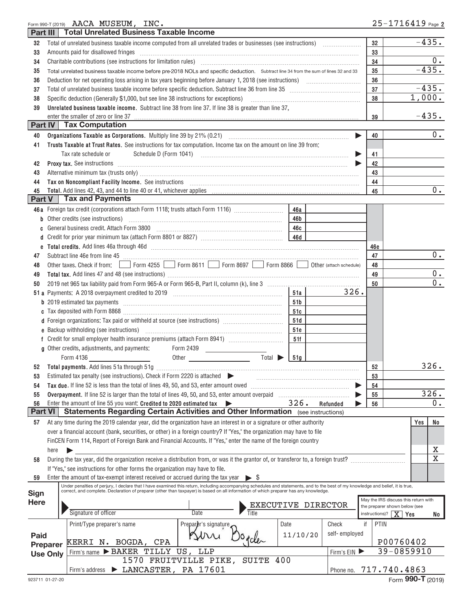| Part III       |                 | Form 990-T (2019) AACA MUSEUM, INC.<br><b>Total Unrelated Business Taxable Income</b>                                                                                                                                                                                                                                     | $25 - 1716419$ Page 2                  |                         |
|----------------|-----------------|---------------------------------------------------------------------------------------------------------------------------------------------------------------------------------------------------------------------------------------------------------------------------------------------------------------------------|----------------------------------------|-------------------------|
|                |                 |                                                                                                                                                                                                                                                                                                                           | 32                                     | $-435.$                 |
| 32<br>33       |                 | Amounts paid for disallowed fringes                                                                                                                                                                                                                                                                                       | 33                                     |                         |
| 34             |                 |                                                                                                                                                                                                                                                                                                                           | 34                                     | $0$ .                   |
| 35             |                 | Total unrelated business taxable income before pre-2018 NOLs and specific deduction. Subtract line 34 from the sum of lines 32 and 33                                                                                                                                                                                     | 35                                     | $-435.$                 |
| 36             |                 |                                                                                                                                                                                                                                                                                                                           | 36                                     |                         |
| 37             |                 | Total of unrelated business taxable income before specific deduction. Subtract line 36 from line 35 [11] [11] Total of uncontrolleration of the state of the state of the state of the state of the state of the state of the                                                                                             | 37                                     | $-435.$                 |
| 38             |                 | Specific deduction (Generally \$1,000, but see line 38 instructions for exceptions)                                                                                                                                                                                                                                       | 38                                     | 1,000.                  |
| 39             |                 | Unrelated business taxable income. Subtract line 38 from line 37. If line 38 is greater than line 37,                                                                                                                                                                                                                     |                                        |                         |
|                |                 | enter the smaller of zero or line 37                                                                                                                                                                                                                                                                                      | 39                                     | $-435.$                 |
|                |                 | <b>Part IV   Tax Computation</b>                                                                                                                                                                                                                                                                                          |                                        |                         |
| 40             |                 |                                                                                                                                                                                                                                                                                                                           | 40                                     | $0$ .                   |
| 41             |                 | Trusts Taxable at Trust Rates. See instructions for tax computation. Income tax on the amount on line 39 from:                                                                                                                                                                                                            |                                        |                         |
|                |                 | Schedule D (Form 1041)<br>Tax rate schedule or                                                                                                                                                                                                                                                                            | 41                                     |                         |
| 42             |                 |                                                                                                                                                                                                                                                                                                                           | 42                                     |                         |
| 43             |                 |                                                                                                                                                                                                                                                                                                                           | 43                                     |                         |
| 44             |                 | Tax on Noncompliant Facility Income. See instructions [11] All All All Accommunications and Noncompliant Facility Income. See instructions [11] All Accommunications and Non-                                                                                                                                             | 44                                     |                         |
| 45             |                 |                                                                                                                                                                                                                                                                                                                           | 45                                     | $0$ .                   |
| Part V         |                 | <b>Tax and Payments</b>                                                                                                                                                                                                                                                                                                   |                                        |                         |
|                |                 | 46a Foreign tax credit (corporations attach Form 1118; trusts attach Form 1116)<br>46a                                                                                                                                                                                                                                    |                                        |                         |
|                |                 | <b>b</b> Other credits (see instructions)<br>46b                                                                                                                                                                                                                                                                          |                                        |                         |
| C              |                 | General business credit. Attach Form 3800<br>46c                                                                                                                                                                                                                                                                          |                                        |                         |
| d              |                 | 46d                                                                                                                                                                                                                                                                                                                       |                                        |                         |
|                |                 |                                                                                                                                                                                                                                                                                                                           | 46e                                    |                         |
| 47             |                 |                                                                                                                                                                                                                                                                                                                           | 47                                     | $0$ .                   |
| 48             |                 |                                                                                                                                                                                                                                                                                                                           | 48                                     |                         |
| 49             |                 |                                                                                                                                                                                                                                                                                                                           | 49                                     | $0$ .                   |
| 50             |                 |                                                                                                                                                                                                                                                                                                                           | 50                                     | 0.                      |
|                |                 | 326.<br>51a                                                                                                                                                                                                                                                                                                               |                                        |                         |
|                |                 | 51b                                                                                                                                                                                                                                                                                                                       |                                        |                         |
|                |                 | 51c                                                                                                                                                                                                                                                                                                                       |                                        |                         |
|                |                 | d Foreign organizations: Tax paid or withheld at source (see instructions) [1001111111111111111111111111111111<br>51d                                                                                                                                                                                                     |                                        |                         |
|                |                 | e Backup withholding (see instructions) [11] [12] manuscriptions and the Backup withholding (see instructions)<br>51e                                                                                                                                                                                                     |                                        |                         |
|                |                 | 51f                                                                                                                                                                                                                                                                                                                       |                                        |                         |
|                |                 | g Other credits, adjustments, and payments:<br>Form 2439                                                                                                                                                                                                                                                                  |                                        |                         |
|                |                 | Total $\blacktriangleright$<br>Form 4136 ________________________<br>51g                                                                                                                                                                                                                                                  |                                        |                         |
| 52             |                 | <b>Total payments.</b> Add lines 51a through 51g                                                                                                                                                                                                                                                                          | 52                                     | 326.                    |
| 53             |                 | Estimated tax penalty (see instructions). Check if Form 2220 is attached                                                                                                                                                                                                                                                  | 53                                     |                         |
| 54             |                 | Tax due. If line 52 is less than the total of lines 49, 50, and 53, enter amount owed                                                                                                                                                                                                                                     | 54                                     |                         |
| 55             |                 | Overpayment. If line 52 is larger than the total of lines 49, 50, and 53, enter amount overpaid                                                                                                                                                                                                                           | 55                                     | 326.                    |
| 56             |                 | 326.<br>Enter the amount of line 55 you want: Credited to 2020 estimated tax<br>Refunded                                                                                                                                                                                                                                  | 56                                     | 0.                      |
| <b>Part VI</b> |                 | Statements Regarding Certain Activities and Other Information (see instructions)                                                                                                                                                                                                                                          |                                        |                         |
| 57             |                 | At any time during the 2019 calendar year, did the organization have an interest in or a signature or other authority                                                                                                                                                                                                     |                                        | No<br>Yes               |
|                |                 | over a financial account (bank, securities, or other) in a foreign country? If "Yes," the organization may have to file                                                                                                                                                                                                   |                                        |                         |
|                |                 | FinCEN Form 114, Report of Foreign Bank and Financial Accounts. If "Yes," enter the name of the foreign country                                                                                                                                                                                                           |                                        |                         |
|                | here            | ▶                                                                                                                                                                                                                                                                                                                         |                                        | х                       |
| 58             |                 | During the tax year, did the organization receive a distribution from, or was it the grantor of, or transferor to, a foreign trust?                                                                                                                                                                                       |                                        | $\overline{\textbf{x}}$ |
|                |                 | If "Yes," see instructions for other forms the organization may have to file.                                                                                                                                                                                                                                             |                                        |                         |
| 59             |                 | Enter the amount of tax-exempt interest received or accrued during the tax year<br>$\triangleright$ \$                                                                                                                                                                                                                    |                                        |                         |
|                |                 | Under penalties of perjury, I declare that I have examined this return, including accompanying schedules and statements, and to the best of my knowledge and belief, it is true,<br>correct, and complete. Declaration of preparer (other than taxpayer) is based on all information of which preparer has any knowledge. |                                        |                         |
| Sign           |                 |                                                                                                                                                                                                                                                                                                                           | May the IRS discuss this return with   |                         |
| <b>Here</b>    |                 | EXECUTIVE DIRECTOR                                                                                                                                                                                                                                                                                                        | the preparer shown below (see          |                         |
|                |                 | Signature of officer<br>Title<br><b>Date</b>                                                                                                                                                                                                                                                                              | $\overline{X}$ Yes<br>$instructions$ ? | No                      |
|                |                 | Preparer's signature,<br>Check<br>if<br>Print/Type preparer's name<br>Date                                                                                                                                                                                                                                                | PTIN                                   |                         |
| Paid           |                 | self-employed<br>11/10/20                                                                                                                                                                                                                                                                                                 |                                        |                         |
|                | Preparer        | ocle<br>KERRI N. BOGDA, CPA                                                                                                                                                                                                                                                                                               | P00760402                              |                         |
|                | <b>Use Only</b> | Firm's name > BAKER TILLY<br>US, LLP<br>Firm's EIN                                                                                                                                                                                                                                                                        | 39-0859910                             |                         |
|                |                 | 1570 FRUITVILLE PIKE, SUITE 400                                                                                                                                                                                                                                                                                           |                                        |                         |
|                |                 | Firm's address > LANCASTER, PA 17601<br>Phone no.                                                                                                                                                                                                                                                                         | 717.740.4863                           |                         |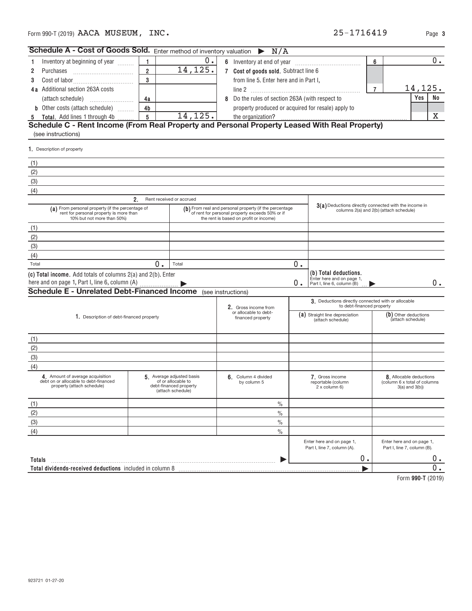| Schedule A - Cost of Goods Sold. Enter method of inventory valuation $\triangleright N/A$                                 |                |                                                                                               |                                            |                                                                                                                                                     |                                       |                                                                                  |                |                                                                              |       |
|---------------------------------------------------------------------------------------------------------------------------|----------------|-----------------------------------------------------------------------------------------------|--------------------------------------------|-----------------------------------------------------------------------------------------------------------------------------------------------------|---------------------------------------|----------------------------------------------------------------------------------|----------------|------------------------------------------------------------------------------|-------|
| Inventory at beginning of year<br>-1                                                                                      | 1.             | 0.                                                                                            |                                            |                                                                                                                                                     |                                       |                                                                                  | 6              |                                                                              | 0.    |
| 2<br>Purchases                                                                                                            | $\overline{2}$ | 14,125.                                                                                       |                                            |                                                                                                                                                     | 7 Cost of goods sold. Subtract line 6 |                                                                                  |                |                                                                              |       |
| 3                                                                                                                         | 3              |                                                                                               |                                            | from line 5. Enter here and in Part I,                                                                                                              |                                       |                                                                                  |                |                                                                              |       |
| 4a Additional section 263A costs                                                                                          |                |                                                                                               |                                            |                                                                                                                                                     |                                       |                                                                                  | $\overline{7}$ | 14,125.                                                                      |       |
| (attach schedule)                                                                                                         | 4a             |                                                                                               |                                            | 8 Do the rules of section 263A (with respect to                                                                                                     |                                       |                                                                                  |                | Yes                                                                          | No    |
| <b>b</b> Other costs (attach schedule)                                                                                    | 4 <sub>b</sub> |                                                                                               |                                            | property produced or acquired for resale) apply to                                                                                                  |                                       |                                                                                  |                |                                                                              |       |
| 5 Total. Add lines 1 through 4b  5                                                                                        |                | 14,125.                                                                                       |                                            | the organization?                                                                                                                                   |                                       |                                                                                  |                |                                                                              | x     |
| (see instructions)                                                                                                        |                |                                                                                               |                                            |                                                                                                                                                     |                                       |                                                                                  |                |                                                                              |       |
| 1. Description of property                                                                                                |                |                                                                                               |                                            |                                                                                                                                                     |                                       |                                                                                  |                |                                                                              |       |
| (1)                                                                                                                       |                |                                                                                               |                                            |                                                                                                                                                     |                                       |                                                                                  |                |                                                                              |       |
| (2)                                                                                                                       |                |                                                                                               |                                            |                                                                                                                                                     |                                       |                                                                                  |                |                                                                              |       |
| (3)                                                                                                                       |                |                                                                                               |                                            |                                                                                                                                                     |                                       |                                                                                  |                |                                                                              |       |
| (4)                                                                                                                       |                |                                                                                               |                                            |                                                                                                                                                     |                                       |                                                                                  |                |                                                                              |       |
|                                                                                                                           | 2.             | Rent received or accrued                                                                      |                                            |                                                                                                                                                     |                                       |                                                                                  |                |                                                                              |       |
| (a) From personal property (if the percentage of<br>rent for personal property is more than<br>10% but not more than 50%) |                |                                                                                               |                                            | (b) From real and personal property (if the percentage<br>of rent for personal property exceeds 50% or if<br>the rent is based on profit or income) |                                       | 3(a) Deductions directly connected with the income in                            |                | columns 2(a) and 2(b) (attach schedule)                                      |       |
| (1)                                                                                                                       |                |                                                                                               |                                            |                                                                                                                                                     |                                       |                                                                                  |                |                                                                              |       |
| (2)                                                                                                                       |                |                                                                                               |                                            |                                                                                                                                                     |                                       |                                                                                  |                |                                                                              |       |
| (3)                                                                                                                       |                |                                                                                               |                                            |                                                                                                                                                     |                                       |                                                                                  |                |                                                                              |       |
| (4)                                                                                                                       |                |                                                                                               |                                            |                                                                                                                                                     |                                       |                                                                                  |                |                                                                              |       |
| Total                                                                                                                     | 0.             | Total                                                                                         |                                            |                                                                                                                                                     | 0.                                    |                                                                                  |                |                                                                              |       |
| (c) Total income. Add totals of columns 2(a) and 2(b). Enter<br>here and on page 1, Part I, line 6, column (A)            |                |                                                                                               |                                            |                                                                                                                                                     | 0.                                    | (b) Total deductions.<br>Enter here and on page 1,<br>Part I, line 6, column (B) |                |                                                                              | 0.    |
| <b>Schedule E - Unrelated Debt-Financed Income</b>                                                                        |                |                                                                                               |                                            | (see instructions)                                                                                                                                  |                                       |                                                                                  |                |                                                                              |       |
|                                                                                                                           |                |                                                                                               |                                            | 2. Gross income from                                                                                                                                |                                       | 3. Deductions directly connected with or allocable<br>to debt-financed property  |                |                                                                              |       |
| 1. Description of debt-financed property                                                                                  |                |                                                                                               | or allocable to debt-<br>financed property |                                                                                                                                                     |                                       | (a) Straight line depreciation<br>(attach schedule)                              |                | (b) Other deductions<br>(attach schedule)                                    |       |
| (1)                                                                                                                       |                |                                                                                               |                                            |                                                                                                                                                     |                                       |                                                                                  |                |                                                                              |       |
| (2)                                                                                                                       |                |                                                                                               |                                            |                                                                                                                                                     |                                       |                                                                                  |                |                                                                              |       |
| (3)                                                                                                                       |                |                                                                                               |                                            |                                                                                                                                                     |                                       |                                                                                  |                |                                                                              |       |
| (4)                                                                                                                       |                |                                                                                               |                                            |                                                                                                                                                     |                                       |                                                                                  |                |                                                                              |       |
| 4 Amount of average acquisition<br>debt on or allocable to debt-financed<br>property (attach schedule)                    |                | 5 Average adjusted basis<br>of or allocable to<br>debt-financed property<br>(attach schedule) |                                            | 6. Column 4 divided<br>by column 5                                                                                                                  |                                       | 7. Gross income<br>reportable (column<br>2 x column 6)                           |                | 8. Allocable deductions<br>(column 6 x total of columns<br>$3(a)$ and $3(b)$ |       |
| (1)                                                                                                                       |                |                                                                                               |                                            | $\frac{0}{0}$                                                                                                                                       |                                       |                                                                                  |                |                                                                              |       |
| (2)                                                                                                                       |                |                                                                                               |                                            | $\%$                                                                                                                                                |                                       |                                                                                  |                |                                                                              |       |
| (3)                                                                                                                       |                |                                                                                               |                                            | $\%$                                                                                                                                                |                                       |                                                                                  |                |                                                                              |       |
| (4)                                                                                                                       |                |                                                                                               |                                            | $\%$                                                                                                                                                |                                       |                                                                                  |                |                                                                              |       |
|                                                                                                                           |                |                                                                                               |                                            |                                                                                                                                                     |                                       | Enter here and on page 1,<br>Part I, line 7, column (A).                         |                | Enter here and on page 1,<br>Part I, line 7, column (B).                     |       |
| Totals                                                                                                                    |                |                                                                                               |                                            |                                                                                                                                                     |                                       | 0.                                                                               |                |                                                                              | $0$ . |
| Total dividends-received deductions included in column 8                                                                  |                |                                                                                               |                                            |                                                                                                                                                     |                                       |                                                                                  |                |                                                                              | 0.    |
|                                                                                                                           |                |                                                                                               |                                            |                                                                                                                                                     |                                       |                                                                                  |                | Form 000 T (0010)                                                            |       |

**990‐T**  Form (2019)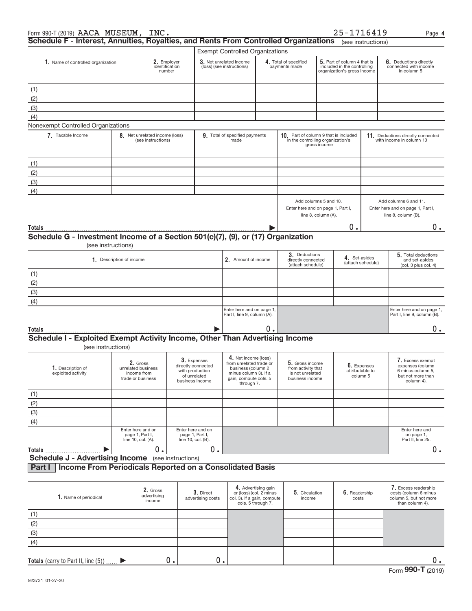| Form 990-T (2019) AACA MUSEUM, INC.                                                  |                    |                                                                    |                                                                                         |                                                                                                                                       |                                                                                                     |                                                                                                |                                                                                                                                     | 25-1716419             |                                                               | Page 4                                                                                       |
|--------------------------------------------------------------------------------------|--------------------|--------------------------------------------------------------------|-----------------------------------------------------------------------------------------|---------------------------------------------------------------------------------------------------------------------------------------|-----------------------------------------------------------------------------------------------------|------------------------------------------------------------------------------------------------|-------------------------------------------------------------------------------------------------------------------------------------|------------------------|---------------------------------------------------------------|----------------------------------------------------------------------------------------------|
| Schedule F - Interest, Annuities, Royalties, and Rents From Controlled Organizations |                    |                                                                    |                                                                                         |                                                                                                                                       |                                                                                                     |                                                                                                |                                                                                                                                     |                        | (see instructions)                                            |                                                                                              |
|                                                                                      |                    |                                                                    |                                                                                         | <b>Exempt Controlled Organizations</b>                                                                                                |                                                                                                     |                                                                                                |                                                                                                                                     |                        |                                                               |                                                                                              |
| 1. Name of controlled organization                                                   |                    |                                                                    | 2. Employer<br>identification<br>number                                                 |                                                                                                                                       | 3. Net unrelated income<br>(loss) (see instructions)                                                |                                                                                                | 5. Part of column 4 that is<br>4. Total of specified<br>included in the controlling<br>payments made<br>organization's gross income |                        |                                                               | 6. Deductions directly<br>connected with income<br>in column 5                               |
| (1)                                                                                  |                    |                                                                    |                                                                                         |                                                                                                                                       |                                                                                                     |                                                                                                |                                                                                                                                     |                        |                                                               |                                                                                              |
| (2)                                                                                  |                    |                                                                    |                                                                                         |                                                                                                                                       |                                                                                                     |                                                                                                |                                                                                                                                     |                        |                                                               |                                                                                              |
| (3)                                                                                  |                    |                                                                    |                                                                                         |                                                                                                                                       |                                                                                                     |                                                                                                |                                                                                                                                     |                        |                                                               |                                                                                              |
| (4)                                                                                  |                    |                                                                    |                                                                                         |                                                                                                                                       |                                                                                                     |                                                                                                |                                                                                                                                     |                        |                                                               |                                                                                              |
| Nonexempt Controlled Organizations                                                   |                    |                                                                    |                                                                                         |                                                                                                                                       |                                                                                                     |                                                                                                |                                                                                                                                     |                        |                                                               |                                                                                              |
| 7. Taxable Income                                                                    |                    | 8. Net unrelated income (loss)<br>(see instructions)               |                                                                                         | 9. Total of specified payments<br>made                                                                                                |                                                                                                     | 10. Part of column 9 that is included<br>in the controlling organization's                     | gross income                                                                                                                        |                        |                                                               | 11. Deductions directly connected<br>with income in column 10                                |
| (1)                                                                                  |                    |                                                                    |                                                                                         |                                                                                                                                       |                                                                                                     |                                                                                                |                                                                                                                                     |                        |                                                               |                                                                                              |
| (2)                                                                                  |                    |                                                                    |                                                                                         |                                                                                                                                       |                                                                                                     |                                                                                                |                                                                                                                                     |                        |                                                               |                                                                                              |
| (3)                                                                                  |                    |                                                                    |                                                                                         |                                                                                                                                       |                                                                                                     |                                                                                                |                                                                                                                                     |                        |                                                               |                                                                                              |
| (4)                                                                                  |                    |                                                                    |                                                                                         |                                                                                                                                       |                                                                                                     |                                                                                                |                                                                                                                                     |                        |                                                               |                                                                                              |
|                                                                                      |                    |                                                                    |                                                                                         |                                                                                                                                       |                                                                                                     | Add columns 5 and 10.<br>Enter here and on page 1, Part I,                                     | line 8, column (A).                                                                                                                 |                        |                                                               | Add columns 6 and 11.<br>Enter here and on page 1, Part I,<br>line 8, column (B).            |
| Totals                                                                               |                    |                                                                    |                                                                                         |                                                                                                                                       |                                                                                                     |                                                                                                |                                                                                                                                     | 0.                     |                                                               | 0.                                                                                           |
| Schedule G - Investment Income of a Section 501(c)(7), (9), or (17) Organization     | (see instructions) |                                                                    |                                                                                         |                                                                                                                                       |                                                                                                     |                                                                                                |                                                                                                                                     |                        |                                                               |                                                                                              |
| 1. Description of income                                                             |                    |                                                                    |                                                                                         | 2. Amount of income                                                                                                                   |                                                                                                     | 3. Deductions<br>4. Set-asides<br>directly connected<br>(attach schedule)<br>(attach schedule) |                                                                                                                                     |                        | 5. Total deductions<br>and set-asides<br>(col. 3 plus col. 4) |                                                                                              |
| (1)                                                                                  |                    |                                                                    |                                                                                         |                                                                                                                                       |                                                                                                     |                                                                                                |                                                                                                                                     |                        |                                                               |                                                                                              |
| (2)                                                                                  |                    |                                                                    |                                                                                         |                                                                                                                                       |                                                                                                     |                                                                                                |                                                                                                                                     |                        |                                                               |                                                                                              |
| (3)                                                                                  |                    |                                                                    |                                                                                         |                                                                                                                                       |                                                                                                     |                                                                                                |                                                                                                                                     |                        |                                                               |                                                                                              |
| (4)                                                                                  |                    |                                                                    |                                                                                         |                                                                                                                                       |                                                                                                     |                                                                                                |                                                                                                                                     |                        |                                                               |                                                                                              |
|                                                                                      |                    |                                                                    |                                                                                         | Enter here and on page 1,<br>Part I, line 9, column (A).                                                                              |                                                                                                     |                                                                                                |                                                                                                                                     |                        |                                                               | Enter here and on page 1,<br>Part I, line 9, column (B).                                     |
| Totals                                                                               |                    |                                                                    |                                                                                         |                                                                                                                                       | О.                                                                                                  |                                                                                                |                                                                                                                                     |                        |                                                               | 0.                                                                                           |
| Schedule I - Exploited Exempt Activity Income, Other Than Advertising Income         | (see instructions) |                                                                    |                                                                                         |                                                                                                                                       |                                                                                                     |                                                                                                |                                                                                                                                     |                        |                                                               |                                                                                              |
| 1. Description of<br>exploited activity                                              |                    | 2. Gross<br>unrelated business<br>income from<br>trade or business | 3. Expenses<br>directly connected<br>with production<br>of unrelated<br>business income | 4. Net income (loss)<br>from unrelated trade or<br>business (column 2<br>minus column 3). If a<br>gain, compute cols, 5<br>through 7. |                                                                                                     | 5. Gross income<br>from activity that<br>is not unrelated<br>business income                   |                                                                                                                                     | attributable to        | 6. Expenses<br>column 5                                       | 7. Excess exempt<br>expenses (column<br>6 minus column 5,<br>but not more than<br>column 4). |
| (1)                                                                                  |                    |                                                                    |                                                                                         |                                                                                                                                       |                                                                                                     |                                                                                                |                                                                                                                                     |                        |                                                               |                                                                                              |
| (2)                                                                                  |                    |                                                                    |                                                                                         |                                                                                                                                       |                                                                                                     |                                                                                                |                                                                                                                                     |                        |                                                               |                                                                                              |
| (3)                                                                                  |                    |                                                                    |                                                                                         |                                                                                                                                       |                                                                                                     |                                                                                                |                                                                                                                                     |                        |                                                               |                                                                                              |
| (4)                                                                                  |                    |                                                                    |                                                                                         |                                                                                                                                       |                                                                                                     |                                                                                                |                                                                                                                                     |                        |                                                               |                                                                                              |
|                                                                                      |                    | Enter here and on<br>page 1, Part I,<br>line 10, col. (A).         | Enter here and on<br>page 1, Part I,<br>line 10, col. (B).                              |                                                                                                                                       |                                                                                                     |                                                                                                |                                                                                                                                     |                        |                                                               | Enter here and<br>on page 1,<br>Part II, line 25.                                            |
| Totals<br><b>Schedule J - Advertising Income</b> (see instructions)                  |                    | $0$ .                                                              | 0.                                                                                      |                                                                                                                                       |                                                                                                     |                                                                                                |                                                                                                                                     |                        |                                                               | $0 \cdot$                                                                                    |
| Income From Periodicals Reported on a Consolidated Basis<br>Part I                   |                    |                                                                    |                                                                                         |                                                                                                                                       |                                                                                                     |                                                                                                |                                                                                                                                     |                        |                                                               |                                                                                              |
|                                                                                      |                    |                                                                    |                                                                                         |                                                                                                                                       |                                                                                                     |                                                                                                |                                                                                                                                     |                        |                                                               |                                                                                              |
| 1. Name of periodical                                                                |                    | 2. Gross<br>advertising<br>income                                  | 3. Direct<br>advertising costs                                                          |                                                                                                                                       | 4. Advertising gain<br>or (loss) (col. 2 minus<br>col. 3). If a gain, compute<br>cols. 5 through 7. | 5. Circulation<br>income                                                                       |                                                                                                                                     | 6. Readership<br>costs |                                                               | 7. Excess readership<br>costs (column 6 minus<br>column 5, but not more<br>than column 4).   |
| (1)                                                                                  |                    |                                                                    |                                                                                         |                                                                                                                                       |                                                                                                     |                                                                                                |                                                                                                                                     |                        |                                                               |                                                                                              |
| (2)                                                                                  |                    |                                                                    |                                                                                         |                                                                                                                                       |                                                                                                     |                                                                                                |                                                                                                                                     |                        |                                                               |                                                                                              |
| (3)                                                                                  |                    |                                                                    |                                                                                         |                                                                                                                                       |                                                                                                     |                                                                                                |                                                                                                                                     |                        |                                                               |                                                                                              |
| (4)                                                                                  |                    |                                                                    |                                                                                         |                                                                                                                                       |                                                                                                     |                                                                                                |                                                                                                                                     |                        |                                                               |                                                                                              |

0. 0. 0. 0. 0. 0.

**Totals** (carry to Part II, line (5))

 $\blacktriangleright$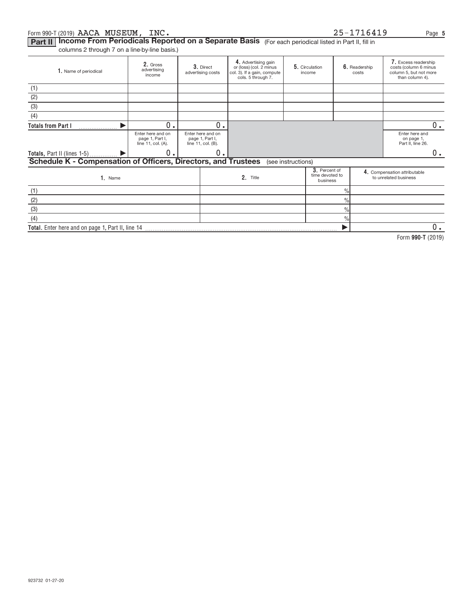#### Form 990-T (2019)  $\bf{AACA}$   $\bf{MUSEUM}$  ,  $\bf{INC.}$   $\bf{L3}$  and  $\bf{L419}$  and  $\bf{L5}-\bf{L716419}$  and AACA MUSEUM, INC. 25‐1716419

|  |  |  |  |  | 25-1716419 |  |  |  |  |
|--|--|--|--|--|------------|--|--|--|--|
|--|--|--|--|--|------------|--|--|--|--|

Part II | Income From Periodicals Reported on a Separate Basis (For each periodical listed in Part II, fill in

columns 2 through 7 on a line‐by‐line basis.)

| 1. Name of periodical                                          | 2. Gross<br>advertising<br>income                          | 3. Direct<br>advertising costs                             | 4. Advertising gain<br>or (loss) (col. 2 minus<br>col. 3). If a gain, compute<br>cols. 5 through 7. | 5. Circulation<br>income |                                              | 6. Readership<br>costs | 7. Excess readership<br>costs (column 6 minus<br>column 5, but not more<br>than column 4). |
|----------------------------------------------------------------|------------------------------------------------------------|------------------------------------------------------------|-----------------------------------------------------------------------------------------------------|--------------------------|----------------------------------------------|------------------------|--------------------------------------------------------------------------------------------|
| (1)                                                            |                                                            |                                                            |                                                                                                     |                          |                                              |                        |                                                                                            |
| (2)                                                            |                                                            |                                                            |                                                                                                     |                          |                                              |                        |                                                                                            |
| (3)                                                            |                                                            |                                                            |                                                                                                     |                          |                                              |                        |                                                                                            |
| (4)                                                            |                                                            |                                                            |                                                                                                     |                          |                                              |                        |                                                                                            |
| <b>Totals from Part I</b>                                      | $\mathbf 0$<br>$\bullet$                                   | 0.                                                         |                                                                                                     |                          |                                              |                        | $0$ .                                                                                      |
|                                                                | Enter here and on<br>page 1, Part I,<br>line 11, col. (A). | Enter here and on<br>page 1, Part I,<br>line 11, col. (B). |                                                                                                     |                          |                                              |                        | Enter here and<br>on page 1,<br>Part II, line 26.                                          |
|                                                                | 0.                                                         | 0.                                                         |                                                                                                     |                          |                                              |                        | 0.                                                                                         |
| Schedule K - Compensation of Officers, Directors, and Trustees |                                                            |                                                            |                                                                                                     | (see instructions)       |                                              |                        |                                                                                            |
| 1. Name                                                        |                                                            |                                                            | 2. Title                                                                                            |                          | 3. Percent of<br>time devoted to<br>business |                        | 4. Compensation attributable<br>to unrelated business                                      |
| (1)                                                            |                                                            |                                                            |                                                                                                     |                          | $\frac{0}{0}$                                |                        |                                                                                            |
| (2)                                                            |                                                            |                                                            |                                                                                                     |                          | $\frac{0}{0}$                                |                        |                                                                                            |
| (3)                                                            |                                                            |                                                            |                                                                                                     |                          | $\frac{0}{0}$                                |                        |                                                                                            |
| (4)                                                            |                                                            |                                                            |                                                                                                     |                          | $\frac{0}{0}$                                |                        |                                                                                            |
| Total. Enter here and on page 1, Part II, line 14              |                                                            |                                                            |                                                                                                     |                          |                                              |                        | 0.                                                                                         |

**990‐T**  Form (2019)